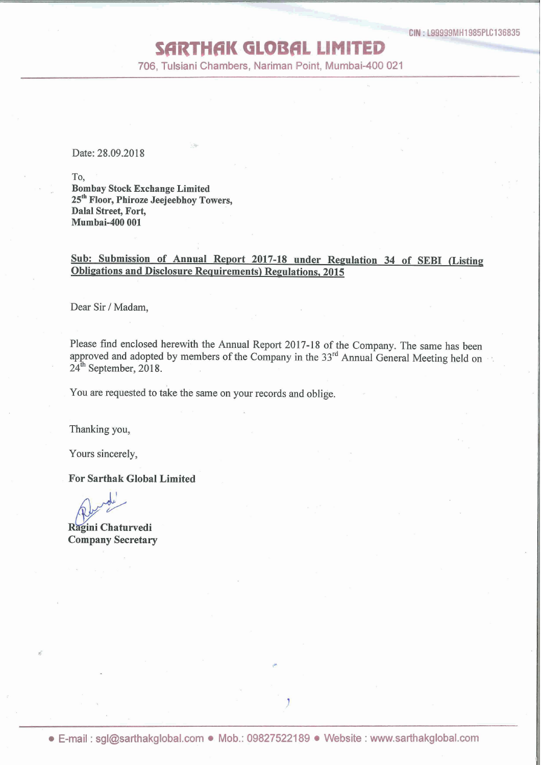# SARTHAK GLOBAL LIMITED

**706, Tulsiani Chambers, Nariman Point, Mumbai-400 021** 

Date: 28.09.2018

To,

**Bombay Stock Exchange Limited 2sfh Floor, Phiroze Jeejeebhoy Towers, Dalal Street, Fort, Mumbai-400 001** 

# **<u>Sub: Submission of Annual Report 2017-18 under Regulation 34 of SEBI (Listing</u> Obligations and Disclosure Requirements) Regulations, 2015**

Dear Sir / Madam,

Please find enclosed herewith the Annual Report 2017-18 of the Company. The same has been approved and adopted by members of the Company in the 33<sup>rd</sup> Annual General Meeting held on 24<sup>th</sup> September, 2018.

You are requested to take the same on your records and oblige.

Thanking you,

Yours sincerely,

**For Sarthak Global Limited** 

**Roof Sarthak Global Lim**<br>
Ragini Chaturvedi<br> **Ragini Chaturvedi**<br> **Company Secretary Company Secretary**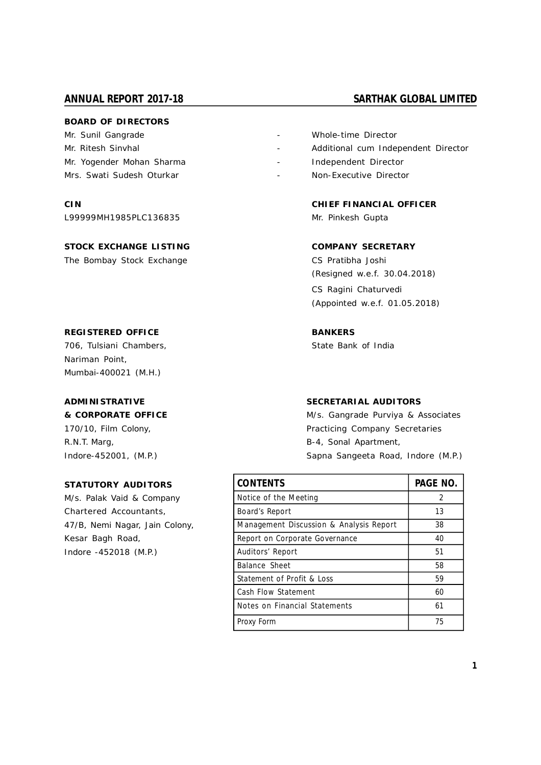# **BOARD OF DIRECTORS**

- Mr. Sunil Gangrade **Mr.** Sunil Gangrade  **Whole-time Director**
- 

L99999MH1985PLC136835 Mr. Pinkesh Gupta

## **STOCK EXCHANGE LISTING COMPANY SECRETARY**

The Bombay Stock Exchange CS Pratibha Joshi

### **REGISTERED OFFICE BANKERS**

Nariman Point, Mumbai-400021 (M.H.)

### **STATUTORY AUDITORS**

M/s. Palak Vaid & Company Chartered Accountants, 47/B, Nemi Nagar, Jain Colony, Kesar Bagh Road, Indore -452018 (M.P.)

# **SARTHAK GLOBAL LIMITED**

- 
- Mr. Ritesh Sinvhal **Mr. Ritesh Sinvhal** Additional cum Independent Director
- Mr. Yogender Mohan Sharma  **Independent Director**
- Mrs. Swati Sudesh Oturkar Non-Executive Director

**CIN CHIEF FINANCIAL OFFICER**

(Resigned w.e.f. 30.04.2018) CS Ragini Chaturvedi (Appointed w.e.f. 01.05.2018)

706, Tulsiani Chambers, State Bank of India

#### **ADMINISTRATIVE SECRETARIAL AUDITORS**

**& CORPORATE OFFICE M/s. Gangrade Purviya & Associates** 170/10, Film Colony, The Colony Company Secretaries R.N.T. Marg, **B-4, Sonal Apartment**, Indore-452001, (M.P.) Sapna Sangeeta Road, Indore (M.P.)

| <b>CONTENTS</b>                         | PAGE NO. |
|-----------------------------------------|----------|
| Notice of the Meeting                   | 2        |
| Board's Report                          | 13       |
| Management Discussion & Analysis Report | 38       |
| Report on Corporate Governance          | 40       |
| Auditors' Report                        | 51       |
| Balance Sheet                           | 58       |
| Statement of Profit & Loss              | 59       |
| Cash Flow Statement                     | 60       |
| Notes on Financial Statements           | 61       |
| Proxy Form                              | 75       |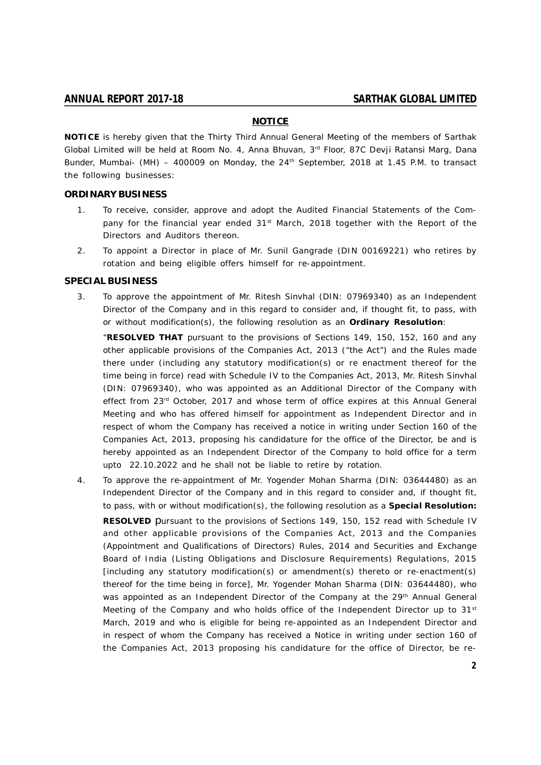## **NOTICE**

**NOTICE** is hereby given that the Thirty Third Annual General Meeting of the members of Sarthak Global Limited will be held at Room No. 4, Anna Bhuvan, 3<sup>rd</sup> Floor, 87C Devji Ratansi Marg, Dana Bunder, Mumbai- (MH) – 400009 on Monday, the 24<sup>th</sup> September, 2018 at 1.45 P.M. to transact the following businesses:

## **ORDINARY BUSINESS**

- 1. To receive, consider, approve and adopt the Audited Financial Statements of the Company for the financial year ended 31<sup>st</sup> March, 2018 together with the Report of the Directors and Auditors thereon.
- 2. To appoint a Director in place of Mr. Sunil Gangrade (DIN 00169221) who retires by rotation and being eligible offers himself for re-appointment.

#### **SPECIAL BUSINESS**

3. To approve the appointment of Mr. Ritesh Sinvhal (DIN: 07969340) as an Independent Director of the Company and in this regard to consider and, if thought fit, to pass, with or without modification(s), the following resolution as an **Ordinary Resolution**:

"**RESOLVED THAT** pursuant to the provisions of Sections 149, 150, 152, 160 and any other applicable provisions of the Companies Act, 2013 ("the Act") and the Rules made there under (including any statutory modification(s) or re enactment thereof for the time being in force) read with Schedule IV to the Companies Act, 2013, Mr. Ritesh Sinvhal (DIN: 07969340), who was appointed as an Additional Director of the Company with effect from  $23<sup>rd</sup>$  October, 2017 and whose term of office expires at this Annual General Meeting and who has offered himself for appointment as Independent Director and in respect of whom the Company has received a notice in writing under Section 160 of the Companies Act, 2013, proposing his candidature for the office of the Director, be and is hereby appointed as an Independent Director of the Company to hold office for a term upto 22.10.2022 and he shall not be liable to retire by rotation.

4. To approve the re-appointment of Mr. Yogender Mohan Sharma (DIN: 03644480) as an Independent Director of the Company and in this regard to consider and, if thought fit, to pass, with or without modification(s), the following resolution as a **Special Resolution: RESOLVED** pursuant to the provisions of Sections 149, 150, 152 read with Schedule IV and other applicable provisions of the Companies Act, 2013 and the Companies (Appointment and Qualifications of Directors) Rules, 2014 and Securities and Exchange Board of India (Listing Obligations and Disclosure Requirements) Regulations, 2015 [including any statutory modification(s) or amendment(s) thereto or re-enactment(s) thereof for the time being in force], Mr. Yogender Mohan Sharma (DIN: 03644480), who was appointed as an Independent Director of the Company at the 29th Annual General Meeting of the Company and who holds office of the Independent Director up to 31<sup>st</sup> March, 2019 and who is eligible for being re-appointed as an Independent Director and in respect of whom the Company has received a Notice in writing under section 160 of the Companies Act, 2013 proposing his candidature for the office of Director, be re-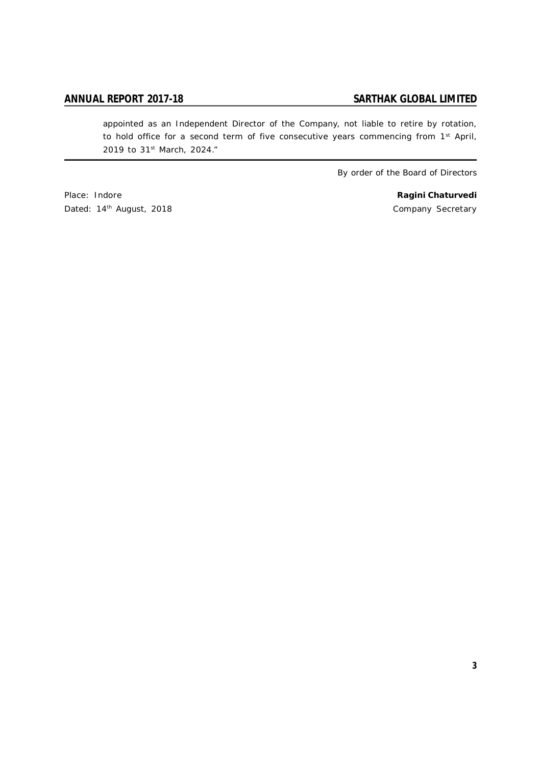# **SARTHAK GLOBAL LIMITED**

appointed as an Independent Director of the Company, not liable to retire by rotation, to hold office for a second term of five consecutive years commencing from 1<sup>st</sup> April, 2019 to 31<sup>st</sup> March, 2024."

By order of the Board of Directors

Place: Indore **Ragini Chaturvedi** Dated: 14<sup>th</sup> August, 2018 **Company Secretary**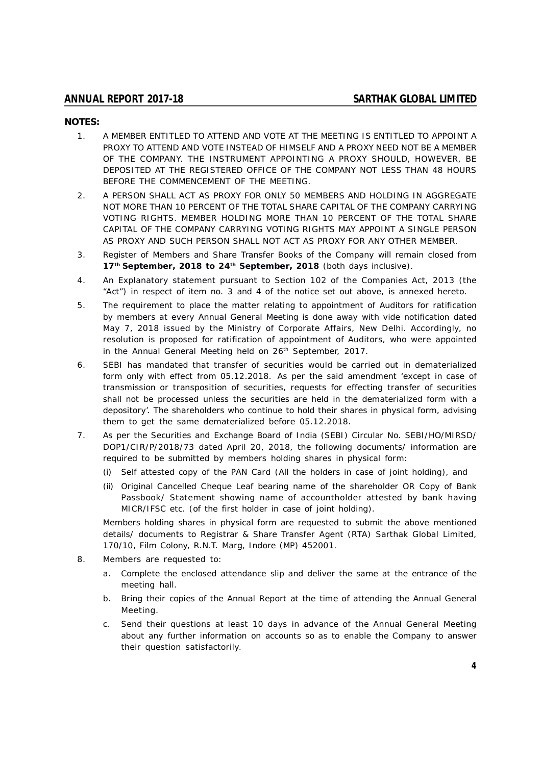#### **NOTES:**

- 1. A MEMBER ENTITLED TO ATTEND AND VOTE AT THE MEETING IS ENTITLED TO APPOINT A PROXY TO ATTEND AND VOTE INSTEAD OF HIMSELF AND A PROXY NEED NOT BE A MEMBER OF THE COMPANY. THE INSTRUMENT APPOINTING A PROXY SHOULD, HOWEVER, BE DEPOSITED AT THE REGISTERED OFFICE OF THE COMPANY NOT LESS THAN 48 HOURS BEFORE THE COMMENCEMENT OF THE MEETING.
- 2. A PERSON SHALL ACT AS PROXY FOR ONLY 50 MEMBERS AND HOLDING IN AGGREGATE NOT MORE THAN 10 PERCENT OF THE TOTAL SHARE CAPITAL OF THE COMPANY CARRYING VOTING RIGHTS. MEMBER HOLDING MORE THAN 10 PERCENT OF THE TOTAL SHARE CAPITAL OF THE COMPANY CARRYING VOTING RIGHTS MAY APPOINT A SINGLE PERSON AS PROXY AND SUCH PERSON SHALL NOT ACT AS PROXY FOR ANY OTHER MEMBER.
- 3. Register of Members and Share Transfer Books of the Company will remain closed from **17th September, 2018 to 24th September, 2018** (both days inclusive).
- 4. An Explanatory statement pursuant to Section 102 of the Companies Act, 2013 (the "Act") in respect of item no. 3 and 4 of the notice set out above, is annexed hereto.
- 5. The requirement to place the matter relating to appointment of Auditors for ratification by members at every Annual General Meeting is done away with vide notification dated May 7, 2018 issued by the Ministry of Corporate Affairs, New Delhi. Accordingly, no resolution is proposed for ratification of appointment of Auditors, who were appointed in the Annual General Meeting held on 26<sup>th</sup> September, 2017.
- 6. SEBI has mandated that transfer of securities would be carried out in dematerialized form only with effect from 05.12.2018. As per the said amendment 'except in case of transmission or transposition of securities, requests for effecting transfer of securities shall not be processed unless the securities are held in the dematerialized form with a depository'. The shareholders who continue to hold their shares in physical form, advising them to get the same dematerialized before 05.12.2018.
- 7. As per the Securities and Exchange Board of India (SEBI) Circular No. SEBI/HO/MIRSD/ DOP1/CIR/P/2018/73 dated April 20, 2018, the following documents/ information are required to be submitted by members holding shares in physical form:
	- (i) Self attested copy of the PAN Card (All the holders in case of joint holding), and
	- (ii) Original Cancelled Cheque Leaf bearing name of the shareholder OR Copy of Bank Passbook/ Statement showing name of accountholder attested by bank having MICR/IFSC etc. (of the first holder in case of joint holding).

Members holding shares in physical form are requested to submit the above mentioned details/ documents to Registrar & Share Transfer Agent (RTA) Sarthak Global Limited, 170/10, Film Colony, R.N.T. Marg, Indore (MP) 452001.

- 8. Members are requested to:
	- a. Complete the enclosed attendance slip and deliver the same at the entrance of the meeting hall.
	- b. Bring their copies of the Annual Report at the time of attending the Annual General Meeting.
	- c. Send their questions at least 10 days in advance of the Annual General Meeting about any further information on accounts so as to enable the Company to answer their question satisfactorily.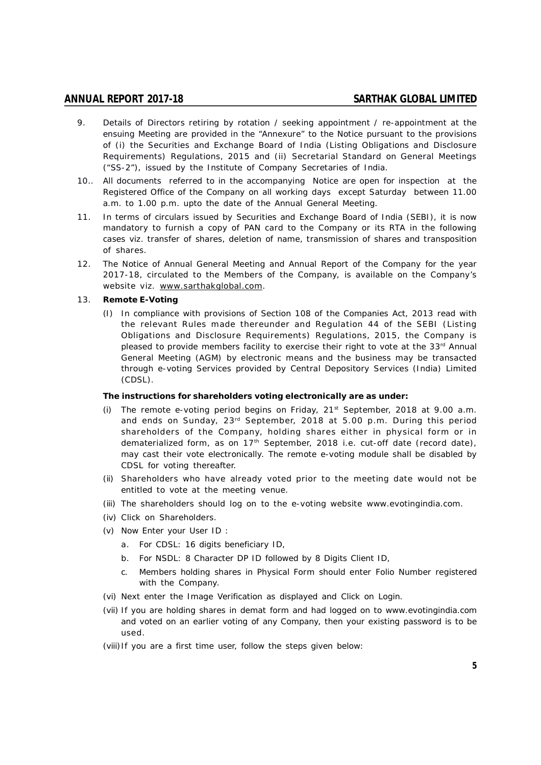- 9. Details of Directors retiring by rotation / seeking appointment / re-appointment at the ensuing Meeting are provided in the "Annexure" to the Notice pursuant to the provisions of (i) the Securities and Exchange Board of India (Listing Obligations and Disclosure Requirements) Regulations, 2015 and (ii) Secretarial Standard on General Meetings ("SS-2"), issued by the Institute of Company Secretaries of India.
- 10.. All documents referred to in the accompanying Notice are open for inspection at the Registered Office of the Company on all working days except Saturday between 11.00 a.m. to 1.00 p.m. upto the date of the Annual General Meeting.
- 11. In terms of circulars issued by Securities and Exchange Board of India (SEBI), it is now mandatory to furnish a copy of PAN card to the Company or its RTA in the following cases viz. transfer of shares, deletion of name, transmission of shares and transposition of shares.
- 12. The Notice of Annual General Meeting and Annual Report of the Company for the year 2017-18, circulated to the Members of the Company, is available on the Company's website viz. www.sarthakglobal.com.

#### 13. **Remote E-Voting**

(I) In compliance with provisions of Section 108 of the Companies Act, 2013 read with the relevant Rules made thereunder and Regulation 44 of the SEBI (Listing Obligations and Disclosure Requirements) Regulations, 2015, the Company is pleased to provide members facility to exercise their right to vote at the  $33<sup>rd</sup>$  Annual General Meeting (AGM) by electronic means and the business may be transacted through e-voting Services provided by Central Depository Services (India) Limited (CDSL).

#### **The instructions for shareholders voting electronically are as under:**

- (i) The remote e-voting period begins on Friday,  $21^{st}$  September, 2018 at 9.00 a.m. and ends on Sunday, 23rd September, 2018 at 5.00 p.m. During this period shareholders of the Company, holding shares either in physical form or in dematerialized form, as on  $17<sup>th</sup>$  September, 2018 i.e. cut-off date (record date), may cast their vote electronically. The remote e-voting module shall be disabled by CDSL for voting thereafter.
- (ii) Shareholders who have already voted prior to the meeting date would not be entitled to vote at the meeting venue.
- (iii) The shareholders should log on to the e-voting website www.evotingindia.com.
- (iv) Click on Shareholders.
- (v) Now Enter your User ID :
	- a. For CDSL: 16 digits beneficiary ID,
	- b. For NSDL: 8 Character DP ID followed by 8 Digits Client ID,
	- c. Members holding shares in Physical Form should enter Folio Number registered with the Company.
- (vi) Next enter the Image Verification as displayed and Click on Login.
- (vii) If you are holding shares in demat form and had logged on to www.evotingindia.com and voted on an earlier voting of any Company, then your existing password is to be used.
- (viii)If you are a first time user, follow the steps given below: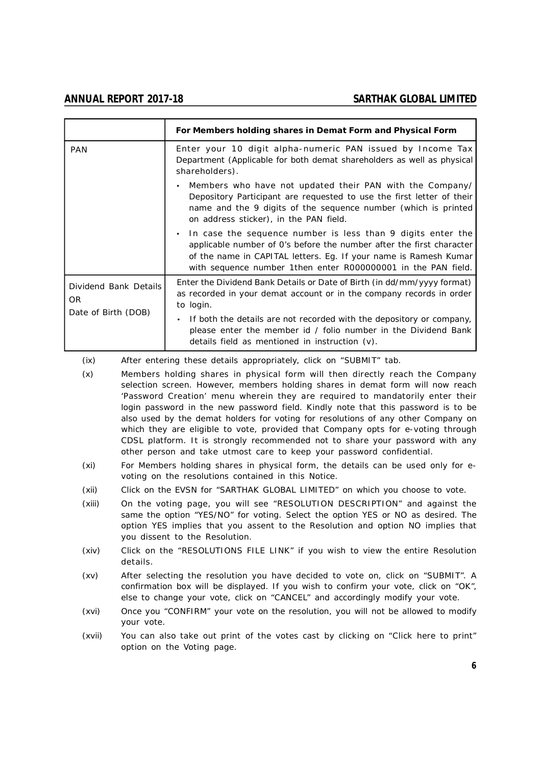# **SARTHAK GLOBAL LIMITED**

|                                                           | For Members holding shares in Demat Form and Physical Form                                                                                                                                                                                                                                                                                                            |
|-----------------------------------------------------------|-----------------------------------------------------------------------------------------------------------------------------------------------------------------------------------------------------------------------------------------------------------------------------------------------------------------------------------------------------------------------|
| <b>PAN</b>                                                | Enter your 10 digit alpha-numeric PAN issued by Income Tax<br>Department (Applicable for both demat shareholders as well as physical<br>shareholders).                                                                                                                                                                                                                |
|                                                           | Members who have not updated their PAN with the Company/<br>Depository Participant are requested to use the first letter of their<br>name and the 9 digits of the sequence number (which is printed<br>on address sticker), in the PAN field.                                                                                                                         |
|                                                           | In case the sequence number is less than 9 digits enter the<br>$\bullet$<br>applicable number of 0's before the number after the first character<br>of the name in CAPITAL letters. Eg. If your name is Ramesh Kumar<br>with sequence number 1then enter R000000001 in the PAN field.                                                                                 |
| Dividend Bank Details<br><b>OR</b><br>Date of Birth (DOB) | Enter the Dividend Bank Details or Date of Birth (in dd/mm/yyyy format)<br>as recorded in your demat account or in the company records in order<br>to login.<br>If both the details are not recorded with the depository or company,<br>$\bullet$<br>please enter the member id / folio number in the Dividend Bank<br>details field as mentioned in instruction (v). |

(ix) After entering these details appropriately, click on "SUBMIT" tab.

(x) Members holding shares in physical form will then directly reach the Company selection screen. However, members holding shares in demat form will now reach 'Password Creation' menu wherein they are required to mandatorily enter their login password in the new password field. Kindly note that this password is to be also used by the demat holders for voting for resolutions of any other Company on which they are eligible to vote, provided that Company opts for e-voting through CDSL platform. It is strongly recommended not to share your password with any other person and take utmost care to keep your password confidential.

- (xi) For Members holding shares in physical form, the details can be used only for evoting on the resolutions contained in this Notice.
- (xii) Click on the EVSN for "SARTHAK GLOBAL LIMITED" on which you choose to vote.
- (xiii) On the voting page, you will see "RESOLUTION DESCRIPTION" and against the same the option "YES/NO" for voting. Select the option YES or NO as desired. The option YES implies that you assent to the Resolution and option NO implies that you dissent to the Resolution.
- (xiv) Click on the "RESOLUTIONS FILE LINK" if you wish to view the entire Resolution details.
- (xv) After selecting the resolution you have decided to vote on, click on "SUBMIT". A confirmation box will be displayed. If you wish to confirm your vote, click on "OK", else to change your vote, click on "CANCEL" and accordingly modify your vote.
- (xvi) Once you "CONFIRM" your vote on the resolution, you will not be allowed to modify your vote.
- (xvii) You can also take out print of the votes cast by clicking on "Click here to print" option on the Voting page.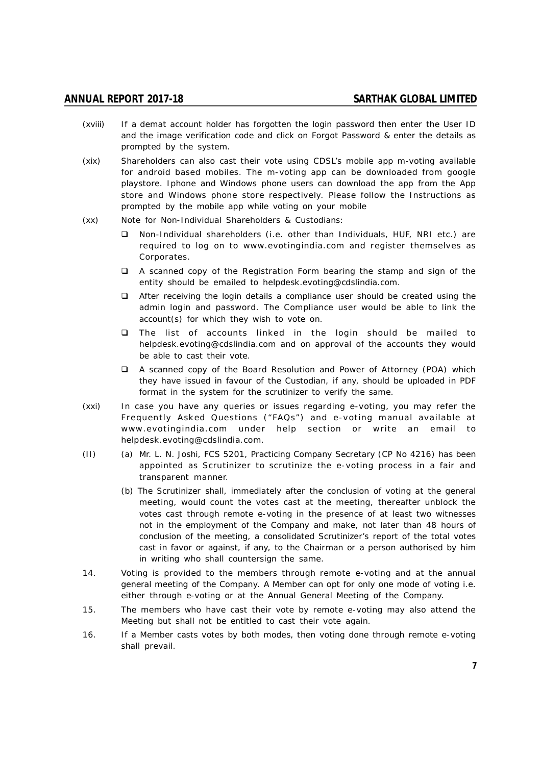- (xviii) If a demat account holder has forgotten the login password then enter the User ID and the image verification code and click on Forgot Password & enter the details as prompted by the system.
- (xix) Shareholders can also cast their vote using CDSL's mobile app m-voting available for android based mobiles. The m-voting app can be downloaded from google playstore. Iphone and Windows phone users can download the app from the App store and Windows phone store respectively. Please follow the Instructions as prompted by the mobile app while voting on your mobile
- (xx) Note for Non-Individual Shareholders & Custodians:
	- Non-Individual shareholders (i.e. other than Individuals, HUF, NRI etc.) are required to log on to www.evotingindia.com and register themselves as Corporates.
	- A scanned copy of the Registration Form bearing the stamp and sign of the entity should be emailed to helpdesk.evoting@cdslindia.com.
	- After receiving the login details a compliance user should be created using the admin login and password. The Compliance user would be able to link the account(s) for which they wish to vote on.
	- $\Box$  The list of accounts linked in the login should be mailed to helpdesk.evoting@cdslindia.com and on approval of the accounts they would be able to cast their vote.
	- A scanned copy of the Board Resolution and Power of Attorney (POA) which they have issued in favour of the Custodian, if any, should be uploaded in PDF format in the system for the scrutinizer to verify the same.
- (xxi) In case you have any queries or issues regarding e-voting, you may refer the Frequently Asked Questions ("FAQs") and e-voting manual available at www.evotingindia.com under help section or write an email to helpdesk.evoting@cdslindia.com.
- (II) (a) Mr. L. N. Joshi, FCS 5201, Practicing Company Secretary (CP No 4216) has been appointed as Scrutinizer to scrutinize the e-voting process in a fair and transparent manner.
	- (b) The Scrutinizer shall, immediately after the conclusion of voting at the general meeting, would count the votes cast at the meeting, thereafter unblock the votes cast through remote e-voting in the presence of at least two witnesses not in the employment of the Company and make, not later than 48 hours of conclusion of the meeting, a consolidated Scrutinizer's report of the total votes cast in favor or against, if any, to the Chairman or a person authorised by him in writing who shall countersign the same.
- 14. Voting is provided to the members through remote e-voting and at the annual general meeting of the Company. A Member can opt for only one mode of voting i.e. either through e-voting or at the Annual General Meeting of the Company.
- 15. The members who have cast their vote by remote e-voting may also attend the Meeting but shall not be entitled to cast their vote again.
- 16. If a Member casts votes by both modes, then voting done through remote e-voting shall prevail.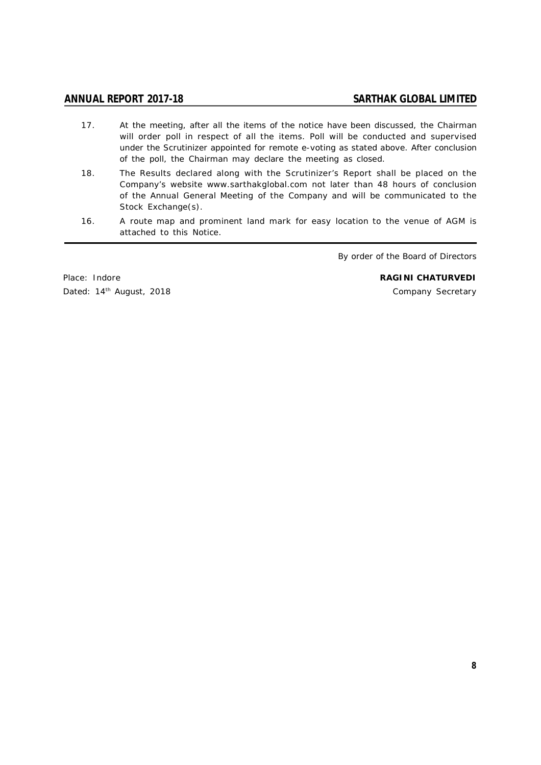- 17. At the meeting, after all the items of the notice have been discussed, the Chairman will order poll in respect of all the items. Poll will be conducted and supervised under the Scrutinizer appointed for remote e-voting as stated above. After conclusion of the poll, the Chairman may declare the meeting as closed.
- 18. The Results declared along with the Scrutinizer's Report shall be placed on the Company's website www.sarthakglobal.com not later than 48 hours of conclusion of the Annual General Meeting of the Company and will be communicated to the Stock Exchange(s).
- 16. A route map and prominent land mark for easy location to the venue of AGM is attached to this Notice.

By order of the Board of Directors

Dated: 14<sup>th</sup> August, 2018 **Company Secretary** 

# Place: Indore **RAGINI CHATURVEDI**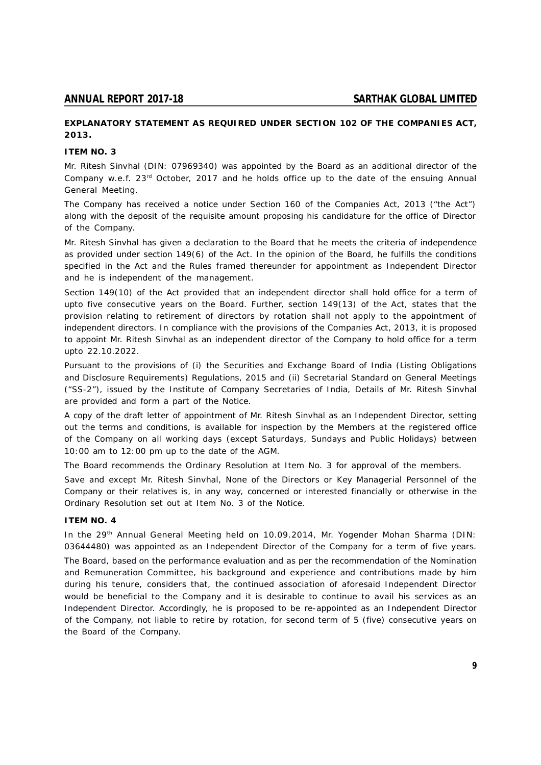# **EXPLANATORY STATEMENT AS REQUIRED UNDER SECTION 102 OF THE COMPANIES ACT, 2013.**

#### **ITEM NO. 3**

Mr. Ritesh Sinvhal (DIN: 07969340) was appointed by the Board as an additional director of the Company w.e.f.  $23<sup>rd</sup>$  October, 2017 and he holds office up to the date of the ensuing Annual General Meeting.

The Company has received a notice under Section 160 of the Companies Act, 2013 ("the Act") along with the deposit of the requisite amount proposing his candidature for the office of Director of the Company.

Mr. Ritesh Sinvhal has given a declaration to the Board that he meets the criteria of independence as provided under section 149(6) of the Act. In the opinion of the Board, he fulfills the conditions specified in the Act and the Rules framed thereunder for appointment as Independent Director and he is independent of the management.

Section 149(10) of the Act provided that an independent director shall hold office for a term of upto five consecutive years on the Board. Further, section 149(13) of the Act, states that the provision relating to retirement of directors by rotation shall not apply to the appointment of independent directors. In compliance with the provisions of the Companies Act, 2013, it is proposed to appoint Mr. Ritesh Sinvhal as an independent director of the Company to hold office for a term upto 22.10.2022.

Pursuant to the provisions of (i) the Securities and Exchange Board of India (Listing Obligations and Disclosure Requirements) Regulations, 2015 and (ii) Secretarial Standard on General Meetings ("SS-2"), issued by the Institute of Company Secretaries of India, Details of Mr. Ritesh Sinvhal are provided and form a part of the Notice.

A copy of the draft letter of appointment of Mr. Ritesh Sinvhal as an Independent Director, setting out the terms and conditions, is available for inspection by the Members at the registered office of the Company on all working days (except Saturdays, Sundays and Public Holidays) between 10:00 am to 12:00 pm up to the date of the AGM.

The Board recommends the Ordinary Resolution at Item No. 3 for approval of the members.

Save and except Mr. Ritesh Sinvhal, None of the Directors or Key Managerial Personnel of the Company or their relatives is, in any way, concerned or interested financially or otherwise in the Ordinary Resolution set out at Item No. 3 of the Notice.

### **ITEM NO. 4**

In the 29<sup>th</sup> Annual General Meeting held on 10.09.2014, Mr. Yogender Mohan Sharma (DIN: 03644480) was appointed as an Independent Director of the Company for a term of five years.

The Board, based on the performance evaluation and as per the recommendation of the Nomination and Remuneration Committee, his background and experience and contributions made by him during his tenure, considers that, the continued association of aforesaid Independent Director would be beneficial to the Company and it is desirable to continue to avail his services as an Independent Director. Accordingly, he is proposed to be re-appointed as an Independent Director of the Company, not liable to retire by rotation, for second term of 5 (five) consecutive years on the Board of the Company.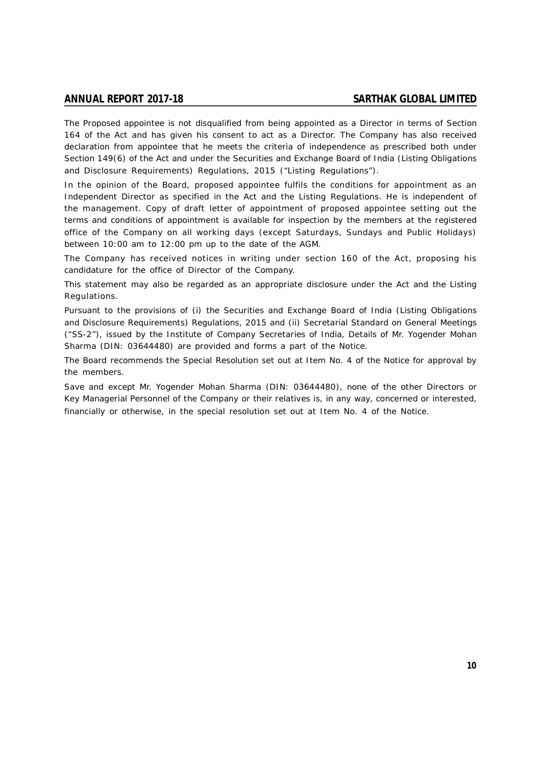The Proposed appointee is not disqualified from being appointed as a Director in terms of Section 164 of the Act and has given his consent to act as a Director. The Company has also received declaration from appointee that he meets the criteria of independence as prescribed both under Section 149(6) of the Act and under the Securities and Exchange Board of India (Listing Obligations and Disclosure Requirements) Regulations, 2015 ("Listing Regulations").

In the opinion of the Board, proposed appointee fulfils the conditions for appointment as an Independent Director as specified in the Act and the Listing Regulations. He is independent of the management. Copy of draft letter of appointment of proposed appointee setting out the terms and conditions of appointment is available for inspection by the members at the registered office of the Company on all working days (except Saturdays, Sundays and Public Holidays) between 10:00 am to 12:00 pm up to the date of the AGM.

The Company has received notices in writing under section 160 of the Act, proposing his candidature for the office of Director of the Company.

This statement may also be regarded as an appropriate disclosure under the Act and the Listing Regulations.

Pursuant to the provisions of (i) the Securities and Exchange Board of India (Listing Obligations and Disclosure Requirements) Regulations, 2015 and (ii) Secretarial Standard on General Meetings ("SS-2"), issued by the Institute of Company Secretaries of India, Details of Mr. Yogender Mohan Sharma (DIN: 03644480) are provided and forms a part of the Notice.

The Board recommends the Special Resolution set out at Item No. 4 of the Notice for approval by the members.

Save and except Mr. Yogender Mohan Sharma (DIN: 03644480), none of the other Directors or Key Managerial Personnel of the Company or their relatives is, in any way, concerned or interested, financially or otherwise, in the special resolution set out at Item No. 4 of the Notice.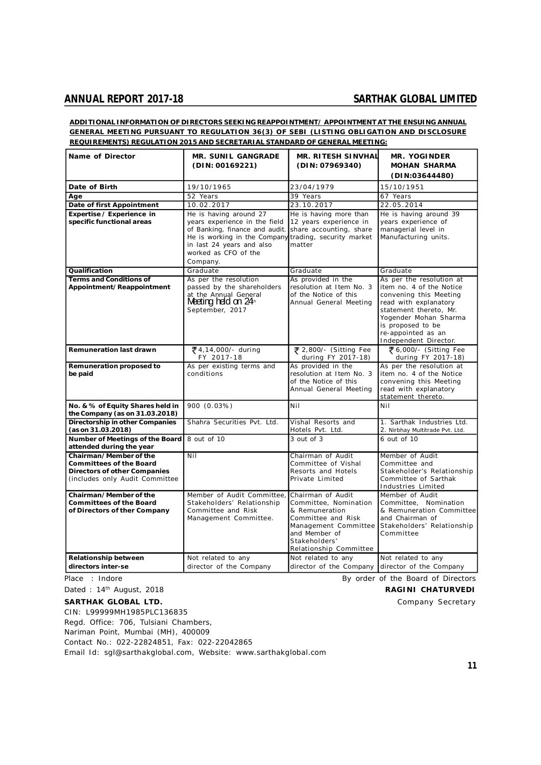#### **SARTHAK GLOBAL LIMITED**

**ADDITIONAL INFORMATION OF DIRECTORS SEEKING REAPPOINTMENT/ APPOINTMENT AT THE ENSUING ANNUAL GENERAL MEETING PURSUANT TO REGULATION 36(3) OF SEBI (LISTING OBLIGATION AND DISCLOSURE REQUIREMENTS) REGULATION 2015 AND SECRETARIAL STANDARD OF GENERAL MEETING:**

| Name of Director                                                                                                                  | <b>MR. SUNIL GANGRADE</b><br>(DIN: 00169221)                                                                                                                                              | <b>MR. RITESH SINVHAL</b><br>(DIN: 07969340)                                                                                                                           | MR. YOGINDER<br><b>MOHAN SHARMA</b>                                                                                                                                                                                            |
|-----------------------------------------------------------------------------------------------------------------------------------|-------------------------------------------------------------------------------------------------------------------------------------------------------------------------------------------|------------------------------------------------------------------------------------------------------------------------------------------------------------------------|--------------------------------------------------------------------------------------------------------------------------------------------------------------------------------------------------------------------------------|
|                                                                                                                                   |                                                                                                                                                                                           |                                                                                                                                                                        | (DIN:03644480)                                                                                                                                                                                                                 |
| Date of Birth                                                                                                                     | 19/10/1965                                                                                                                                                                                | 23/04/1979                                                                                                                                                             | 15/10/1951                                                                                                                                                                                                                     |
| Age                                                                                                                               | 52 Years                                                                                                                                                                                  | 39 Years                                                                                                                                                               | 67 Years                                                                                                                                                                                                                       |
| Date of first Appointment                                                                                                         | 10.02.2017                                                                                                                                                                                | 23.10.2017                                                                                                                                                             | 22.05.2014                                                                                                                                                                                                                     |
| Expertise / Experience in                                                                                                         | He is having around 27                                                                                                                                                                    | He is having more than                                                                                                                                                 | He is having around 39                                                                                                                                                                                                         |
| specific functional areas                                                                                                         | years experience in the field<br>of Banking, finance and audit.<br>He is working in the Company trading, security market<br>in last 24 years and also<br>worked as CFO of the<br>Company. | 12 years experience in<br>share accounting, share<br>matter                                                                                                            | years experience of<br>managerial level in<br>Manufacturing units.                                                                                                                                                             |
| Qualification                                                                                                                     | Graduate                                                                                                                                                                                  | Graduate                                                                                                                                                               | Graduate                                                                                                                                                                                                                       |
| <b>Terms and Conditions of</b><br>Appointment/Reappointment                                                                       | As per the resolution<br>passed by the shareholders<br>at the Annual General<br>Meeting held on 24h<br>September, 2017                                                                    | As provided in the<br>resolution at Item No. 3<br>of the Notice of this<br>Annual General Meeting                                                                      | As per the resolution at<br>item no. 4 of the Notice<br>convening this Meeting<br>read with explanatory<br>statement thereto, Mr.<br>Yogender Mohan Sharma<br>is proposed to be<br>re-appointed as an<br>Independent Director. |
| <b>Remuneration last drawn</b>                                                                                                    | ₹4,14,000/- during<br>FY 2017-18                                                                                                                                                          | $\overline{2}$ ,800/- (Sitting Fee<br>during FY 2017-18)                                                                                                               | $\bar{z}$ 6,000/- (Sitting Fee<br>during FY 2017-18)                                                                                                                                                                           |
| Remuneration proposed to<br>be paid                                                                                               | As per existing terms and<br>conditions                                                                                                                                                   | As provided in the<br>resolution at I tem No. 3<br>of the Notice of this<br>Annual General Meeting                                                                     | As per the resolution at<br>item no. 4 of the Notice<br>convening this Meeting<br>read with explanatory<br>statement thereto.                                                                                                  |
| No. & % of Equity Shares held in<br>the Company (as on 31.03.2018)                                                                | 900 (0.03%)                                                                                                                                                                               | <b>Nil</b>                                                                                                                                                             | Nil                                                                                                                                                                                                                            |
| Directorship in other Companies<br>(as on 31.03.2018)                                                                             | Shahra Securities Pvt. Ltd.                                                                                                                                                               | Vishal Resorts and<br>Hotels Pvt. Ltd.                                                                                                                                 | 1. Sarthak Industries Ltd.<br>2. Nirbhay Multitrade Pvt. Ltd.                                                                                                                                                                  |
| Number of Meetings of the Board<br>attended during the year                                                                       | 8 out of 10                                                                                                                                                                               | 3 out of 3                                                                                                                                                             | $6$ out of $10$                                                                                                                                                                                                                |
| Chairman/Member of the<br><b>Committees of the Board</b><br><b>Directors of other Companies</b><br>(includes only Audit Committee | N <sub>i</sub>                                                                                                                                                                            | Chairman of Audit<br>Committee of Vishal<br>Resorts and Hotels<br>Private Limited                                                                                      | Member of Audit<br>Committee and<br>Stakeholder's Relationship<br>Committee of Sarthak<br>Industries Limited                                                                                                                   |
| Chairman/Member of the<br><b>Committees of the Board</b><br>of Directors of ther Company                                          | Member of Audit Committee,<br>Stakeholders' Relationship<br>Committee and Risk<br>Management Committee.                                                                                   | Chairman of Audit<br>Committee, Nomination<br>& Remuneration<br>Committee and Risk<br>Management Committee<br>and Member of<br>Stakeholders'<br>Relationship Committee | Member of Audit<br>Committee, Nomination<br>& Remuneration Committee<br>and Chairman of<br>Stakeholders' Relationship<br>Committee                                                                                             |
| Relationship between                                                                                                              | Not related to any                                                                                                                                                                        | Not related to any                                                                                                                                                     | Not related to any                                                                                                                                                                                                             |
| directors inter-se                                                                                                                | director of the Company                                                                                                                                                                   | director of the Company director of the Company                                                                                                                        |                                                                                                                                                                                                                                |

Dated : 14th August, 2018 **RAGINI CHATURVEDI**

Place : Indore **By order of the Board of Directors** 

SARTHAK GLOBAL LTD. **SARTHAK GLOBAL LTD. Company Secretary** 

CIN: L99999MH1985PLC136835 Regd. Office: 706, Tulsiani Chambers, Nariman Point, Mumbai (MH), 400009 Contact No.: 022-22824851, Fax: 022-22042865 Email Id: sgl@sarthakglobal.com, Website: www.sarthakglobal.com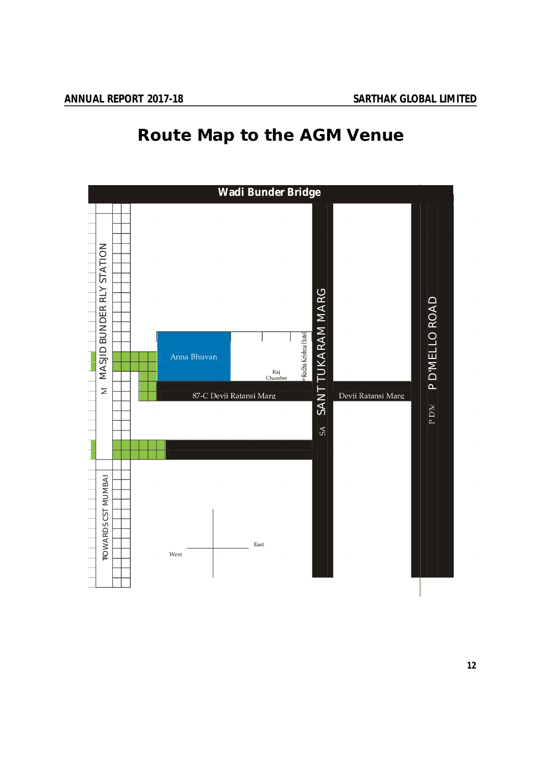# **Route Map to the AGM Venue**

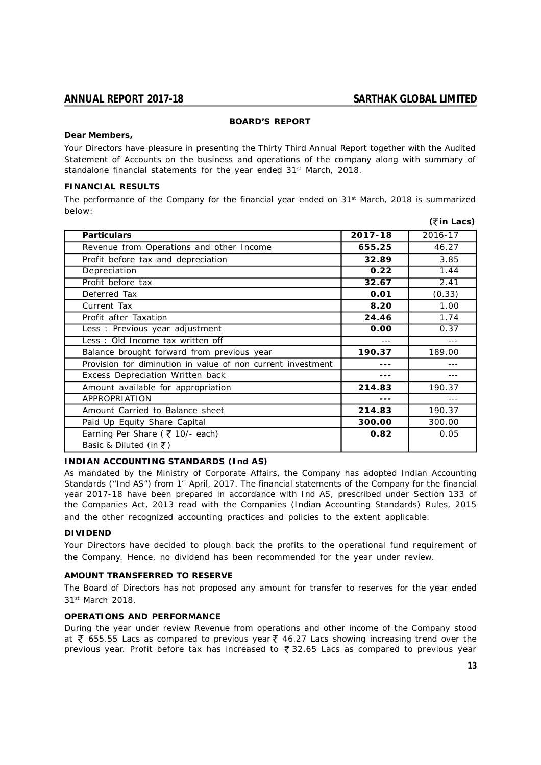# **SARTHAK GLOBAL LIMITED**

### **BOARD'S REPORT**

#### **Dear Members,**

Your Directors have pleasure in presenting the Thirty Third Annual Report together with the Audited Statement of Accounts on the business and operations of the company along with summary of standalone financial statements for the year ended 31<sup>st</sup> March, 2018.

#### **FINANCIAL RESULTS**

The performance of the Company for the financial year ended on  $31<sup>st</sup>$  March, 2018 is summarized below:

|                                                             |             | <b>(₹in Lacs)</b> |
|-------------------------------------------------------------|-------------|-------------------|
| <b>Particulars</b>                                          | $2017 - 18$ | 2016-17           |
| Revenue from Operations and other Income                    | 655.25      | 46.27             |
| Profit before tax and depreciation                          | 32.89       | 3.85              |
| Depreciation                                                | 0.22        | 1.44              |
| Profit before tax                                           | 32.67       | 2.41              |
| Deferred Tax                                                | 0.01        | (0.33)            |
| Current Tax                                                 | 8.20        | 1.00              |
| Profit after Taxation                                       | 24.46       | 1.74              |
| Less: Previous year adjustment                              | 0.00        | 0.37              |
| Less: Old Income tax written off                            | ---         |                   |
| Balance brought forward from previous year                  | 190.37      | 189.00            |
| Provision for diminution in value of non current investment |             |                   |
| Excess Depreciation Written back                            |             |                   |
| Amount available for appropriation                          | 214.83      | 190.37            |
| APPROPRIATION                                               |             |                   |
| Amount Carried to Balance sheet                             | 214.83      | 190.37            |
| Paid Up Equity Share Capital                                | 300.00      | 300.00            |
| Earning Per Share (₹ 10/- each)                             | 0.82        | 0.05              |
| Basic & Diluted (in ₹)                                      |             |                   |

### **INDIAN ACCOUNTING STANDARDS (Ind AS)**

As mandated by the Ministry of Corporate Affairs, the Company has adopted Indian Accounting Standards ("Ind AS") from 1st April, 2017. The financial statements of the Company for the financial year 2017-18 have been prepared in accordance with Ind AS, prescribed under Section 133 of the Companies Act, 2013 read with the Companies (Indian Accounting Standards) Rules, 2015 and the other recognized accounting practices and policies to the extent applicable.

### **DIVIDEND**

Your Directors have decided to plough back the profits to the operational fund requirement of the Company. Hence, no dividend has been recommended for the year under review.

### **AMOUNT TRANSFERRED TO RESERVE**

The Board of Directors has not proposed any amount for transfer to reserves for the year ended 31st March 2018.

## **OPERATIONS AND PERFORMANCE**

During the year under review Revenue from operations and other income of the Company stood at ₹ 655.55 Lacs as compared to previous year ₹ 46.27 Lacs showing increasing trend over the previous year. Profit before tax has increased to  $\overline{z}$  32.65 Lacs as compared to previous year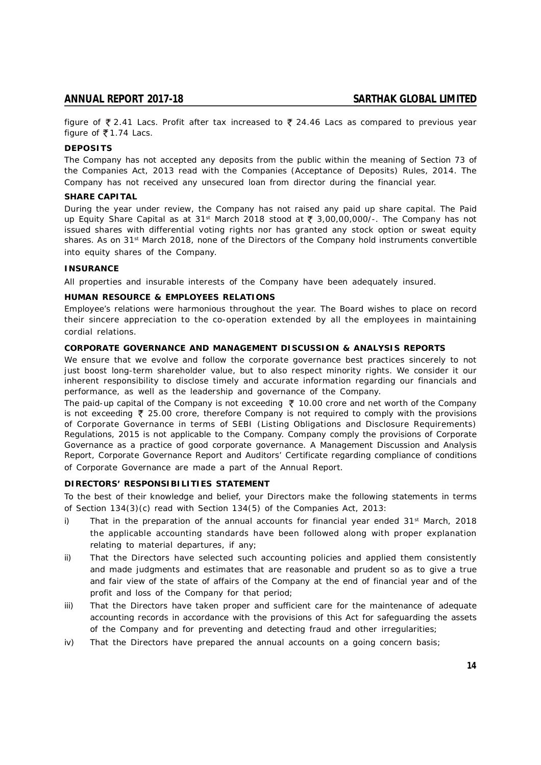figure of  $\overline{z}$  2.41 Lacs. Profit after tax increased to  $\overline{z}$  24.46 Lacs as compared to previous year figure of  $\overline{5}$ 1.74 Lacs.

#### **DEPOSITS**

The Company has not accepted any deposits from the public within the meaning of Section 73 of the Companies Act, 2013 read with the Companies (Acceptance of Deposits) Rules, 2014. The Company has not received any unsecured loan from director during the financial year.

#### **SHARE CAPITAL**

During the year under review, the Company has not raised any paid up share capital. The Paid up Equity Share Capital as at 31<sup>st</sup> March 2018 stood at  $\bar{\tau}$  3.00.00.000/-. The Company has not issued shares with differential voting rights nor has granted any stock option or sweat equity shares. As on 31<sup>st</sup> March 2018, none of the Directors of the Company hold instruments convertible into equity shares of the Company.

#### **INSURANCE**

All properties and insurable interests of the Company have been adequately insured.

#### **HUMAN RESOURCE & EMPLOYEES RELATIONS**

Employee's relations were harmonious throughout the year. The Board wishes to place on record their sincere appreciation to the co-operation extended by all the employees in maintaining cordial relations.

#### **CORPORATE GOVERNANCE AND MANAGEMENT DISCUSSION & ANALYSIS REPORTS**

We ensure that we evolve and follow the corporate governance best practices sincerely to not just boost long-term shareholder value, but to also respect minority rights. We consider it our inherent responsibility to disclose timely and accurate information regarding our financials and performance, as well as the leadership and governance of the Company.

The paid-up capital of the Company is not exceeding  $\bar{\tau}$  10.00 crore and net worth of the Company is not exceeding  $\bar{\tau}$  25.00 crore, therefore Company is not required to comply with the provisions of Corporate Governance in terms of SEBI (Listing Obligations and Disclosure Requirements) Regulations, 2015 is not applicable to the Company. Company comply the provisions of Corporate Governance as a practice of good corporate governance. A Management Discussion and Analysis Report, Corporate Governance Report and Auditors' Certificate regarding compliance of conditions of Corporate Governance are made a part of the Annual Report.

### **DIRECTORS' RESPONSIBILITIES STATEMENT**

To the best of their knowledge and belief, your Directors make the following statements in terms of Section 134(3)(c) read with Section 134(5) of the Companies Act, 2013:

- i) That in the preparation of the annual accounts for financial year ended 31<sup>st</sup> March, 2018 the applicable accounting standards have been followed along with proper explanation relating to material departures, if any;
- ii) That the Directors have selected such accounting policies and applied them consistently and made judgments and estimates that are reasonable and prudent so as to give a true and fair view of the state of affairs of the Company at the end of financial year and of the profit and loss of the Company for that period;
- iii) That the Directors have taken proper and sufficient care for the maintenance of adequate accounting records in accordance with the provisions of this Act for safeguarding the assets of the Company and for preventing and detecting fraud and other irregularities;
- iv) That the Directors have prepared the annual accounts on a going concern basis;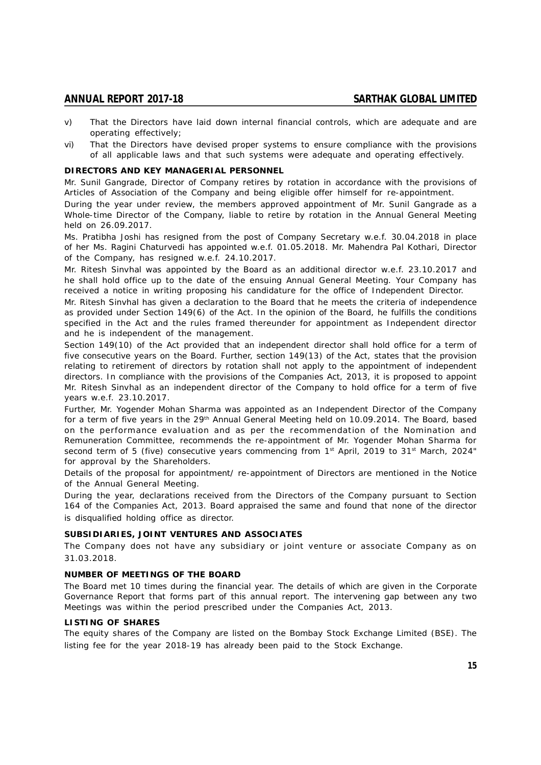- v) That the Directors have laid down internal financial controls, which are adequate and are operating effectively;
- vi) That the Directors have devised proper systems to ensure compliance with the provisions of all applicable laws and that such systems were adequate and operating effectively.

#### **DIRECTORS AND KEY MANAGERIAL PERSONNEL**

Mr. Sunil Gangrade, Director of Company retires by rotation in accordance with the provisions of Articles of Association of the Company and being eligible offer himself for re-appointment.

During the year under review, the members approved appointment of Mr. Sunil Gangrade as a Whole-time Director of the Company, liable to retire by rotation in the Annual General Meeting held on 26.09.2017.

Ms. Pratibha Joshi has resigned from the post of Company Secretary w.e.f. 30.04.2018 in place of her Ms. Ragini Chaturvedi has appointed w.e.f. 01.05.2018. Mr. Mahendra Pal Kothari, Director of the Company, has resigned w.e.f. 24.10.2017.

Mr. Ritesh Sinvhal was appointed by the Board as an additional director w.e.f. 23.10.2017 and he shall hold office up to the date of the ensuing Annual General Meeting. Your Company has received a notice in writing proposing his candidature for the office of Independent Director.

Mr. Ritesh Sinvhal has given a declaration to the Board that he meets the criteria of independence as provided under Section 149(6) of the Act. In the opinion of the Board, he fulfills the conditions specified in the Act and the rules framed thereunder for appointment as Independent director and he is independent of the management.

Section 149(10) of the Act provided that an independent director shall hold office for a term of five consecutive years on the Board. Further, section 149(13) of the Act, states that the provision relating to retirement of directors by rotation shall not apply to the appointment of independent directors. In compliance with the provisions of the Companies Act, 2013, it is proposed to appoint Mr. Ritesh Sinvhal as an independent director of the Company to hold office for a term of five years w.e.f. 23.10.2017.

Further, Mr. Yogender Mohan Sharma was appointed as an Independent Director of the Company for a term of five years in the 29<sup>th</sup> Annual General Meeting held on 10.09.2014. The Board, based on the performance evaluation and as per the recommendation of the Nomination and Remuneration Committee, recommends the re-appointment of Mr. Yogender Mohan Sharma for second term of 5 (five) consecutive years commencing from 1<sup>st</sup> April, 2019 to 31<sup>st</sup> March, 2024" for approval by the Shareholders.

Details of the proposal for appointment/ re-appointment of Directors are mentioned in the Notice of the Annual General Meeting.

During the year, declarations received from the Directors of the Company pursuant to Section 164 of the Companies Act, 2013. Board appraised the same and found that none of the director is disqualified holding office as director.

#### **SUBSIDIARIES, JOINT VENTURES AND ASSOCIATES**

The Company does not have any subsidiary or joint venture or associate Company as on 31.03.2018.

#### **NUMBER OF MEETINGS OF THE BOARD**

The Board met 10 times during the financial year. The details of which are given in the *Corporate Governance Report* that forms part of this annual report. The intervening gap between any two Meetings was within the period prescribed under the Companies Act, 2013.

#### **LISTING OF SHARES**

The equity shares of the Company are listed on the Bombay Stock Exchange Limited (BSE). The listing fee for the year 2018-19 has already been paid to the Stock Exchange.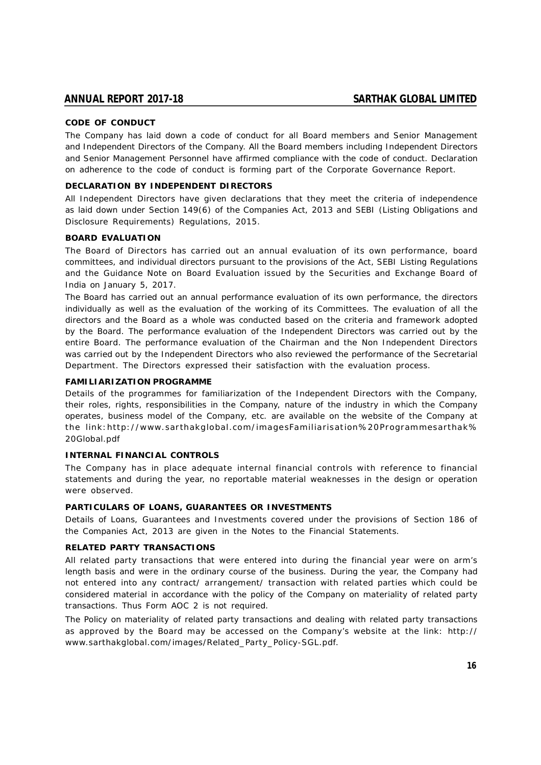#### **CODE OF CONDUCT**

The Company has laid down a code of conduct for all Board members and Senior Management and Independent Directors of the Company. All the Board members including Independent Directors and Senior Management Personnel have affirmed compliance with the code of conduct. Declaration on adherence to the code of conduct is forming part of the Corporate Governance Report.

#### **DECLARATION BY INDEPENDENT DIRECTORS**

All Independent Directors have given declarations that they meet the criteria of independence as laid down under Section 149(6) of the Companies Act, 2013 and SEBI (Listing Obligations and Disclosure Requirements) Regulations, 2015.

#### **BOARD EVALUATION**

The Board of Directors has carried out an annual evaluation of its own performance, board committees, and individual directors pursuant to the provisions of the Act, SEBI Listing Regulations and the Guidance Note on Board Evaluation issued by the Securities and Exchange Board of India on January 5, 2017.

The Board has carried out an annual performance evaluation of its own performance, the directors individually as well as the evaluation of the working of its Committees. The evaluation of all the directors and the Board as a whole was conducted based on the criteria and framework adopted by the Board. The performance evaluation of the Independent Directors was carried out by the entire Board. The performance evaluation of the Chairman and the Non Independent Directors was carried out by the Independent Directors who also reviewed the performance of the Secretarial Department. The Directors expressed their satisfaction with the evaluation process.

#### **FAMILIARIZATION PROGRAMME**

Details of the programmes for familiarization of the Independent Directors with the Company, their roles, rights, responsibilities in the Company, nature of the industry in which the Company operates, business model of the Company, etc. are available on the website of the Company at the link:http://www.sar thakglobal .com/image sFamiliarisation%20Programmesarthak% 20Global.pdf

### **INTERNAL FINANCIAL CONTROLS**

The Company has in place adequate internal financial controls with reference to financial statements and during the year, no reportable material weaknesses in the design or operation were observed.

### **PARTICULARS OF LOANS, GUARANTEES OR INVESTMENTS**

Details of Loans, Guarantees and Investments covered under the provisions of Section 186 of the Companies Act, 2013 are given in the Notes to the Financial Statements.

### **RELATED PARTY TRANSACTIONS**

All related party transactions that were entered into during the financial year were on arm's length basis and were in the ordinary course of the business. During the year, the Company had not entered into any contract/ arrangement/ transaction with related parties which could be considered material in accordance with the policy of the Company on materiality of related party transactions. Thus Form AOC 2 is not required.

The Policy on materiality of related party transactions and dealing with related party transactions as approved by the Board may be accessed on the Company's website at the link: http:// www.sarthakglobal.com/images/Related\_Party\_Policy-SGL.pdf.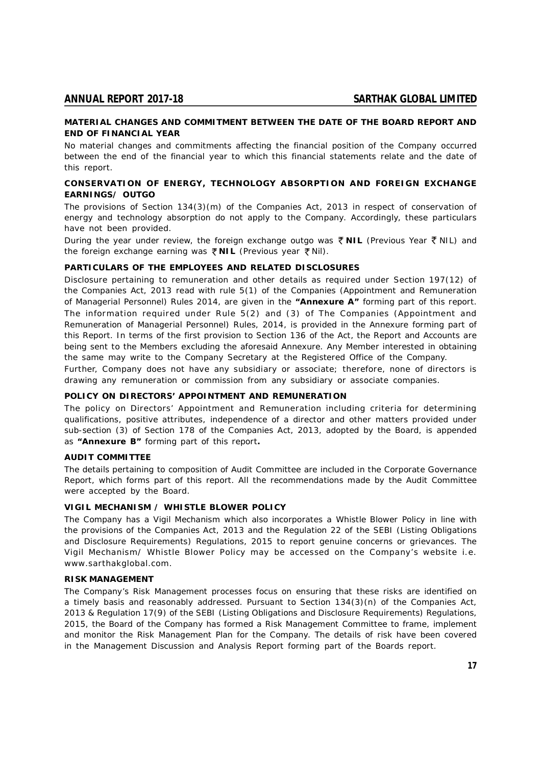### **MATERIAL CHANGES AND COMMITMENT BETWEEN THE DATE OF THE BOARD REPORT AND END OF FINANCIAL YEAR**

No material changes and commitments affecting the financial position of the Company occurred between the end of the financial year to which this financial statements relate and the date of this report.

### **CONSERVATION OF ENERGY, TECHNOLOGY ABSORPTION AND FOREIGN EXCHANGE EARNINGS/ OUTGO**

The provisions of Section 134(3)(m) of the Companies Act, 2013 in respect of conservation of energy and technology absorption do not apply to the Company. Accordingly, these particulars have not been provided.

During the year under review, the foreign exchange outgo was ₹NIL (Previous Year ₹NIL) and the foreign exchange earning was ₹NIL (Previous year ₹Nil).

### **PARTICULARS OF THE EMPLOYEES AND RELATED DISCLOSURES**

Disclosure pertaining to remuneration and other details as required under Section 197(12) of the Companies Act, 2013 read with rule 5(1) of the Companies (Appointment and Remuneration of Managerial Personnel) Rules 2014, are given in the **"***Annexure A"* forming part of this report. The information required under Rule 5(2) and (3) of The Companies (Appointment and Remuneration of Managerial Personnel) Rules, 2014, is provided in the Annexure forming part of this Report. In terms of the first provision to Section 136 of the Act, the Report and Accounts are being sent to the Members excluding the aforesaid Annexure. Any Member interested in obtaining the same may write to the Company Secretary at the Registered Office of the Company.

Further, Company does not have any subsidiary or associate; therefore, none of directors is drawing any remuneration or commission from any subsidiary or associate companies.

### **POLICY ON DIRECTORS' APPOINTMENT AND REMUNERATION**

The policy on Directors' Appointment and Remuneration including criteria for determining qualifications, positive attributes, independence of a director and other matters provided under sub-section (3) of Section 178 of the Companies Act, 2013, adopted by the Board, is appended as **"***Annexure B***"** forming part of this report**.**

### **AUDIT COMMITTEE**

The details pertaining to composition of Audit Committee are included in the Corporate Governance Report, which forms part of this report. All the recommendations made by the Audit Committee were accepted by the Board.

### **VIGIL MECHANISM / WHISTLE BLOWER POLICY**

The Company has a Vigil Mechanism which also incorporates a Whistle Blower Policy in line with the provisions of the Companies Act, 2013 and the Regulation 22 of the SEBI (Listing Obligations and Disclosure Requirements) Regulations, 2015 to report genuine concerns or grievances. The Vigil Mechanism/ Whistle Blower Policy may be accessed on the Company's website i.e. www.sarthakglobal.com.

#### **RISK MANAGEMENT**

The Company's Risk Management processes focus on ensuring that these risks are identified on a timely basis and reasonably addressed. Pursuant to Section 134(3)(n) of the Companies Act, 2013 & Regulation 17(9) of the SEBI (Listing Obligations and Disclosure Requirements) Regulations, 2015, the Board of the Company has formed a Risk Management Committee to frame, implement and monitor the Risk Management Plan for the Company. The details of risk have been covered in the Management Discussion and Analysis Report forming part of the Boards report.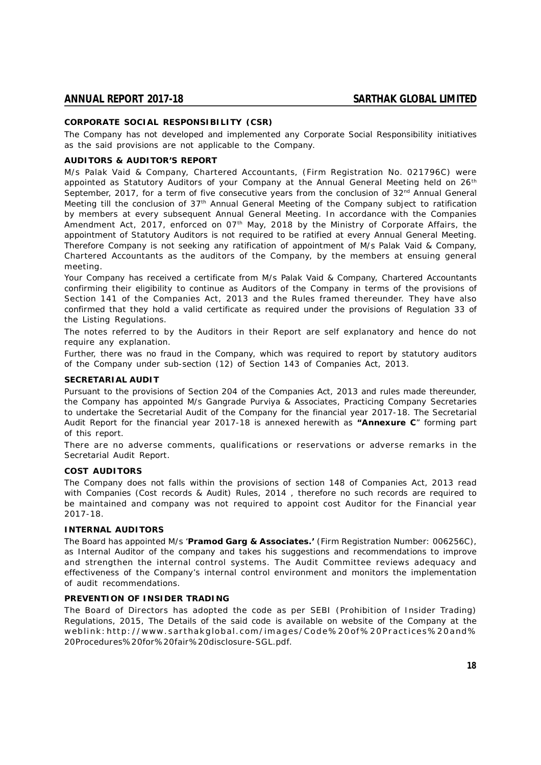## **CORPORATE SOCIAL RESPONSIBILITY (CSR)**

The Company has not developed and implemented any Corporate Social Responsibility initiatives as the said provisions are not applicable to the Company.

#### **AUDITORS & AUDITOR'S REPORT**

M/s Palak Vaid & Company, Chartered Accountants, (Firm Registration No. 021796C) were appointed as Statutory Auditors of your Company at the Annual General Meeting held on 26<sup>th</sup> September, 2017, for a term of five consecutive years from the conclusion of 32<sup>nd</sup> Annual General Meeting till the conclusion of 37<sup>th</sup> Annual General Meeting of the Company subject to ratification by members at every subsequent Annual General Meeting. In accordance with the Companies Amendment Act, 2017, enforced on  $07<sup>th</sup>$  May, 2018 by the Ministry of Corporate Affairs, the appointment of Statutory Auditors is not required to be ratified at every Annual General Meeting. Therefore Company is not seeking any ratification of appointment of M/s Palak Vaid & Company, Chartered Accountants as the auditors of the Company, by the members at ensuing general meeting.

Your Company has received a certificate from M/s Palak Vaid & Company, Chartered Accountants confirming their eligibility to continue as Auditors of the Company in terms of the provisions of Section 141 of the Companies Act, 2013 and the Rules framed thereunder. They have also confirmed that they hold a valid certificate as required under the provisions of Regulation 33 of the Listing Regulations.

The notes referred to by the Auditors in their Report are self explanatory and hence do not require any explanation.

Further, there was no fraud in the Company, which was required to report by statutory auditors of the Company under sub-section (12) of Section 143 of Companies Act, 2013.

#### **SECRETARIAL AUDIT**

Pursuant to the provisions of Section 204 of the Companies Act, 2013 and rules made thereunder, the Company has appointed M/s Gangrade Purviya & Associates, Practicing Company Secretaries to undertake the Secretarial Audit of the Company for the financial year 2017-18. The Secretarial Audit Report for the financial year 2017-18 is annexed herewith as *"Annexure C*" forming part of this report.

There are no adverse comments, qualifications or reservations or adverse remarks in the Secretarial Audit Report.

#### **COST AUDITORS**

The Company does not falls within the provisions of section 148 of Companies Act, 2013 read with Companies (Cost records & Audit) Rules, 2014, therefore no such records are required to be maintained and company was not required to appoint cost Auditor for the Financial year 2017-18.

#### **INTERNAL AUDITORS**

The Board has appointed M/s '**Pramod Garg & Associates.'** (Firm Registration Number: 006256C), as Internal Auditor of the company and takes his suggestions and recommendations to improve and strengthen the internal control systems. The Audit Committee reviews adequacy and effectiveness of the Company's internal control environment and monitors the implementation of audit recommendations.

### **PREVENTION OF INSIDER TRADING**

The Board of Directors has adopted the code as per SEBI (Prohibition of Insider Trading) Regulations, 2015, The Details of the said code is available on website of the Company at the weblink: http://www.sarthakglobal.com/images/Code%20of%20Practices%20and% 20Procedures%20for%20fair%20disclosure-SGL.pdf.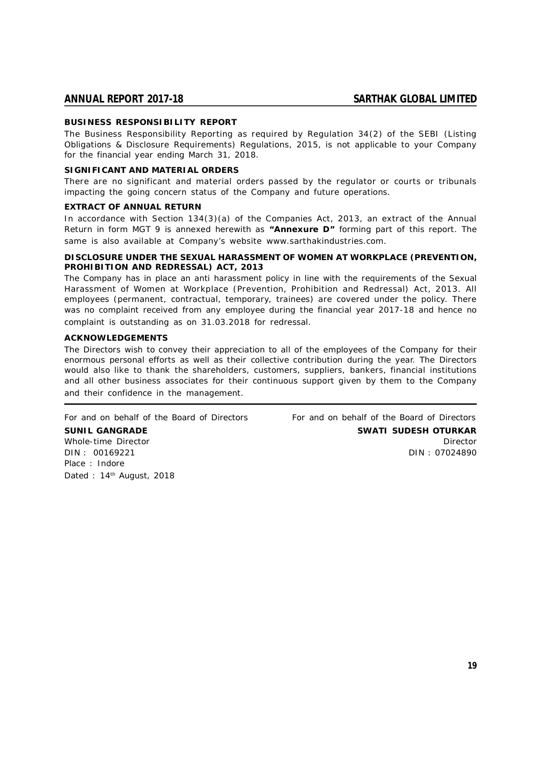#### **BUSINESS RESPONSIBILITY REPORT**

The Business Responsibility Reporting as required by Regulation 34(2) of the SEBI (Listing Obligations & Disclosure Requirements) Regulations, 2015, is not applicable to your Company for the financial year ending March 31, 2018.

### **SIGNIFICANT AND MATERIAL ORDERS**

There are no significant and material orders passed by the regulator or courts or tribunals impacting the going concern status of the Company and future operations.

#### **EXTRACT OF ANNUAL RETURN**

In accordance with Section 134(3)(a) of the Companies Act, 2013, an extract of the Annual Return in form MGT 9 is annexed herewith as **"***Annexure D***"** forming part of this report. The same is also available at Company's website www.sarthakindustries.com.

#### **DISCLOSURE UNDER THE SEXUAL HARASSMENT OF WOMEN AT WORKPLACE (PREVENTION, PROHIBITION AND REDRESSAL) ACT, 2013**

The Company has in place an anti harassment policy in line with the requirements of the Sexual Harassment of Women at Workplace (Prevention, Prohibition and Redressal) Act, 2013. All employees (permanent, contractual, temporary, trainees) are covered under the policy. There was no complaint received from any employee during the financial year 2017-18 and hence no complaint is outstanding as on 31.03.2018 for redressal.

#### **ACKNOWLEDGEMENTS**

The Directors wish to convey their appreciation to all of the employees of the Company for their enormous personal efforts as well as their collective contribution during the year. The Directors would also like to thank the shareholders, customers, suppliers, bankers, financial institutions and all other business associates for their continuous support given by them to the Company and their confidence in the management.

Place : Indore Dated: 14<sup>th</sup> August, 2018

For and on behalf of the Board of Directors For and on behalf of the Board of Directors **SUNIL GANGRADE SWATI SUDESH OTURKAR** Whole-time Director **Director Director Director Director Director Director** DIN : 00169221 DIN : 07024890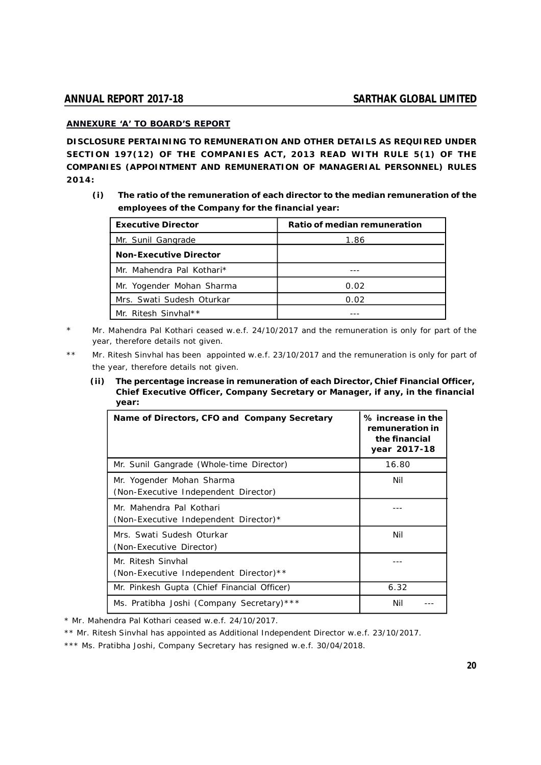#### **ANNEXURE 'A' TO BOARD'S REPORT**

**DISCLOSURE PERTAINING TO REMUNERATION AND OTHER DETAILS AS REQUIRED UNDER SECTION 197(12) OF THE COMPANIES ACT, 2013 READ WITH RULE 5(1) OF THE COMPANIES (APPOINTMENT AND REMUNERATION OF MANAGERIAL PERSONNEL) RULES 2014:**

**(i) The ratio of the remuneration of each director to the median remuneration of the employees of the Company for the financial year:**

| <b>Executive Director</b>     | Ratio of median remuneration |
|-------------------------------|------------------------------|
| Mr. Sunil Gangrade            | 1.86                         |
| <b>Non-Executive Director</b> |                              |
| Mr. Mahendra Pal Kothari*     |                              |
| Mr. Yogender Mohan Sharma     | 0.02                         |
| Mrs. Swati Sudesh Oturkar     | 0.02                         |
| Mr. Ritesh Sinyhal**          |                              |

- *\* Mr. Mahendra Pal Kothari ceased w.e.f. 24/10/2017 and the remuneration is only for part of the year, therefore details not given.*
- *\*\* Mr. Ritesh Sinvhal has been appointed w.e.f. 23/10/2017 and the remuneration is only for part of the year, therefore details not given.*
	- **(ii) The percentage increase in remuneration of each Director, Chief Financial Officer, Chief Executive Officer, Company Secretary or Manager, if any, in the financial year:**

| Name of Directors, CFO and Company Secretary                      | % increase in the<br>remuneration in<br>the financial<br>year 2017-18 |
|-------------------------------------------------------------------|-----------------------------------------------------------------------|
| Mr. Sunil Gangrade (Whole-time Director)                          | 16.80                                                                 |
| Mr. Yogender Mohan Sharma<br>(Non-Executive Independent Director) | Nil                                                                   |
| Mr. Mahendra Pal Kothari<br>(Non-Executive Independent Director)* |                                                                       |
| Mrs. Swati Sudesh Oturkar<br>(Non-Executive Director)             | Nil                                                                   |
| Mr. Ritesh Sinyhal<br>(Non-Executive Independent Director)**      |                                                                       |
| Mr. Pinkesh Gupta (Chief Financial Officer)                       | 6.32                                                                  |
| Ms. Pratibha Joshi (Company Secretary) ***                        | Nil                                                                   |

*\* Mr. Mahendra Pal Kothari ceased w.e.f. 24/10/2017.*

*\*\* Mr. Ritesh Sinvhal has appointed as Additional Independent Director w.e.f. 23/10/2017.*

*\*\*\* Ms. Pratibha Joshi, Company Secretary has resigned w.e.f. 30/04/2018.*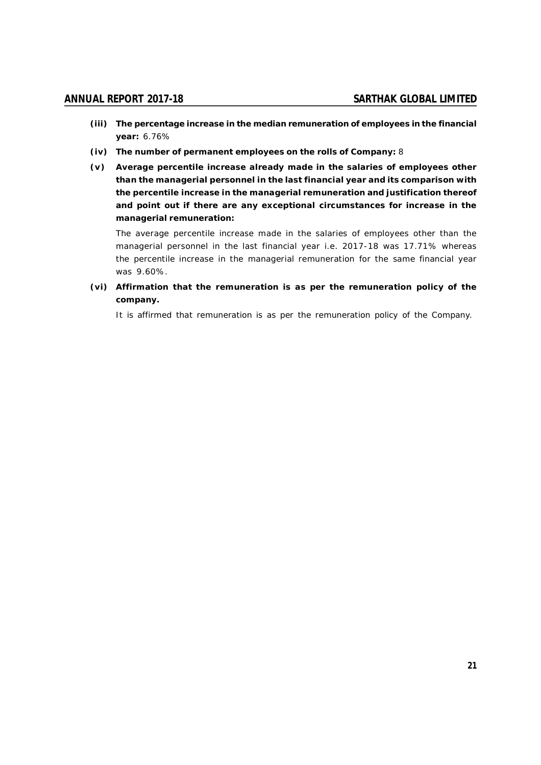- **(iii) The percentage increase in the median remuneration of employees in the financial year:** 6.76%
- **(iv) The number of permanent employees on the rolls of Company:** 8
- **(v) Average percentile increase already made in the salaries of employees other than the managerial personnel in the last financial year and its comparison with the percentile increase in the managerial remuneration and justification thereof and point out if there are any exceptional circumstances for increase in the managerial remuneration:**

The average percentile increase made in the salaries of employees other than the managerial personnel in the last financial year i.e. 2017-18 was 17.71% whereas the percentile increase in the managerial remuneration for the same financial year was 9.60%.

**(vi) Affirmation that the remuneration is as per the remuneration policy of the company.**

It is affirmed that remuneration is as per the remuneration policy of the Company.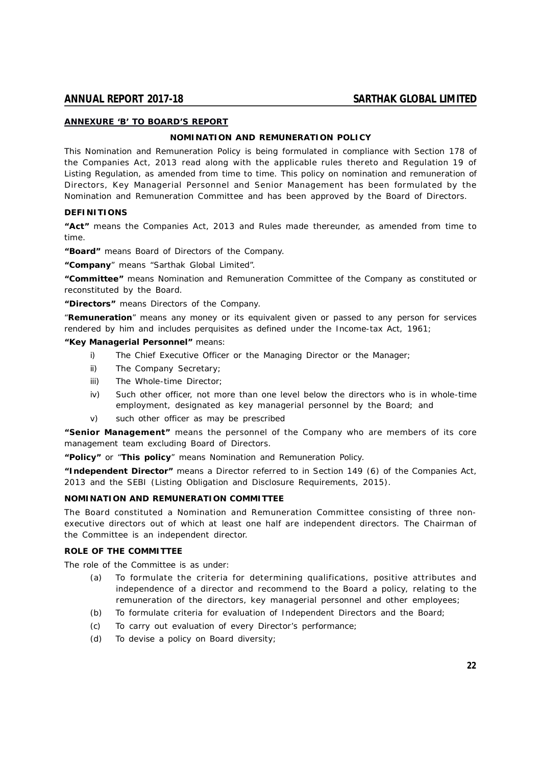#### **ANNEXURE 'B' TO BOARD'S REPORT**

#### **NOMINATION AND REMUNERATION POLICY**

This Nomination and Remuneration Policy is being formulated in compliance with Section 178 of the Companies Act, 2013 read along with the applicable rules thereto and Regulation 19 of Listing Regulation, as amended from time to time. This policy on nomination and remuneration of Directors, Key Managerial Personnel and Senior Management has been formulated by the Nomination and Remuneration Committee and has been approved by the Board of Directors.

#### **DEFINITIONS**

**"Act"** means the Companies Act, 2013 and Rules made thereunder, as amended from time to time.

**"Board"** means Board of Directors of the Company.

**"Company**" means "Sarthak Global Limited".

**"Committee"** means Nomination and Remuneration Committee of the Company as constituted or reconstituted by the Board.

**"Directors"** means Directors of the Company.

"**Remuneration**" means any money or its equivalent given or passed to any person for services rendered by him and includes perquisites as defined under the Income-tax Act, 1961;

#### **"Key Managerial Personnel"** means:

- i) The Chief Executive Officer or the Managing Director or the Manager;
- ii) The Company Secretary;
- iii) The Whole-time Director;
- iv) Such other officer, not more than one level below the directors who is in whole-time employment, designated as key managerial personnel by the Board; and
- v) such other officer as may be prescribed

**"Senior Management"** means the personnel of the Company who are members of its core management team excluding Board of Directors.

**"Policy"** or "**This policy**" means Nomination and Remuneration Policy.

**"Independent Director"** means a Director referred to in Section 149 (6) of the Companies Act, 2013 and the SEBI (Listing Obligation and Disclosure Requirements, 2015).

#### **NOMINATION AND REMUNERATION COMMITTEE**

The Board constituted a Nomination and Remuneration Committee consisting of three nonexecutive directors out of which at least one half are independent directors. The Chairman of the Committee is an independent director.

#### **ROLE OF THE COMMITTEE**

The role of the Committee is as under:

- (a) To formulate the criteria for determining qualifications, positive attributes and independence of a director and recommend to the Board a policy, relating to the remuneration of the directors, key managerial personnel and other employees;
- (b) To formulate criteria for evaluation of Independent Directors and the Board;
- (c) To carry out evaluation of every Director's performance;
- (d) To devise a policy on Board diversity;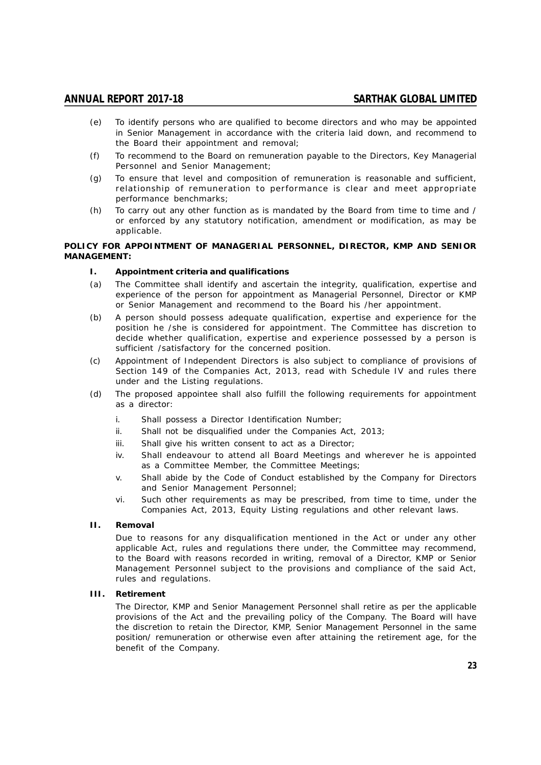- (e) To identify persons who are qualified to become directors and who may be appointed in Senior Management in accordance with the criteria laid down, and recommend to the Board their appointment and removal;
- (f) To recommend to the Board on remuneration payable to the Directors, Key Managerial Personnel and Senior Management;
- (g) To ensure that level and composition of remuneration is reasonable and sufficient, relationship of remuneration to performance is clear and meet appropriate performance benchmarks;
- (h) To carry out any other function as is mandated by the Board from time to time and / or enforced by any statutory notification, amendment or modification, as may be applicable.

### **POLICY FOR APPOINTMENT OF MANAGERIAL PERSONNEL, DIRECTOR, KMP AND SENIOR MANAGEMENT:**

### **I. Appointment criteria and qualifications**

- (a) The Committee shall identify and ascertain the integrity, qualification, expertise and experience of the person for appointment as Managerial Personnel, Director or KMP or Senior Management and recommend to the Board his /her appointment.
- (b) A person should possess adequate qualification, expertise and experience for the position he /she is considered for appointment. The Committee has discretion to decide whether qualification, expertise and experience possessed by a person is sufficient /satisfactory for the concerned position.
- (c) Appointment of Independent Directors is also subject to compliance of provisions of Section 149 of the Companies Act, 2013, read with Schedule IV and rules there under and the Listing regulations.
- (d) The proposed appointee shall also fulfill the following requirements for appointment as a director:
	- i. Shall possess a Director Identification Number;
	- ii. Shall not be disqualified under the Companies Act, 2013;
	- iii. Shall give his written consent to act as a Director:
	- iv. Shall endeavour to attend all Board Meetings and wherever he is appointed as a Committee Member, the Committee Meetings;
	- v. Shall abide by the Code of Conduct established by the Company for Directors and Senior Management Personnel;
	- vi. Such other requirements as may be prescribed, from time to time, under the Companies Act, 2013, Equity Listing regulations and other relevant laws.

#### **II. Removal**

Due to reasons for any disqualification mentioned in the Act or under any other applicable Act, rules and regulations there under, the Committee may recommend, to the Board with reasons recorded in writing, removal of a Director, KMP or Senior Management Personnel subject to the provisions and compliance of the said Act, rules and regulations.

#### **III. Retirement**

The Director, KMP and Senior Management Personnel shall retire as per the applicable provisions of the Act and the prevailing policy of the Company. The Board will have the discretion to retain the Director, KMP, Senior Management Personnel in the same position/ remuneration or otherwise even after attaining the retirement age, for the benefit of the Company.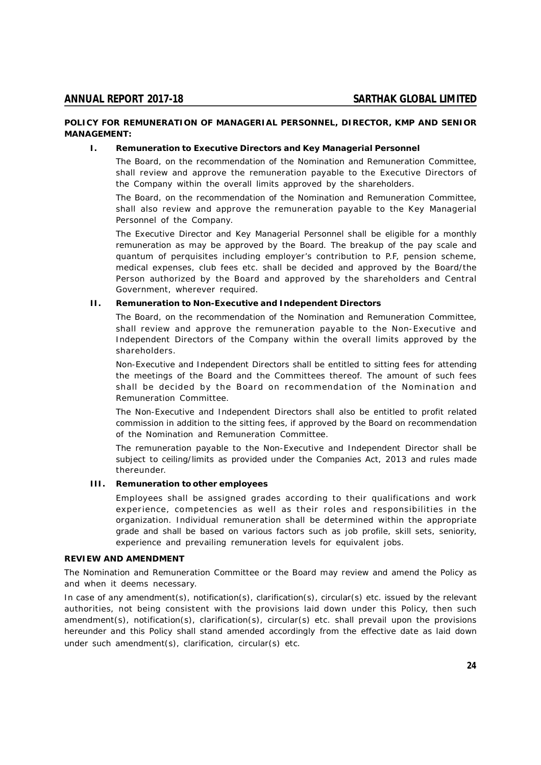# **POLICY FOR REMUNERATION OF MANAGERIAL PERSONNEL, DIRECTOR, KMP AND SENIOR MANAGEMENT:**

#### **I. Remuneration to Executive Directors and Key Managerial Personnel**

The Board, on the recommendation of the Nomination and Remuneration Committee, shall review and approve the remuneration payable to the Executive Directors of the Company within the overall limits approved by the shareholders.

The Board, on the recommendation of the Nomination and Remuneration Committee, shall also review and approve the remuneration payable to the Key Managerial Personnel of the Company.

The Executive Director and Key Managerial Personnel shall be eligible for a monthly remuneration as may be approved by the Board. The breakup of the pay scale and quantum of perquisites including employer's contribution to P.F, pension scheme, medical expenses, club fees etc. shall be decided and approved by the Board/the Person authorized by the Board and approved by the shareholders and Central Government, wherever required.

## **II. Remuneration to Non-Executive and Independent Directors**

The Board, on the recommendation of the Nomination and Remuneration Committee, shall review and approve the remuneration payable to the Non-Executive and Independent Directors of the Company within the overall limits approved by the shareholders.

Non-Executive and Independent Directors shall be entitled to sitting fees for attending the meetings of the Board and the Committees thereof. The amount of such fees shall be decided by the Board on recommendation of the Nomination and Remuneration Committee.

The Non-Executive and Independent Directors shall also be entitled to profit related commission in addition to the sitting fees, if approved by the Board on recommendation of the Nomination and Remuneration Committee.

The remuneration payable to the Non-Executive and Independent Director shall be subject to ceiling/limits as provided under the Companies Act, 2013 and rules made thereunder.

### **III. Remuneration to other employees**

Employees shall be assigned grades according to their qualifications and work experience, competencies as well as their roles and responsibilities in the organization. Individual remuneration shall be determined within the appropriate grade and shall be based on various factors such as job profile, skill sets, seniority, experience and prevailing remuneration levels for equivalent jobs.

#### **REVIEW AND AMENDMENT**

The Nomination and Remuneration Committee or the Board may review and amend the Policy as and when it deems necessary.

In case of any amendment(s), notification(s), clarification(s), circular(s) etc. issued by the relevant authorities, not being consistent with the provisions laid down under this Policy, then such amendment(s), notification(s), clarification(s), circular(s) etc. shall prevail upon the provisions hereunder and this Policy shall stand amended accordingly from the effective date as laid down under such amendment(s), clarification, circular(s) etc.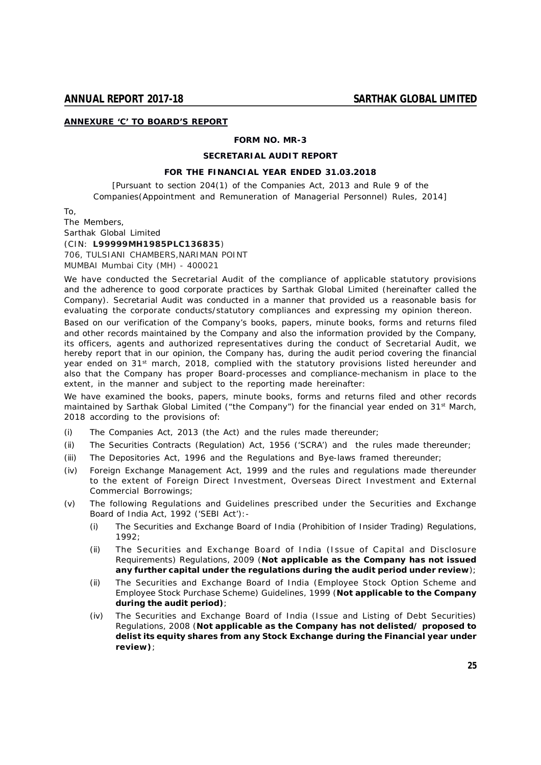#### **ANNEXURE 'C' TO BOARD'S REPORT**

#### **FORM NO. MR-3**

#### **SECRETARIAL AUDIT REPORT**

#### **FOR THE FINANCIAL YEAR ENDED 31.03.2018**

[Pursuant to section 204(1) of the Companies Act, 2013 and Rule 9 of the Companies(Appointment and Remuneration of Managerial Personnel) Rules, 2014]

To,

The Members, Sarthak Global Limited (CIN: **L99999MH1985PLC136835**) 706, TULSIANI CHAMBERS,NARIMAN POINT MUMBAI Mumbai City (MH) - 400021

We have conducted the Secretarial Audit of the compliance of applicable statutory provisions and the adherence to good corporate practices by Sarthak Global Limited (hereinafter called the Company). Secretarial Audit was conducted in a manner that provided us a reasonable basis for evaluating the corporate conducts/statutory compliances and expressing my opinion thereon.

Based on our verification of the Company's books, papers, minute books, forms and returns filed and other records maintained by the Company and also the information provided by the Company, its officers, agents and authorized representatives during the conduct of Secretarial Audit, we hereby report that in our opinion, the Company has, during the audit period covering the financial year ended on 31st march, 2018, complied with the statutory provisions listed hereunder and also that the Company has proper Board-processes and compliance-mechanism in place to the extent, in the manner and subject to the reporting made hereinafter:

We have examined the books, papers, minute books, forms and returns filed and other records maintained by Sarthak Global Limited ("the Company") for the financial year ended on 31<sup>st</sup> March, 2018 according to the provisions of:

- (i) The Companies Act, 2013 (the Act) and the rules made thereunder;
- (ii) The Securities Contracts (Regulation) Act, 1956 ('SCRA') and the rules made thereunder;
- (iii) The Depositories Act, 1996 and the Regulations and Bye-laws framed thereunder;
- (iv) Foreign Exchange Management Act, 1999 and the rules and regulations made thereunder to the extent of Foreign Direct Investment, Overseas Direct Investment and External Commercial Borrowings;
- (v) The following Regulations and Guidelines prescribed under the Securities and Exchange Board of India Act, 1992 ('SEBI Act'):-
	- (i) The Securities and Exchange Board of India (Prohibition of Insider Trading) Regulations, 1992;
	- (ii) The Securities and Exchange Board of India (Issue of Capital and Disclosure Requirements) Regulations, 2009 (**Not applicable as the Company has not issued any further capital under the regulations during the audit period under review**);
	- (ii) The Securities and Exchange Board of India (Employee Stock Option Scheme and Employee Stock Purchase Scheme) Guidelines, 1999 (**Not applicable to the Company during the audit period)**;
	- (iv) The Securities and Exchange Board of India (Issue and Listing of Debt Securities) Regulations, 2008 (**Not applicable as the Company has not delisted/ proposed to delist its equity shares from any Stock Exchange during the Financial year under review)**;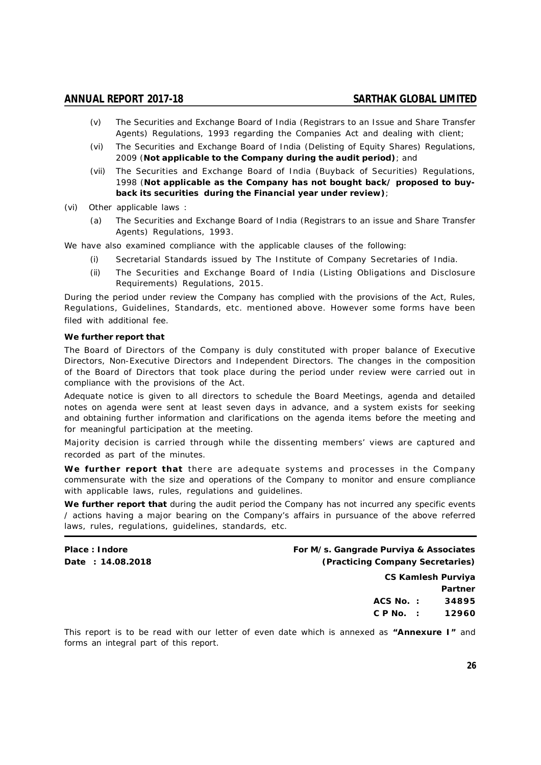- (v) The Securities and Exchange Board of India (Registrars to an Issue and Share Transfer Agents) Regulations, 1993 regarding the Companies Act and dealing with client;
- (vi) The Securities and Exchange Board of India (Delisting of Equity Shares) Regulations, 2009 (**Not applicable to the Company during the audit period)**; and
- (vii) The Securities and Exchange Board of India (Buyback of Securities) Regulations, 1998 (**Not applicable as the Company has not bought back/ proposed to buyback its securities during the Financial year under review)**;
- (vi) Other applicable laws :
	- (a) The Securities and Exchange Board of India (Registrars to an issue and Share Transfer Agents) Regulations, 1993.

We have also examined compliance with the applicable clauses of the following:

- (i) Secretarial Standards issued by The Institute of Company Secretaries of India.
- (ii) The Securities and Exchange Board of India (Listing Obligations and Disclosure Requirements) Regulations, 2015.

During the period under review the Company has complied with the provisions of the Act, Rules, Regulations, Guidelines, Standards, etc. mentioned above. However some forms have been filed with additional fee.

#### **We further report that**

The Board of Directors of the Company is duly constituted with proper balance of Executive Directors, Non-Executive Directors and Independent Directors. The changes in the composition of the Board of Directors that took place during the period under review were carried out in compliance with the provisions of the Act.

Adequate notice is given to all directors to schedule the Board Meetings, agenda and detailed notes on agenda were sent at least seven days in advance, and a system exists for seeking and obtaining further information and clarifications on the agenda items before the meeting and for meaningful participation at the meeting.

Majority decision is carried through while the dissenting members' views are captured and recorded as part of the minutes.

**We further report that** there are adequate systems and processes in the Company commensurate with the size and operations of the Company to monitor and ensure compliance with applicable laws, rules, regulations and guidelines.

**We further report that** during the audit period the Company has not incurred any specific events / actions having a major bearing on the Company's affairs in pursuance of the above referred laws, rules, regulations, guidelines, standards, etc.

**Place : Indore For M/s. Gangrade Purviya & Associates Date : 14.08.2018 (Practicing Company Secretaries) CS Kamlesh Purviya**

**Partner ACS No. : 34895 C P No. : 12960**

This report is to be read with our letter of even date which is annexed as *"Annexure I"* and forms an integral part of this report.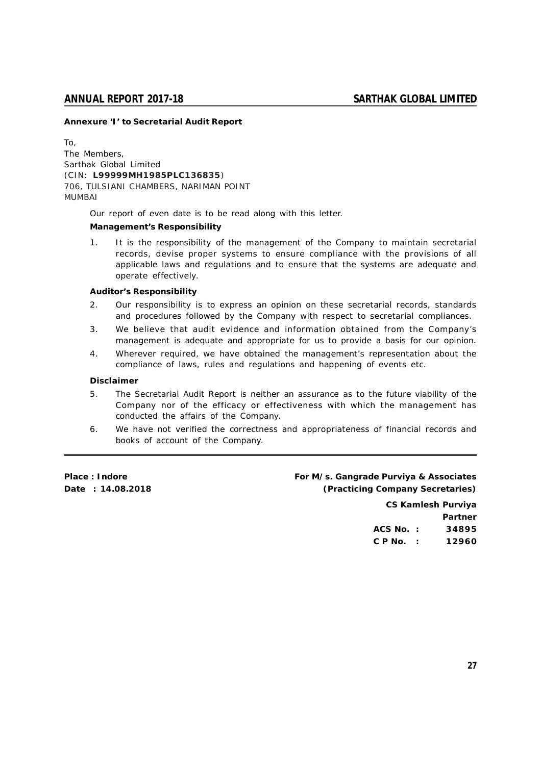#### **Annexure 'I' to Secretarial Audit Report**

To, The Members, Sarthak Global Limited (CIN: **L99999MH1985PLC136835**) 706, TULSIANI CHAMBERS, NARIMAN POINT **MUMBAI** 

Our report of even date is to be read along with this letter.

### **Management's Responsibility**

1. It is the responsibility of the management of the Company to maintain secretarial records, devise proper systems to ensure compliance with the provisions of all applicable laws and regulations and to ensure that the systems are adequate and operate effectively.

#### **Auditor's Responsibility**

- 2. Our responsibility is to express an opinion on these secretarial records, standards and procedures followed by the Company with respect to secretarial compliances.
- 3. We believe that audit evidence and information obtained from the Company's management is adequate and appropriate for us to provide a basis for our opinion.
- 4. Wherever required, we have obtained the management's representation about the compliance of laws, rules and regulations and happening of events etc.

#### **Disclaimer**

- 5. The Secretarial Audit Report is neither an assurance as to the future viability of the Company nor of the efficacy or effectiveness with which the management has conducted the affairs of the Company.
- 6. We have not verified the correctness and appropriateness of financial records and books of account of the Company.

**Place : Indore For M/s. Gangrade Purviya & Associates Date : 14.08.2018 (Practicing Company Secretaries)**

> **CS Kamlesh Purviya Partner ACS No. : 34895 C P No. : 12960**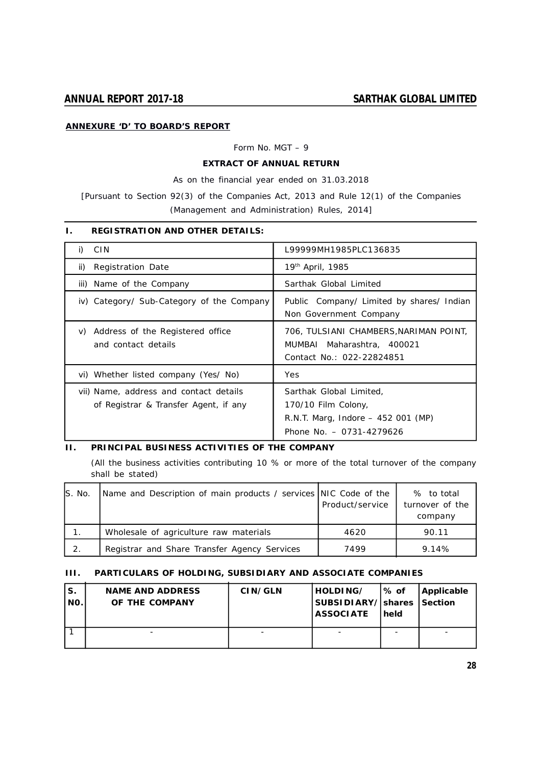## **ANNEXURE 'D' TO BOARD'S REPORT**

#### Form No. MGT – 9

## **EXTRACT OF ANNUAL RETURN**

As on the financial year ended on 31.03.2018

[Pursuant to Section 92(3) of the Companies Act, 2013 and Rule 12(1) of the Companies (Management and Administration) Rules, 2014]

#### **I. REGISTRATION AND OTHER DETAILS:**

| CIN<br>i)                                                                       | L99999MH1985PLC136835                                                                                                |
|---------------------------------------------------------------------------------|----------------------------------------------------------------------------------------------------------------------|
| <b>Registration Date</b><br>ii)                                                 | 19 <sup>th</sup> April, 1985                                                                                         |
| iii) Name of the Company                                                        | Sarthak Global Limited                                                                                               |
| iv) Category/ Sub-Category of the Company                                       | Public Company/ Limited by shares/ Indian<br>Non Government Company                                                  |
| v) Address of the Registered office<br>and contact details                      | 706, TULSIANI CHAMBERS, NARIMAN POINT,<br>MUMBAI Maharashtra, 400021<br>Contact No.: 022-22824851                    |
| vi) Whether listed company (Yes/ No)                                            | <b>Yes</b>                                                                                                           |
| vii) Name, address and contact details<br>of Registrar & Transfer Agent, if any | Sarthak Global Limited,<br>170/10 Film Colony,<br>$R.N.T.$ Marg, Indore $-$ 452 001 (MP)<br>Phone No. - 0731-4279626 |

## **II. PRINCIPAL BUSINESS ACTIVITIES OF THE COMPANY**

(All the business activities contributing 10 % or more of the total turnover of the company shall be stated)

| IS. No.          | Name and Description of main products / services NIC Code of the | Product/service | % to total<br>turnover of the<br>company |
|------------------|------------------------------------------------------------------|-----------------|------------------------------------------|
| $\overline{1}$ . | Wholesale of agriculture raw materials                           | 4620            | 90.11                                    |
| 2.               | Registrar and Share Transfer Agency Services                     | 7499            | 9.14%                                    |

## **III. PARTICULARS OF HOLDING, SUBSIDIARY AND ASSOCIATE COMPANIES**

| IS.<br>INO. | <b>NAME AND ADDRESS</b><br>OF THE COMPANY | <b>CIN/GLN</b> | HOLDING/<br>SUBSIDIARY/shares<br><b>ASSOCIATE</b> | l% of<br>held | Applicable<br><b>Section</b> |
|-------------|-------------------------------------------|----------------|---------------------------------------------------|---------------|------------------------------|
|             |                                           |                |                                                   |               |                              |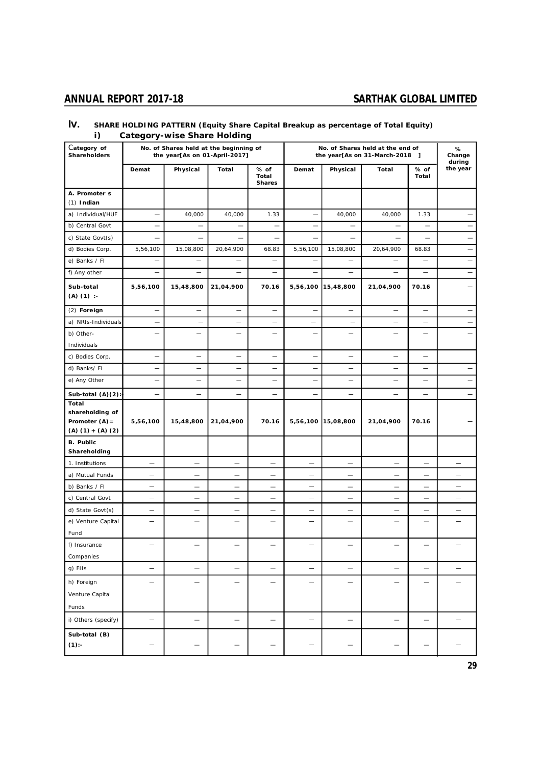# **SARTHAK GLOBAL LIMITED**

#### **IV. SHARE HOLDING PATTERN (Equity Share Capital Breakup as percentage of Total Equity) i) Category-wise Share Holding**

| Category of<br>Shareholders                                         |                          | No. of Shares held at the beginning of<br>the year[As on 01-April-2017] |                          |                                | No. of Shares held at the end of<br>the year[As on 31-March-2018 ] |                          |                          |                          | %<br>Change<br>during    |  |
|---------------------------------------------------------------------|--------------------------|-------------------------------------------------------------------------|--------------------------|--------------------------------|--------------------------------------------------------------------|--------------------------|--------------------------|--------------------------|--------------------------|--|
|                                                                     | Demat                    | Physical                                                                | Total                    | % of<br>Total<br><b>Shares</b> | Demat                                                              | Physical                 | Total                    | % of<br>Total            | the year                 |  |
| A. Promoter s<br>$(1)$ Indian                                       |                          |                                                                         |                          |                                |                                                                    |                          |                          |                          |                          |  |
| a) Individual/HUF                                                   | $\overline{\phantom{0}}$ | 40,000                                                                  | 40,000                   | 1.33                           | $\overline{\phantom{0}}$                                           | 40,000                   | 40,000                   | 1.33                     |                          |  |
| b) Central Govt                                                     | $\overline{\phantom{a}}$ | $\overline{\phantom{0}}$                                                | $\overline{\phantom{0}}$ | $\overline{\phantom{0}}$       | $\overline{\phantom{0}}$                                           |                          | $\overline{\phantom{0}}$ |                          |                          |  |
| c) State Govt(s)                                                    |                          |                                                                         |                          | $\overline{\phantom{0}}$       |                                                                    |                          |                          | $\overline{\phantom{0}}$ |                          |  |
| d) Bodies Corp.                                                     | 5,56,100                 | 15,08,800                                                               | 20,64,900                | 68.83                          | 5,56,100                                                           | 15,08,800                | 20,64,900                | 68.83                    | -                        |  |
| e) Banks / FI                                                       |                          | $\overline{\phantom{0}}$                                                | $\overline{\phantom{0}}$ |                                | -                                                                  | $\overline{\phantom{0}}$ | $\overline{\phantom{0}}$ | —                        | -                        |  |
| f) Any other                                                        | $\overline{\phantom{0}}$ | $\overline{\phantom{0}}$                                                | $\overline{\phantom{0}}$ | $\overline{\phantom{0}}$       | $\overline{\phantom{0}}$                                           | $\qquad \qquad -$        | $\overline{\phantom{0}}$ | $\overline{\phantom{0}}$ | $\overline{\phantom{0}}$ |  |
| Sub-total<br>$(A) (1)$ :-                                           | 5,56,100                 | 15,48,800                                                               | 21,04,900                | 70.16                          |                                                                    | 5,56,100 15,48,800       | 21,04,900                | 70.16                    |                          |  |
| (2) Foreign                                                         | $\overline{\phantom{0}}$ | $\overline{\phantom{0}}$                                                | $\overline{\phantom{0}}$ | $\overline{\phantom{0}}$       | $\overline{\phantom{0}}$                                           | $\overline{\phantom{0}}$ | $\overline{\phantom{0}}$ |                          | -                        |  |
| a) NRIs-Individuals                                                 |                          | $\overline{\phantom{0}}$                                                | $\qquad \qquad -$        | $\overline{\phantom{0}}$       | -                                                                  | $\qquad \qquad -$        | $\qquad \qquad -$        | $\qquad \qquad -$        |                          |  |
| b) Other-                                                           |                          | -                                                                       | $\overline{\phantom{0}}$ | $\overline{\phantom{0}}$       | -                                                                  | $\overline{\phantom{0}}$ | $\overline{\phantom{0}}$ | $\overline{\phantom{0}}$ |                          |  |
| Individuals                                                         |                          |                                                                         |                          |                                |                                                                    |                          |                          |                          |                          |  |
| c) Bodies Corp.                                                     | $\overline{\phantom{0}}$ | $\overline{\phantom{0}}$                                                | $\overline{\phantom{0}}$ | $\overline{\phantom{0}}$       | $\overline{\phantom{0}}$                                           | $\overline{\phantom{0}}$ | $\overline{\phantom{0}}$ | $\overline{\phantom{0}}$ |                          |  |
| d) Banks/ FI                                                        | $\overline{\phantom{0}}$ | $\overline{\phantom{0}}$                                                | $\qquad \qquad -$        | $\overline{\phantom{0}}$       | $\overline{\phantom{0}}$                                           | $\qquad \qquad -$        | $\qquad \qquad -$        | $\qquad \qquad -$        |                          |  |
| e) Any Other                                                        |                          | -                                                                       | -                        | $\overline{\phantom{0}}$       | -                                                                  | -                        | -                        | -                        |                          |  |
| Sub-total $(A)(2)$ :                                                | $\overline{\phantom{0}}$ | $\overline{\phantom{0}}$                                                | $\qquad \qquad -$        | $\overline{\phantom{0}}$       | $\overline{\phantom{0}}$                                           | $\overline{\phantom{0}}$ | $\overline{\phantom{0}}$ | $\overline{\phantom{0}}$ |                          |  |
| Total<br>shareholding of<br>Promoter $(A)$ =<br>$(A) (1) + (A) (2)$ | 5,56,100                 | 15,48,800                                                               | 21,04,900                | 70.16                          |                                                                    | 5,56,100 15,08,800       | 21,04,900                | 70.16                    |                          |  |
| <b>B.</b> Public<br>Shareholding                                    |                          |                                                                         |                          |                                |                                                                    |                          |                          |                          |                          |  |
| 1. Institutions                                                     | $\overline{\phantom{0}}$ |                                                                         | $\qquad \qquad -$        |                                | $\qquad \qquad -$                                                  |                          | $\overline{\phantom{0}}$ | $\overline{\phantom{0}}$ | $\overline{\phantom{0}}$ |  |
| a) Mutual Funds                                                     | -                        |                                                                         |                          | $\qquad \qquad -$              | $\overline{\phantom{m}}$                                           | $\overline{\phantom{m}}$ | $\overline{\phantom{m}}$ | $\qquad \qquad -$        | $\qquad \qquad -$        |  |
| b) Banks / FI                                                       | $\overline{\phantom{m}}$ | $\qquad \qquad -$                                                       | -                        | $\qquad \qquad -$              | $\qquad \qquad -$                                                  | —                        | $\overline{\phantom{0}}$ | $\qquad \qquad -$        | $\overline{\phantom{m}}$ |  |
| c) Central Govt                                                     | -                        | -                                                                       | $\overline{\phantom{0}}$ | $\overline{\phantom{0}}$       |                                                                    | $\overline{\phantom{0}}$ | $\overline{\phantom{0}}$ | $\overline{\phantom{0}}$ |                          |  |
| d) State Govt(s)                                                    | $\overline{\phantom{0}}$ |                                                                         | $\overline{\phantom{0}}$ |                                | $\overline{\phantom{0}}$                                           |                          | $\overline{\phantom{0}}$ | $\qquad \qquad -$        | $\overline{\phantom{0}}$ |  |
| e) Venture Capital<br>Fund                                          | —                        | $\overline{\phantom{0}}$                                                | $\overline{\phantom{0}}$ | $\overline{\phantom{0}}$       | $\overline{\phantom{0}}$                                           | $\overline{\phantom{0}}$ | $\overline{\phantom{0}}$ | $\overline{\phantom{0}}$ |                          |  |
| f) Insurance<br>Companies                                           | $\overline{\phantom{0}}$ | $\frac{1}{2}$                                                           | $\qquad \qquad -$        | $\overline{\phantom{0}}$       |                                                                    | -                        | $\overline{\phantom{0}}$ | $\overline{\phantom{0}}$ | $\overline{\phantom{0}}$ |  |
| g) FIIs                                                             | $\overline{\phantom{0}}$ |                                                                         |                          | $\overline{\phantom{0}}$       | $\overline{\phantom{0}}$                                           | $\overline{\phantom{0}}$ | $\overline{\phantom{m}}$ | $\overline{\phantom{0}}$ | $\overline{\phantom{m}}$ |  |
| h) Foreign                                                          | -                        |                                                                         | $\overline{\phantom{0}}$ | $\overline{\phantom{0}}$       | $\qquad \qquad -$                                                  | $\qquad \qquad -$        | —                        | -                        | -                        |  |
| Venture Capital<br>Funds                                            |                          |                                                                         |                          |                                |                                                                    |                          |                          |                          |                          |  |
| i) Others (specify)                                                 | $\overline{\phantom{0}}$ | $\overline{\phantom{0}}$                                                | $\overline{\phantom{0}}$ | $\overline{\phantom{0}}$       | $\qquad \qquad -$                                                  | $\overline{\phantom{0}}$ |                          |                          | $\overline{\phantom{0}}$ |  |
| Sub-total (B)<br>$(1)$ :-                                           | -                        |                                                                         | -                        |                                | —                                                                  |                          |                          | $\qquad \qquad -$        |                          |  |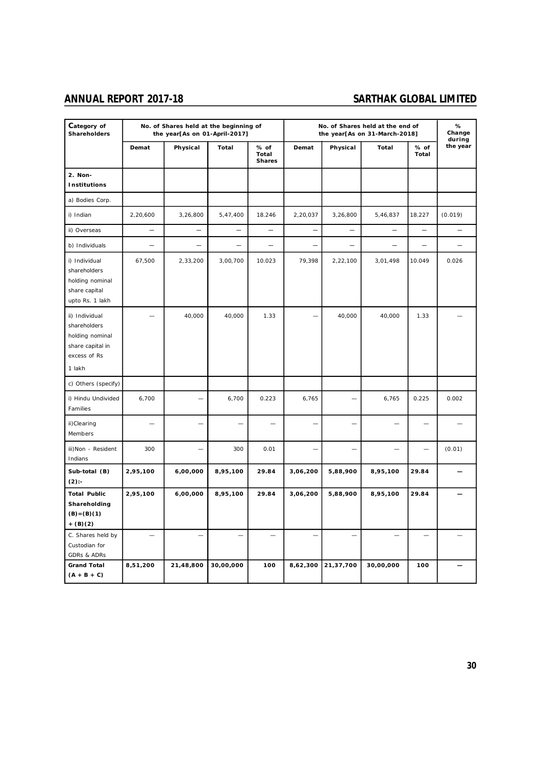# **SARTHAK GLOBAL LIMITED**

| Category of<br>Shareholders                                                                     | No. of Shares held at the beginning of<br>the year[As on 01-April-2017] |                          |                          |                                | No. of Shares held at the end of<br>the year[As on 31-March-2018] |                          |                          |                                 | %<br>Change<br>during    |
|-------------------------------------------------------------------------------------------------|-------------------------------------------------------------------------|--------------------------|--------------------------|--------------------------------|-------------------------------------------------------------------|--------------------------|--------------------------|---------------------------------|--------------------------|
|                                                                                                 | Demat                                                                   | Physical                 | Total                    | % of<br>Total<br><b>Shares</b> | Demat                                                             | Physical                 | Total                    | % of<br><b>Total</b>            | the year                 |
| 2. Non-<br><b>Institutions</b>                                                                  |                                                                         |                          |                          |                                |                                                                   |                          |                          |                                 |                          |
| a) Bodies Corp.                                                                                 |                                                                         |                          |                          |                                |                                                                   |                          |                          |                                 |                          |
| i) Indian                                                                                       | 2,20,600                                                                | 3,26,800                 | 5,47,400                 | 18.246                         | 2,20,037                                                          | 3,26,800                 | 5,46,837                 | 18.227                          | (0.019)                  |
| ii) Overseas                                                                                    | $\overline{\phantom{0}}$                                                | $\overline{\phantom{0}}$ | $\overline{\phantom{0}}$ | $\overline{\phantom{0}}$       | -                                                                 | $\overline{\phantom{0}}$ |                          | $\overbrace{\phantom{1232211}}$ |                          |
| b) Individuals                                                                                  | $\overline{\phantom{0}}$                                                |                          | $\overline{\phantom{0}}$ | $\overline{\phantom{0}}$       |                                                                   |                          | $\overline{\phantom{0}}$ | $\overline{\phantom{0}}$        | $\overline{\phantom{0}}$ |
| i) Individual<br>shareholders<br>holding nominal<br>share capital<br>upto Rs. 1 lakh            | 67,500                                                                  | 2,33,200                 | 3,00,700                 | 10.023                         | 79,398                                                            | 2,22,100                 | 3,01,498                 | 10.049                          | 0.026                    |
| ii) Individual<br>shareholders<br>holding nominal<br>share capital in<br>excess of Rs<br>1 lakh |                                                                         | 40,000                   | 40,000                   | 1.33                           |                                                                   | 40,000                   | 40,000                   | 1.33                            |                          |
| c) Others (specify)                                                                             |                                                                         |                          |                          |                                |                                                                   |                          |                          |                                 |                          |
| i) Hindu Undivided<br>Families                                                                  | 6,700                                                                   |                          | 6,700                    | 0.223                          | 6,765                                                             | $\overline{\phantom{a}}$ | 6,765                    | 0.225                           | 0.002                    |
| ii)Clearing<br>Members                                                                          |                                                                         |                          |                          |                                |                                                                   |                          |                          |                                 |                          |
| iii) Non - Resident<br>Indians                                                                  | 300                                                                     |                          | 300                      | 0.01                           |                                                                   |                          |                          |                                 | (0.01)                   |
| Sub-total (B)<br>$(2)$ :-                                                                       | 2,95,100                                                                | 6,00,000                 | 8,95,100                 | 29.84                          | 3,06,200                                                          | 5,88,900                 | 8,95,100                 | 29.84                           |                          |
| <b>Total Public</b><br>Shareholding<br>$(B) = (B) (1)$<br>$+ (B)(2)$                            | 2,95,100                                                                | 6,00,000                 | 8,95,100                 | 29.84                          | 3,06,200                                                          | 5,88,900                 | 8,95,100                 | 29.84                           |                          |
| C. Shares held by<br>Custodian for<br><b>GDRs &amp; ADRs</b>                                    | $\overline{\phantom{0}}$                                                |                          | $\overline{\phantom{0}}$ | $\overline{\phantom{0}}$       |                                                                   | ÷                        |                          |                                 |                          |
| <b>Grand Total</b><br>$(A + B + C)$                                                             | 8,51,200                                                                | 21,48,800                | 30,00,000                | 100                            | 8,62,300                                                          | 21,37,700                | 30,00,000                | 100                             |                          |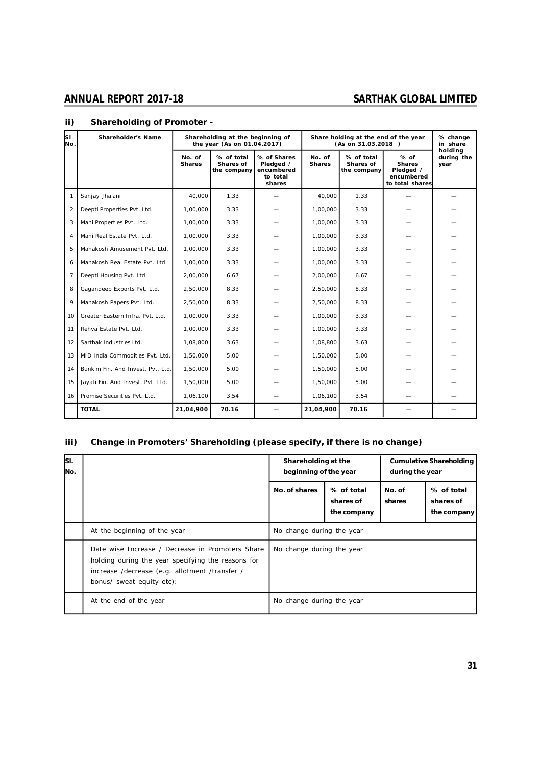# **SARTHAK GLOBAL LIMITED**

# **ii) Shareholding of Promoter -**

| İsı<br>No.     | <b>Shareholder's Name</b>         |                         | Shareholding at the beginning of<br>the year (As on 01.04.2017) |                                                              |                         | Share holding at the end of the year<br>(As on 31.03.2018) |                                                                     |                               |
|----------------|-----------------------------------|-------------------------|-----------------------------------------------------------------|--------------------------------------------------------------|-------------------------|------------------------------------------------------------|---------------------------------------------------------------------|-------------------------------|
|                |                                   | No. of<br><b>Shares</b> | % of total<br>Shares of<br>the company                          | % of Shares<br>Pledged /<br>encumbered<br>to total<br>shares | No. of<br><b>Shares</b> | % of total<br>Shares of<br>the company                     | % of<br><b>Shares</b><br>Pledged /<br>encumbered<br>to total shares | holdina<br>during the<br>year |
| $\mathbf{1}$   | Sanjay Jhalani                    | 40.000                  | 1.33                                                            |                                                              | 40.000                  | 1.33                                                       |                                                                     |                               |
| $\overline{2}$ | Deepti Properties Pvt. Ltd.       | 1,00,000                | 3.33                                                            |                                                              | 1,00,000                | 3.33                                                       |                                                                     |                               |
| 3              | Mahi Properties Pvt. Ltd.         | 1,00,000                | 3.33                                                            |                                                              | 1,00,000                | 3.33                                                       |                                                                     |                               |
| $\overline{A}$ | Mani Real Estate Pvt. Ltd.        | 1,00,000                | 3.33                                                            |                                                              | 1,00,000                | 3.33                                                       |                                                                     |                               |
| 5              | Mahakosh Amusement Pvt. Ltd.      | 1,00,000                | 3.33                                                            |                                                              | 1,00,000                | 3.33                                                       |                                                                     |                               |
| 6              | Mahakosh Real Estate Pvt. Ltd.    | 1,00,000                | 3.33                                                            |                                                              | 1,00,000                | 3.33                                                       |                                                                     |                               |
| $\overline{7}$ | Deepti Housing Pvt. Ltd.          | 2,00,000                | 6.67                                                            |                                                              | 2,00,000                | 6.67                                                       |                                                                     |                               |
| 8              | Gagandeep Exports Pvt. Ltd.       | 2,50,000                | 8.33                                                            |                                                              | 2,50,000                | 8.33                                                       |                                                                     |                               |
| 9              | Mahakosh Papers Pvt. Ltd.         | 2,50,000                | 8.33                                                            |                                                              | 2,50,000                | 8.33                                                       |                                                                     |                               |
| 10             | Greater Eastern Infra. Pvt. Ltd.  | 1,00,000                | 3.33                                                            |                                                              | 1,00,000                | 3.33                                                       |                                                                     |                               |
| 11             | Rehva Estate Pvt. Ltd.            | 1,00,000                | 3.33                                                            |                                                              | 1,00,000                | 3.33                                                       |                                                                     |                               |
| 12             | Sarthak Industries Ltd.           | 1.08.800                | 3.63                                                            |                                                              | 1.08.800                | 3.63                                                       |                                                                     |                               |
| 13             | MID India Commodities Pvt. Ltd.   | 1,50,000                | 5.00                                                            |                                                              | 1,50,000                | 5.00                                                       |                                                                     |                               |
| 14             | Bunkim Fin. And Invest. Pvt. Ltd. | 1,50,000                | 5.00                                                            |                                                              | 1,50,000                | 5.00                                                       |                                                                     |                               |
| 15             | Jayati Fin. And Invest. Pvt. Ltd. | 1,50,000                | 5.00                                                            |                                                              | 1,50,000                | 5.00                                                       |                                                                     |                               |
| 16             | Promise Securities Pvt. Ltd.      | 1,06,100                | 3.54                                                            |                                                              | 1,06,100                | 3.54                                                       |                                                                     |                               |
|                | <b>TOTAL</b>                      | 21,04,900               | 70.16                                                           | $\overline{\phantom{0}}$                                     | 21,04,900               | 70.16                                                      |                                                                     |                               |

## **iii) Change in Promoters' Shareholding (please specify, if there is no change)**

| SI.<br>No. |                                                                                                                                                                                       | Shareholding at the<br>beginning of the year |                                        | <b>Cumulative Shareholding</b><br>during the year |                                        |  |
|------------|---------------------------------------------------------------------------------------------------------------------------------------------------------------------------------------|----------------------------------------------|----------------------------------------|---------------------------------------------------|----------------------------------------|--|
|            |                                                                                                                                                                                       | No. of shares                                | % of total<br>shares of<br>the company | No. of<br>shares                                  | % of total<br>shares of<br>the company |  |
|            | At the beginning of the year                                                                                                                                                          | No change during the year                    |                                        |                                                   |                                        |  |
|            | Date wise Increase / Decrease in Promoters Share<br>holding during the year specifying the reasons for<br>increase /decrease (e.g. allotment /transfer /<br>bonus/ sweat equity etc): | No change during the year                    |                                        |                                                   |                                        |  |
|            | At the end of the year                                                                                                                                                                | No change during the year                    |                                        |                                                   |                                        |  |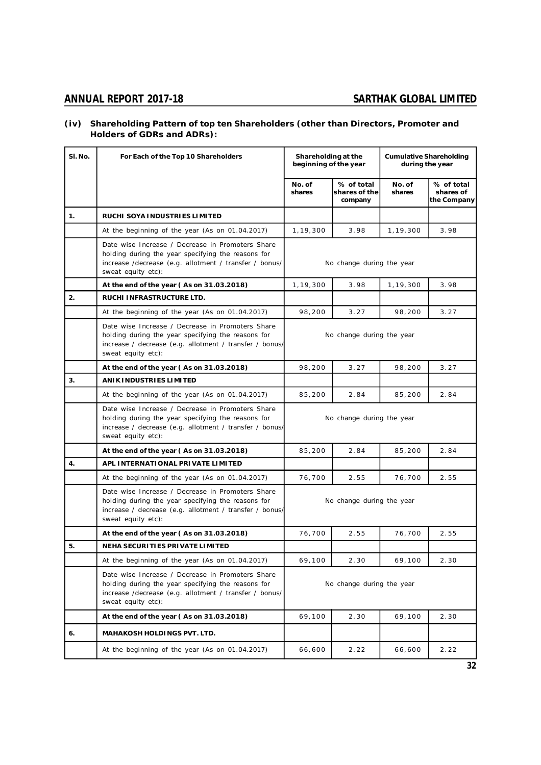# **SARTHAK GLOBAL LIMITED**

## **(iv) Shareholding Pattern of top ten Shareholders (other than Directors, Promoter and Holders of GDRs and ADRs):**

| SI. No. | For Each of the Top 10 Shareholders                                                                                                                                                     | Shareholding at the<br>beginning of the year |                                        | <b>Cumulative Shareholding</b><br>during the year |                                        |
|---------|-----------------------------------------------------------------------------------------------------------------------------------------------------------------------------------------|----------------------------------------------|----------------------------------------|---------------------------------------------------|----------------------------------------|
|         |                                                                                                                                                                                         | No. of<br>shares                             | % of total<br>shares of the<br>company | No. of<br>shares                                  | % of total<br>shares of<br>the Company |
| 1.      | RUCHI SOYA INDUSTRIES LIMITED                                                                                                                                                           |                                              |                                        |                                                   |                                        |
|         | At the beginning of the year (As on 01.04.2017)                                                                                                                                         | 1,19,300                                     | 3.98                                   | 1,19,300                                          | 3.98                                   |
|         | Date wise Increase / Decrease in Promoters Share<br>holding during the year specifying the reasons for<br>increase /decrease (e.g. allotment / transfer / bonus/<br>sweat equity etc):  | No change during the year                    |                                        |                                                   |                                        |
|         | At the end of the year (As on 31.03.2018)                                                                                                                                               | 1,19,300                                     | 3.98                                   | 1,19,300                                          | 3.98                                   |
| 2.      | RUCHI INFRASTRUCTURE LTD.                                                                                                                                                               |                                              |                                        |                                                   |                                        |
|         | At the beginning of the year (As on 01.04.2017)                                                                                                                                         | 98,200                                       | 3.27                                   | 98,200                                            | 3.27                                   |
|         | Date wise Increase / Decrease in Promoters Share<br>holding during the year specifying the reasons for<br>increase / decrease (e.g. allotment / transfer / bonus/<br>sweat equity etc): | No change during the year                    |                                        |                                                   |                                        |
|         | At the end of the year (As on 31.03.2018)                                                                                                                                               | 98,200                                       | 3.27                                   | 98,200                                            | 3.27                                   |
| 3.      | <b>ANIK INDUSTRIES LIMITED</b>                                                                                                                                                          |                                              |                                        |                                                   |                                        |
|         | At the beginning of the year (As on 01.04.2017)                                                                                                                                         | 85,200                                       | 2.84                                   | 85,200                                            | 2.84                                   |
|         | Date wise Increase / Decrease in Promoters Share<br>holding during the year specifying the reasons for<br>increase / decrease (e.g. allotment / transfer / bonus/<br>sweat equity etc): | No change during the year                    |                                        |                                                   |                                        |
|         | At the end of the year (As on 31.03.2018)                                                                                                                                               | 85,200                                       | 2.84                                   | 85,200                                            | 2.84                                   |
| 4.      | APL INTERNATIONAL PRIVATE LIMITED                                                                                                                                                       |                                              |                                        |                                                   |                                        |
|         | At the beginning of the year (As on 01.04.2017)                                                                                                                                         | 76,700                                       | 2.55                                   | 76,700                                            | 2.55                                   |
|         | Date wise Increase / Decrease in Promoters Share<br>holding during the year specifying the reasons for<br>increase / decrease (e.g. allotment / transfer / bonus/<br>sweat equity etc): | No change during the year                    |                                        |                                                   |                                        |
|         | At the end of the year (As on 31.03.2018)                                                                                                                                               | 76,700                                       | 2.55                                   | 76,700                                            | 2.55                                   |
| 5.      | <b>NEHA SECURITIES PRIVATE LIMITED</b>                                                                                                                                                  |                                              |                                        |                                                   |                                        |
|         | At the beginning of the year (As on 01.04.2017)                                                                                                                                         | 69,100                                       | 2.30                                   | 69,100                                            | 2.30                                   |
|         | Date wise Increase / Decrease in Promoters Share<br>holding during the year specifying the reasons for<br>increase /decrease (e.g. allotment / transfer / bonus/<br>sweat equity etc):  | No change during the year                    |                                        |                                                   |                                        |
|         | At the end of the year (As on 31.03.2018)                                                                                                                                               | 69,100                                       | 2.30                                   | 69,100                                            | 2.30                                   |
| 6.      | MAHAKOSH HOLDINGS PVT. LTD.                                                                                                                                                             |                                              |                                        |                                                   |                                        |
|         | At the beginning of the year (As on 01.04.2017)                                                                                                                                         | 66,600                                       | 2.22                                   | 66,600                                            | 2.22                                   |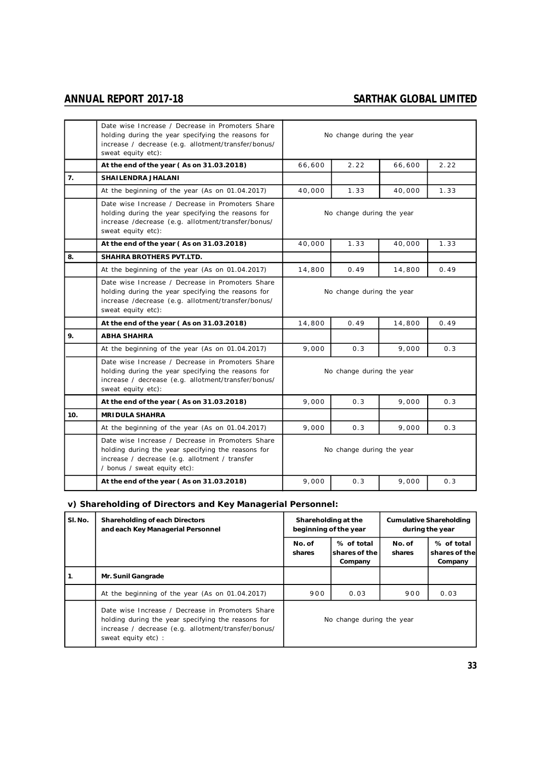# **SARTHAK GLOBAL LIMITED**

|     | Date wise Increase / Decrease in Promoters Share<br>holding during the year specifying the reasons for<br>increase / decrease (e.g. allotment/transfer/bonus/<br>sweat equity etc):      | No change during the year |      |        |      |
|-----|------------------------------------------------------------------------------------------------------------------------------------------------------------------------------------------|---------------------------|------|--------|------|
|     | At the end of the year (As on 31.03.2018)                                                                                                                                                | 66,600                    | 2.22 | 66,600 | 2.22 |
| 7.  | SHAILENDRA JHALANI                                                                                                                                                                       |                           |      |        |      |
|     | At the beginning of the year (As on 01.04.2017)                                                                                                                                          | 40,000                    | 1.33 | 40,000 | 1.33 |
|     | Date wise Increase / Decrease in Promoters Share<br>holding during the year specifying the reasons for<br>increase /decrease (e.g. allotment/transfer/bonus/<br>sweat equity etc):       | No change during the year |      |        |      |
|     | At the end of the year (As on 31.03.2018)                                                                                                                                                | 40,000                    | 1.33 | 40,000 | 1.33 |
| 8.  | <b>SHAHRA BROTHERS PVT.LTD.</b>                                                                                                                                                          |                           |      |        |      |
|     | At the beginning of the year (As on 01.04.2017)                                                                                                                                          | 14,800                    | 0.49 | 14,800 | 0.49 |
|     | Date wise Increase / Decrease in Promoters Share<br>holding during the year specifying the reasons for<br>increase /decrease (e.g. allotment/transfer/bonus/<br>sweat equity etc):       | No change during the year |      |        |      |
|     | At the end of the year (As on 31.03.2018)                                                                                                                                                | 14,800                    | 0.49 | 14,800 | 0.49 |
| 9.  | <b>ABHA SHAHRA</b>                                                                                                                                                                       |                           |      |        |      |
|     | At the beginning of the year (As on 01.04.2017)                                                                                                                                          | 9.000                     | 0.3  | 9.000  | 0.3  |
|     | Date wise Increase / Decrease in Promoters Share<br>holding during the year specifying the reasons for<br>increase / decrease (e.g. allotment/transfer/bonus/<br>sweat equity etc):      | No change during the year |      |        |      |
|     | At the end of the year (As on 31.03.2018)                                                                                                                                                | 9.000                     | 0.3  | 9.000  | 0.3  |
| 10. | <b>MRIDULA SHAHRA</b>                                                                                                                                                                    |                           |      |        |      |
|     | At the beginning of the year (As on 01.04.2017)                                                                                                                                          | 9,000                     | 0.3  | 9,000  | 0.3  |
|     | Date wise Increase / Decrease in Promoters Share<br>holding during the year specifying the reasons for<br>increase / decrease (e.g. allotment / transfer<br>/ bonus / sweat equity etc): | No change during the year |      |        |      |
|     | At the end of the year (As on 31.03.2018)                                                                                                                                                | 9.000                     | 0.3  | 9,000  | 0.3  |

# **v) Shareholding of Directors and Key Managerial Personnel:**

| SI. No. | Shareholding of each Directors<br>and each Key Managerial Personnel                                                                                                                 | Shareholding at the<br>beginning of the year |                                        | <b>Cumulative Shareholding</b><br>during the year |                                         |
|---------|-------------------------------------------------------------------------------------------------------------------------------------------------------------------------------------|----------------------------------------------|----------------------------------------|---------------------------------------------------|-----------------------------------------|
|         |                                                                                                                                                                                     | No. of<br>shares                             | % of total<br>shares of the<br>Company | No. of<br>shares                                  | % of total<br>shares of thel<br>Company |
| 1.      | Mr. Sunil Gangrade                                                                                                                                                                  |                                              |                                        |                                                   |                                         |
|         | At the beginning of the year (As on 01.04.2017)                                                                                                                                     | 900                                          | 0.03                                   | 900                                               | 0.03                                    |
|         | Date wise Increase / Decrease in Promoters Share<br>holding during the year specifying the reasons for<br>increase / decrease (e.g. allotment/transfer/bonus/<br>sweat equity etc): | No change during the year                    |                                        |                                                   |                                         |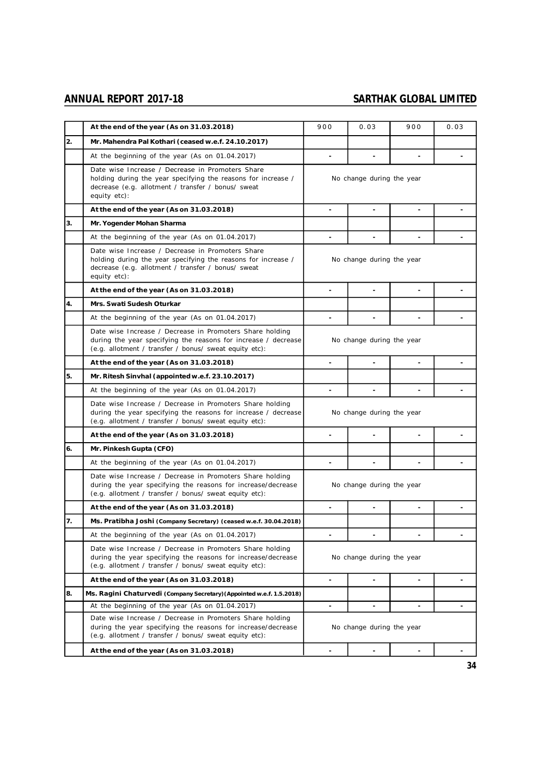# **SARTHAK GLOBAL LIMITED**

|    | At the end of the year (As on 31.03.2018)                                                                                                                                               | 900                       | 0.03                      | 900 | 0.03 |
|----|-----------------------------------------------------------------------------------------------------------------------------------------------------------------------------------------|---------------------------|---------------------------|-----|------|
| 2. | Mr. Mahendra Pal Kothari (ceased w.e.f. 24.10.2017)                                                                                                                                     |                           |                           |     |      |
|    | At the beginning of the year (As on 01.04.2017)                                                                                                                                         |                           |                           |     |      |
|    | Date wise Increase / Decrease in Promoters Share<br>holding during the year specifying the reasons for increase /<br>decrease (e.g. allotment / transfer / bonus/ sweat<br>equity etc): | No change during the year |                           |     |      |
|    | At the end of the year (As on 31.03.2018)                                                                                                                                               |                           |                           |     |      |
| 3. | Mr. Yogender Mohan Sharma                                                                                                                                                               |                           |                           |     |      |
|    | At the beginning of the year (As on 01.04.2017)                                                                                                                                         |                           |                           |     |      |
|    | Date wise Increase / Decrease in Promoters Share<br>holding during the year specifying the reasons for increase /<br>decrease (e.g. allotment / transfer / bonus/ sweat<br>equity etc): | No change during the year |                           |     |      |
|    | At the end of the year (As on 31.03.2018)                                                                                                                                               |                           |                           |     |      |
| 4. | Mrs. Swati Sudesh Oturkar                                                                                                                                                               |                           |                           |     |      |
|    | At the beginning of the year (As on 01.04.2017)                                                                                                                                         |                           |                           |     |      |
|    | Date wise Increase / Decrease in Promoters Share holding<br>during the year specifying the reasons for increase / decrease<br>(e.g. allotment / transfer / bonus/ sweat equity etc):    | No change during the year |                           |     |      |
|    | At the end of the year (As on 31.03.2018)                                                                                                                                               |                           |                           |     |      |
| 5. | Mr. Ritesh Sinvhal (appointed w.e.f. 23.10.2017)                                                                                                                                        |                           |                           |     |      |
|    | At the beginning of the year (As on 01.04.2017)                                                                                                                                         |                           |                           |     |      |
|    | Date wise Increase / Decrease in Promoters Share holding<br>during the year specifying the reasons for increase / decrease<br>(e.g. allotment / transfer / bonus/ sweat equity etc):    | No change during the year |                           |     |      |
|    | At the end of the year (As on 31.03.2018)                                                                                                                                               |                           |                           |     |      |
| 6. | Mr. Pinkesh Gupta (CFO)                                                                                                                                                                 |                           |                           |     |      |
|    | At the beginning of the year (As on 01.04.2017)                                                                                                                                         |                           |                           |     |      |
|    | Date wise Increase / Decrease in Promoters Share holding<br>during the year specifying the reasons for increase/decrease<br>(e.g. allotment / transfer / bonus/ sweat equity etc):      | No change during the year |                           |     |      |
|    | At the end of the year (As on 31.03.2018)                                                                                                                                               | $\overline{\phantom{a}}$  | $\overline{\phantom{a}}$  |     |      |
| 7. | Ms. Pratibha Joshi (Company Secretary) (ceased w.e.f. 30.04.2018)                                                                                                                       |                           |                           |     |      |
|    | At the beginning of the year (As on 01.04.2017)                                                                                                                                         | ۰                         |                           |     |      |
|    | Date wise Increase / Decrease in Promoters Share holding<br>during the year specifying the reasons for increase/decrease<br>(e.g. allotment / transfer / bonus/ sweat equity etc):      |                           | No change during the year |     |      |
|    | At the end of the year (As on 31.03.2018)                                                                                                                                               | $\blacksquare$            |                           |     |      |
| 8. | Ms. Ragini Chaturvedi (Company Secretary) (Appointed w.e.f. 1.5.2018)                                                                                                                   |                           |                           |     |      |
|    | At the beginning of the year (As on 01.04.2017)                                                                                                                                         | ٠                         | $\blacksquare$            | ٠   | ٠    |
|    | Date wise Increase / Decrease in Promoters Share holding<br>during the year specifying the reasons for increase/decrease<br>(e.g. allotment / transfer / bonus/ sweat equity etc):      |                           | No change during the year |     |      |
|    | At the end of the year (As on 31.03.2018)                                                                                                                                               |                           |                           |     |      |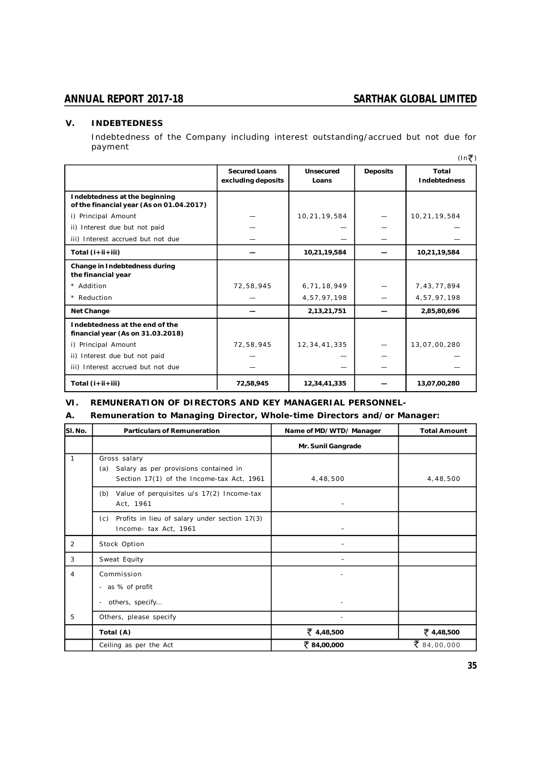# **SARTHAK GLOBAL LIMITED**

## **V. INDEBTEDNESS**

Indebtedness of the Company including interest outstanding/accrued but not due for payment

|                                                                           |                                            |                    |                 | (In₹)                        |
|---------------------------------------------------------------------------|--------------------------------------------|--------------------|-----------------|------------------------------|
|                                                                           | <b>Secured Loans</b><br>excluding deposits | Unsecured<br>Loans | <b>Deposits</b> | Total<br><b>Indebtedness</b> |
| Indebtedness at the beginning<br>of the financial year (As on 01.04.2017) |                                            |                    |                 |                              |
| i) Principal Amount                                                       |                                            | 10,21,19,584       |                 | 10, 21, 19, 584              |
| ii) Interest due but not paid                                             |                                            |                    |                 |                              |
| iii) Interest accrued but not due                                         |                                            |                    |                 |                              |
| Total (i+ii+iii)                                                          |                                            | 10,21,19,584       |                 | 10,21,19,584                 |
| Change in Indebtedness during<br>the financial year                       |                                            |                    |                 |                              |
| * Addition                                                                | 72,58,945                                  | 6,71,18,949        |                 | 7,43,77,894                  |
| * Reduction                                                               |                                            | 4,57,97,198        |                 | 4,57,97,198                  |
| Net Change                                                                |                                            | 2,13,21,751        |                 | 2,85,80,696                  |
| Indebtedness at the end of the<br>financial year (As on 31.03.2018)       |                                            |                    |                 |                              |
| i) Principal Amount                                                       | 72,58,945                                  | 12, 34, 41, 335    |                 | 13,07,00,280                 |
| ii) Interest due but not paid                                             |                                            |                    |                 |                              |
| iii) Interest accrued but not due                                         |                                            |                    |                 |                              |
| Total (i+ii+iii)                                                          | 72,58,945                                  | 12,34,41,335       |                 | 13,07,00,280                 |

## **VI. REMUNERATION OF DIRECTORS AND KEY MANAGERIAL PERSONNEL-**

## **A.** *Remuneration to Managing Director, Whole-time Directors and/or Manager:*

| SI. No.        | <b>Particulars of Remuneration</b>                                                                        | Name of MD/WTD/Manager   | <b>Total Amount</b> |  |
|----------------|-----------------------------------------------------------------------------------------------------------|--------------------------|---------------------|--|
|                |                                                                                                           | Mr. Sunil Gangrade       |                     |  |
| $\mathbf{1}$   | Gross salary<br>Salary as per provisions contained in<br>(a)<br>Section 17(1) of the Income-tax Act, 1961 | 4,48,500                 | 4,48,500            |  |
|                | Value of perquisites u/s 17(2) Income-tax<br>(b)<br>Act, 1961                                             | $\overline{\phantom{0}}$ |                     |  |
|                | Profits in lieu of salary under section 17(3)<br>(c)<br>Income- tax Act, 1961                             |                          |                     |  |
| $\overline{2}$ | Stock Option                                                                                              |                          |                     |  |
| 3              | Sweat Equity                                                                                              |                          |                     |  |
| 4              | Commission<br>- as % of profit<br>others, specify<br>$\overline{\phantom{a}}$                             |                          |                     |  |
| 5              | Others, please specify                                                                                    |                          |                     |  |
|                | Total (A)                                                                                                 | ₹ 4,48,500               | ₹4,48,500           |  |
|                | Ceiling as per the Act                                                                                    | ₹ 84,00,000              | ₹ 84,00,000         |  |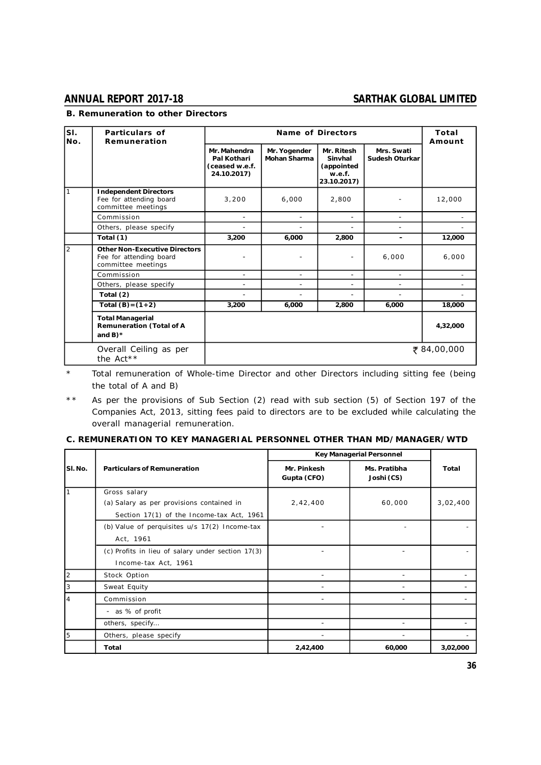# **SARTHAK GLOBAL LIMITED**

#### *B. Remuneration to other Directors*

| SI.<br>No.     | Particulars of<br>Remuneration                                                        |                                                              | Name of Directors            |                                                              |                              | Total<br>Amount   |
|----------------|---------------------------------------------------------------------------------------|--------------------------------------------------------------|------------------------------|--------------------------------------------------------------|------------------------------|-------------------|
|                |                                                                                       | Mr. Mahendra<br>Pal Kothari<br>(ceased w.e.f.<br>24.10.2017) | Mr. Yogender<br>Mohan Sharma | Mr. Ritesh<br>Sinvhal<br>(appointed<br>w.e.f.<br>23.10.2017) | Mrs. Swati<br>Sudesh Oturkar |                   |
| $\mathbf{1}$   | <b>Independent Directors</b><br>Fee for attending board<br>committee meetings         | 3,200                                                        | 6,000                        | 2,800                                                        |                              | 12,000            |
|                | Commission                                                                            |                                                              |                              | $\overline{\phantom{a}}$                                     |                              |                   |
|                | Others, please specify                                                                |                                                              |                              | ۰                                                            |                              |                   |
|                | Total (1)                                                                             | 3,200                                                        | 6,000                        | 2,800                                                        |                              | 12,000            |
| $\overline{2}$ | <b>Other Non-Executive Directors</b><br>Fee for attending board<br>committee meetings |                                                              |                              | -                                                            | 6,000                        | 6,000             |
|                | Commission                                                                            |                                                              |                              | $\overline{\phantom{0}}$                                     |                              |                   |
|                | Others, please specify                                                                |                                                              |                              | $\overline{\phantom{0}}$                                     |                              | $\qquad \qquad -$ |
|                | Total (2)                                                                             |                                                              |                              | $\overline{\phantom{a}}$                                     |                              |                   |
|                | Total $(B) = (1+2)$                                                                   | 3,200                                                        | 6,000                        | 2,800                                                        | 6,000                        | 18,000            |
|                | <b>Total Managerial</b><br><b>Remuneration (Total of A</b><br>and B) $*$              |                                                              |                              |                                                              |                              | 4,32,000          |
|                | Overall Ceiling as per<br>the Act <sup>**</sup>                                       |                                                              |                              |                                                              |                              | ₹ 84,00,000       |

Total remuneration of Whole-time Director and other Directors including sitting fee (being the total of A and B)

\*\* As per the provisions of Sub Section (2) read with sub section (5) of Section 197 of the Companies Act, 2013, sitting fees paid to directors are to be excluded while calculating the overall managerial remuneration.

## **C. REMUNERATION TO KEY MANAGERIAL PERSONNEL OTHER THAN MD/MANAGER/WTD**

|         |                                                   | Key Managerial Personnel   |                            |              |
|---------|---------------------------------------------------|----------------------------|----------------------------|--------------|
| SI. No. | <b>Particulars of Remuneration</b>                | Mr. Pinkesh<br>Gupta (CFO) | Ms. Pratibha<br>Joshi (CS) | <b>Total</b> |
| l1      | Gross salary                                      |                            |                            |              |
|         | (a) Salary as per provisions contained in         | 2,42,400                   | 60,000                     | 3,02,400     |
|         | Section 17(1) of the Income-tax Act, 1961         |                            |                            |              |
|         | (b) Value of perquisites u/s 17(2) Income-tax     |                            |                            |              |
|         | Act, 1961                                         |                            |                            |              |
|         | (c) Profits in lieu of salary under section 17(3) |                            |                            |              |
|         | Income-tax Act, 1961                              |                            |                            |              |
| 2       | Stock Option                                      |                            |                            |              |
| 3       | Sweat Equity                                      |                            |                            |              |
| 4       | Commission                                        |                            |                            |              |
|         | - as % of profit                                  |                            |                            |              |
|         | others, specify                                   |                            |                            |              |
| l5.     | Others, please specify                            |                            |                            |              |
|         | Total                                             | 2,42,400                   | 60,000                     | 3,02,000     |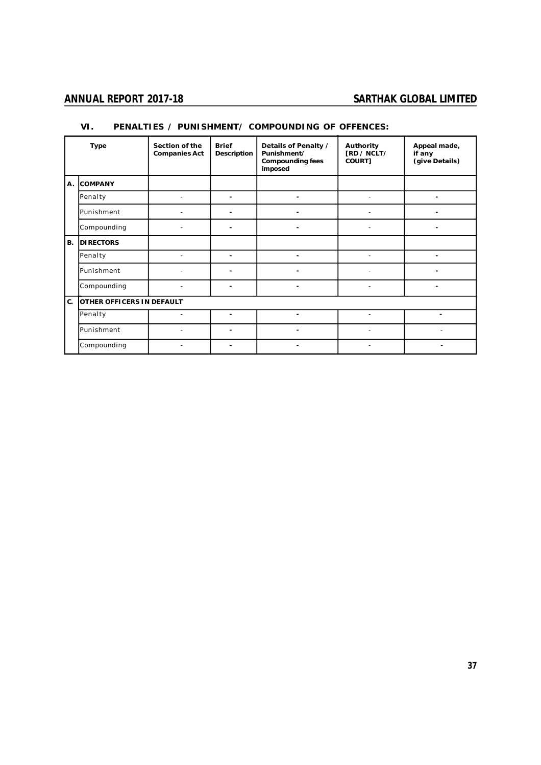# **SARTHAK GLOBAL LIMITED ANNUAL REPORT 2017-18**

| <b>Type</b> |                           | Section of the<br><b>Companies Act</b> | <b>Brief</b><br>Description | Details of Penalty /<br>Punishment/<br><b>Compounding fees</b><br>imposed | Authority<br>[RD / NCLT/<br>COURT1 | Appeal made,<br>if any<br>(give Details) |
|-------------|---------------------------|----------------------------------------|-----------------------------|---------------------------------------------------------------------------|------------------------------------|------------------------------------------|
| Α.          | <b>COMPANY</b>            |                                        |                             |                                                                           |                                    |                                          |
|             | Penalty                   |                                        |                             |                                                                           |                                    |                                          |
|             | <b>I</b> Punishment       |                                        |                             |                                                                           |                                    |                                          |
|             | Compounding               |                                        | ۰                           |                                                                           |                                    |                                          |
| B.          | <b>DIRECTORS</b>          |                                        |                             |                                                                           |                                    |                                          |
|             | Penalty                   |                                        |                             |                                                                           | $\overline{a}$                     |                                          |
|             | Punishment                |                                        |                             |                                                                           |                                    |                                          |
|             | Compounding               |                                        | ٠                           |                                                                           | $\overline{\phantom{a}}$           |                                          |
| C.          | OTHER OFFICERS IN DEFAULT |                                        |                             |                                                                           |                                    |                                          |
|             | Penalty                   |                                        |                             |                                                                           |                                    |                                          |
|             | Punishment                |                                        | ۰                           | -                                                                         | ۰                                  |                                          |
|             | Compounding               |                                        |                             |                                                                           |                                    |                                          |

# **VI. PENALTIES / PUNISHMENT/ COMPOUNDING OF OFFENCES:**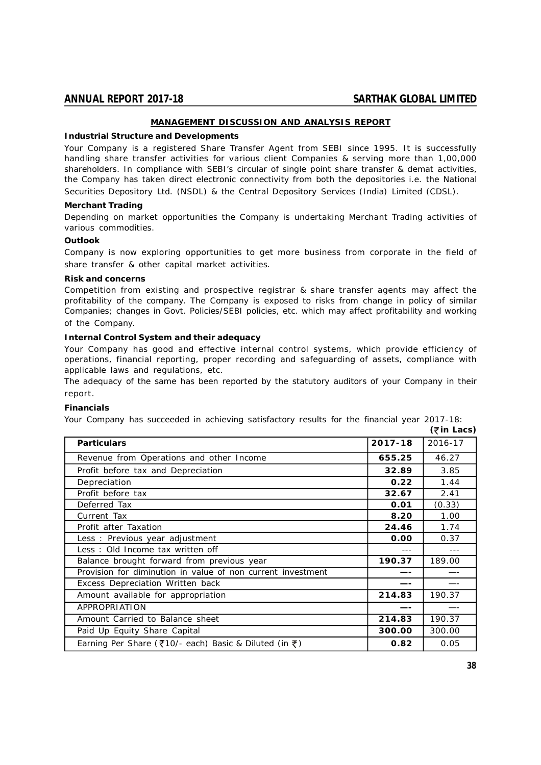### **MANAGEMENT DISCUSSION AND ANALYSIS REPORT**

#### **Industrial Structure and Developments**

Your Company is a registered Share Transfer Agent from SEBI since 1995. It is successfully handling share transfer activities for various client Companies & serving more than 1,00,000 shareholders. In compliance with SEBI's circular of single point share transfer & demat activities, the Company has taken direct electronic connectivity from both the depositories i.e. the National Securities Depository Ltd. (NSDL) & the Central Depository Services (India) Limited (CDSL).

#### **Merchant Trading**

Depending on market opportunities the Company is undertaking Merchant Trading activities of various commodities.

#### **Outlook**

Company is now exploring opportunities to get more business from corporate in the field of share transfer & other capital market activities.

#### **Risk and concerns**

Competition from existing and prospective registrar & share transfer agents may affect the profitability of the company. The Company is exposed to risks from change in policy of similar Companies; changes in Govt. Policies/SEBI policies, etc. which may affect profitability and working of the Company.

### **Internal Control System and their adequacy**

Your Company has good and effective internal control systems, which provide efficiency of operations, financial reporting, proper recording and safeguarding of assets, compliance with applicable laws and regulations, etc.

The adequacy of the same has been reported by the statutory auditors of your Company in their report.

#### **Financials**

Your Company has succeeded in achieving satisfactory results for the financial year 2017-18:

|                                                                                        |         | (₹in Lacs) |
|----------------------------------------------------------------------------------------|---------|------------|
| <b>Particulars</b>                                                                     | 2017-18 | 2016-17    |
| Revenue from Operations and other Income                                               | 655.25  | 46.27      |
| Profit before tax and Depreciation                                                     | 32.89   | 3.85       |
| Depreciation                                                                           | 0.22    | 1.44       |
| Profit before tax                                                                      | 32.67   | 2.41       |
| Deferred Tax                                                                           | 0.01    | (0.33)     |
| Current Tax                                                                            | 8.20    | 1.00       |
| Profit after Taxation                                                                  | 24.46   | 1.74       |
| Less: Previous year adjustment                                                         | 0.00    | 0.37       |
| Less: Old Income tax written off                                                       |         |            |
| Balance brought forward from previous year                                             | 190.37  | 189.00     |
| Provision for diminution in value of non current investment                            |         |            |
| Excess Depreciation Written back                                                       |         |            |
| Amount available for appropriation                                                     | 214.83  | 190.37     |
| <b>APPROPRIATION</b>                                                                   | --      |            |
| Amount Carried to Balance sheet                                                        | 214.83  | 190.37     |
| Paid Up Equity Share Capital                                                           | 300.00  | 300.00     |
| Earning Per Share ( $\overline{\xi}$ 10/- each) Basic & Diluted (in $\overline{\xi}$ ) | 0.82    | 0.05       |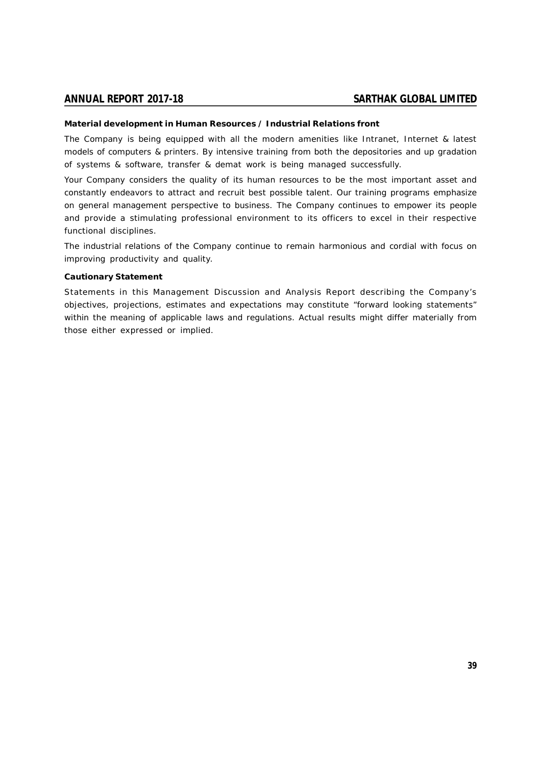#### **Material development in Human Resources / Industrial Relations front**

The Company is being equipped with all the modern amenities like Intranet, Internet & latest models of computers & printers. By intensive training from both the depositories and up gradation of systems & software, transfer & demat work is being managed successfully.

Your Company considers the quality of its human resources to be the most important asset and constantly endeavors to attract and recruit best possible talent. Our training programs emphasize on general management perspective to business. The Company continues to empower its people and provide a stimulating professional environment to its officers to excel in their respective functional disciplines.

The industrial relations of the Company continue to remain harmonious and cordial with focus on improving productivity and quality.

#### **Cautionary Statement**

Statements in this Management Discussion and Analysis Report describing the Company's objectives, projections, estimates and expectations may constitute "forward looking statements" within the meaning of applicable laws and regulations. Actual results might differ materially from those either expressed or implied.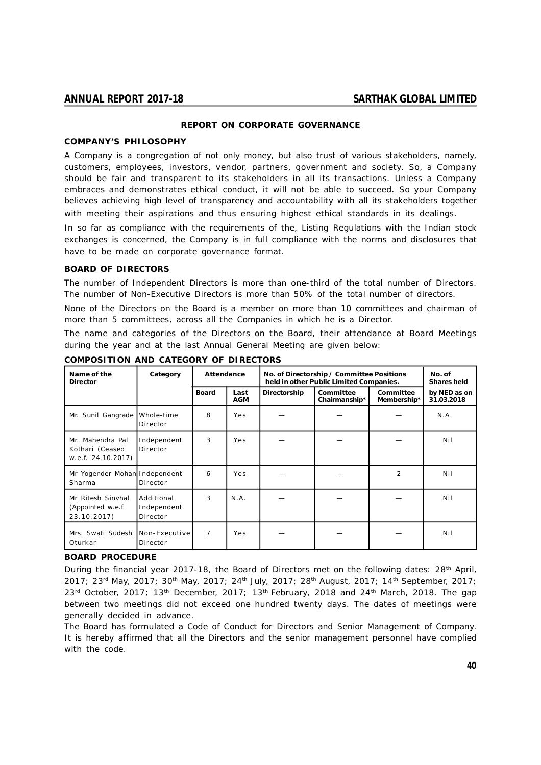#### **REPORT ON CORPORATE GOVERNANCE**

#### **COMPANY'S PHILOSOPHY**

A Company is a congregation of not only money, but also trust of various stakeholders, namely, customers, employees, investors, vendor, partners, government and society. So, a Company should be fair and transparent to its stakeholders in all its transactions. Unless a Company embraces and demonstrates ethical conduct, it will not be able to succeed. So your Company believes achieving high level of transparency and accountability with all its stakeholders together with meeting their aspirations and thus ensuring highest ethical standards in its dealings.

In so far as compliance with the requirements of the, Listing Regulations with the Indian stock exchanges is concerned, the Company is in full compliance with the norms and disclosures that have to be made on corporate governance format.

#### **BOARD OF DIRECTORS**

The number of Independent Directors is more than one-third of the total number of Directors. The number of Non-Executive Directors is more than 50% of the total number of directors.

None of the Directors on the Board is a member on more than 10 committees and chairman of more than 5 committees, across all the Companies in which he is a Director.

The name and categories of the Directors on the Board, their attendance at Board Meetings during the year and at the last Annual General Meeting are given below:

| Name of the<br><b>Director</b>                            | Category                              | Attendance |                    | No. of Directorship / Committee Positions<br>held in other Public Limited Companies. |                            |                          | No. of<br><b>Shares held</b> |
|-----------------------------------------------------------|---------------------------------------|------------|--------------------|--------------------------------------------------------------------------------------|----------------------------|--------------------------|------------------------------|
|                                                           |                                       | Board      | Last<br><b>AGM</b> | Directorship                                                                         | Committee<br>Chairmanship* | Committee<br>Membership* | by NED as on<br>31.03.2018   |
| Mr. Sunil Gangrade                                        | Whole-time<br>Director                | 8          | Yes                |                                                                                      |                            |                          | N.A.                         |
| Mr. Mahendra Pal<br>Kothari (Ceased<br>w.e.f. 24.10.2017) | Independent<br>Director               | 3          | Yes                |                                                                                      |                            |                          | Nil                          |
| Mr Yogender Mohan Independent<br>Sharma                   | Director                              | 6          | Yes                |                                                                                      |                            | $\overline{2}$           | Nil                          |
| Mr Ritesh Sinyhal<br>(Appointed w.e.f.<br>23.10.2017)     | Additional<br>Independent<br>Director | 3          | N.A.               |                                                                                      |                            |                          | Nil                          |
| Mrs. Swati Sudesh<br>Oturkar                              | Non-Executive<br>Director             | 7          | Yes                |                                                                                      |                            |                          | Nil                          |

**COMPOSITION AND CATEGORY OF DIRECTORS**

#### **BOARD PROCEDURE**

During the financial year 2017-18, the Board of Directors met on the following dates: 28<sup>th</sup> April, 2017; 23<sup>rd</sup> May, 2017; 30<sup>th</sup> May, 2017; 24<sup>th</sup> July, 2017; 28<sup>th</sup> August, 2017; 14<sup>th</sup> September, 2017;  $23<sup>rd</sup>$  October, 2017; 13<sup>th</sup> December, 2017; 13<sup>th</sup> February, 2018 and 24<sup>th</sup> March, 2018. The gap between two meetings did not exceed one hundred twenty days. The dates of meetings were generally decided in advance.

The Board has formulated a Code of Conduct for Directors and Senior Management of Company. It is hereby affirmed that all the Directors and the senior management personnel have complied with the code.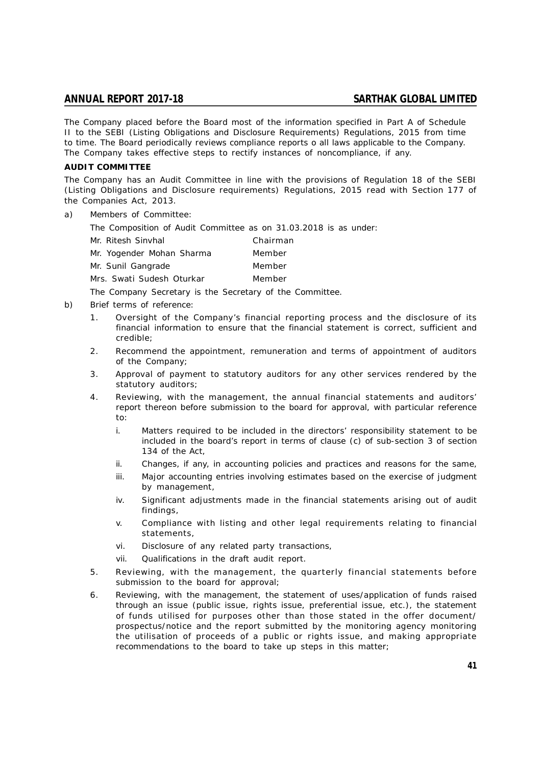The Company placed before the Board most of the information specified in Part A of Schedule II to the SEBI (Listing Obligations and Disclosure Requirements) Regulations, 2015 from time to time. The Board periodically reviews compliance reports o all laws applicable to the Company. The Company takes effective steps to rectify instances of noncompliance, if any.

#### **AUDIT COMMITTEE**

The Company has an Audit Committee in line with the provisions of Regulation 18 of the SEBI (Listing Obligations and Disclosure requirements) Regulations, 2015 read with Section 177 of the Companies Act, 2013.

a) Members of Committee:

The Composition of Audit Committee as on 31.03.2018 is as under:

| Mr. Ritesh Sinvhal        | Chairman |
|---------------------------|----------|
| Mr. Yogender Mohan Sharma | Member   |
| Mr. Sunil Gangrade        | Member   |
| Mrs. Swati Sudesh Oturkar | Member   |

The Company Secretary is the Secretary of the Committee.

- b) Brief terms of reference:
	- 1. Oversight of the Company's financial reporting process and the disclosure of its financial information to ensure that the financial statement is correct, sufficient and credible;
	- 2. Recommend the appointment, remuneration and terms of appointment of auditors of the Company;
	- 3. Approval of payment to statutory auditors for any other services rendered by the statutory auditors;
	- 4. Reviewing, with the management, the annual financial statements and auditors' report thereon before submission to the board for approval, with particular reference to:
		- i. Matters required to be included in the directors' responsibility statement to be included in the board's report in terms of clause (c) of sub-section 3 of section 134 of the Act,
		- ii. Changes, if any, in accounting policies and practices and reasons for the same,
		- iii. Major accounting entries involving estimates based on the exercise of judgment by management,
		- iv. Significant adjustments made in the financial statements arising out of audit findings,
		- v. Compliance with listing and other legal requirements relating to financial statements,
		- vi. Disclosure of any related party transactions,
		- vii. Qualifications in the draft audit report.
	- 5. Reviewing, with the management, the quarterly financial statements before submission to the board for approval;
	- 6. Reviewing, with the management, the statement of uses/application of funds raised through an issue (public issue, rights issue, preferential issue, etc.), the statement of funds utilised for purposes other than those stated in the offer document/ prospectus/notice and the report submitted by the monitoring agency monitoring the utilisation of proceeds of a public or rights issue, and making appropriate recommendations to the board to take up steps in this matter;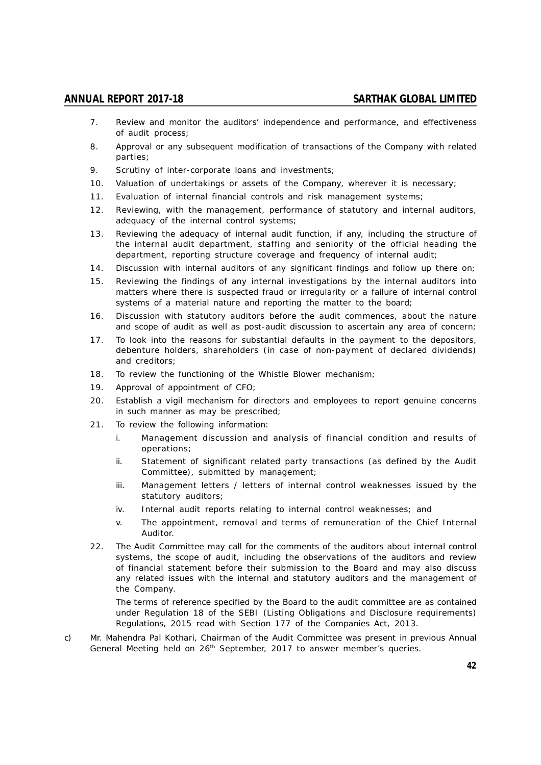- 7. Review and monitor the auditors' independence and performance, and effectiveness of audit process;
- 8. Approval or any subsequent modification of transactions of the Company with related parties;
- 9. Scrutiny of inter-corporate loans and investments;
- 10. Valuation of undertakings or assets of the Company, wherever it is necessary;
- 11. Evaluation of internal financial controls and risk management systems;
- 12. Reviewing, with the management, performance of statutory and internal auditors, adequacy of the internal control systems;
- 13. Reviewing the adequacy of internal audit function, if any, including the structure of the internal audit department, staffing and seniority of the official heading the department, reporting structure coverage and frequency of internal audit;
- 14. Discussion with internal auditors of any significant findings and follow up there on;
- 15. Reviewing the findings of any internal investigations by the internal auditors into matters where there is suspected fraud or irregularity or a failure of internal control systems of a material nature and reporting the matter to the board;
- 16. Discussion with statutory auditors before the audit commences, about the nature and scope of audit as well as post-audit discussion to ascertain any area of concern;
- 17. To look into the reasons for substantial defaults in the payment to the depositors, debenture holders, shareholders (in case of non-payment of declared dividends) and creditors;
- 18. To review the functioning of the Whistle Blower mechanism;
- 19. Approval of appointment of CFO;
- 20. Establish a vigil mechanism for directors and employees to report genuine concerns in such manner as may be prescribed;
- 21. To review the following information:
	- i. Management discussion and analysis of financial condition and results of operations;
	- ii. Statement of significant related party transactions (as defined by the Audit Committee), submitted by management;
	- iii. Management letters / letters of internal control weaknesses issued by the statutory auditors;
	- iv. Internal audit reports relating to internal control weaknesses; and
	- v. The appointment, removal and terms of remuneration of the Chief Internal Auditor.
- 22. The Audit Committee may call for the comments of the auditors about internal control systems, the scope of audit, including the observations of the auditors and review of financial statement before their submission to the Board and may also discuss any related issues with the internal and statutory auditors and the management of the Company.

The terms of reference specified by the Board to the audit committee are as contained under Regulation 18 of the SEBI (Listing Obligations and Disclosure requirements) Regulations, 2015 read with Section 177 of the Companies Act, 2013.

c) Mr. Mahendra Pal Kothari, Chairman of the Audit Committee was present in previous Annual General Meeting held on 26<sup>th</sup> September, 2017 to answer member's queries.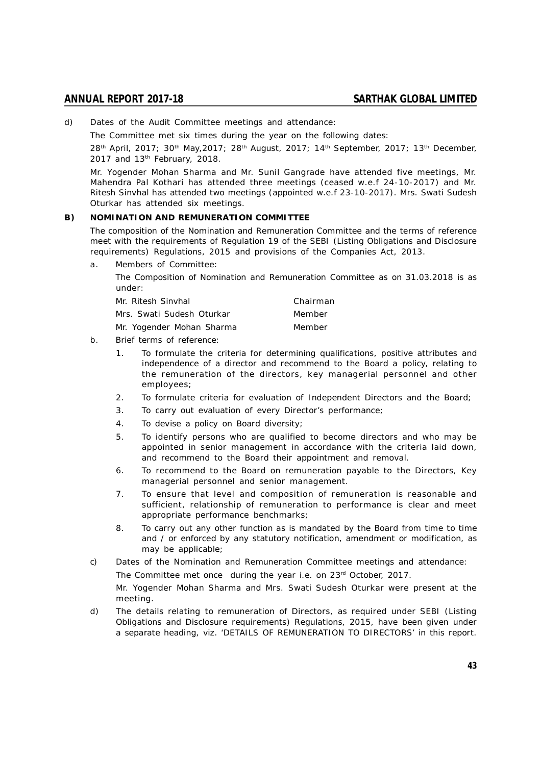d) Dates of the Audit Committee meetings and attendance:

The Committee met six times during the year on the following dates:

28<sup>th</sup> April, 2017; 30<sup>th</sup> May, 2017; 28<sup>th</sup> August, 2017; 14<sup>th</sup> September, 2017; 13<sup>th</sup> December, 2017 and 13<sup>th</sup> February, 2018.

Mr. Yogender Mohan Sharma and Mr. Sunil Gangrade have attended five meetings, Mr. Mahendra Pal Kothari has attended three meetings (ceased w.e.f 24-10-2017) and Mr. Ritesh Sinvhal has attended two meetings (appointed w.e.f 23-10-2017). Mrs. Swati Sudesh Oturkar has attended six meetings.

#### **B) NOMINATION AND REMUNERATION COMMITTEE**

The composition of the Nomination and Remuneration Committee and the terms of reference meet with the requirements of Regulation 19 of the SEBI (Listing Obligations and Disclosure requirements) Regulations, 2015 and provisions of the Companies Act, 2013.

a. Members of Committee:

The Composition of Nomination and Remuneration Committee as on 31.03.2018 is as under:

| Mr. Ritesh Sinyhal        | Chairman |
|---------------------------|----------|
| Mrs. Swati Sudesh Oturkar | Member   |
| Mr. Yogender Mohan Sharma | Member   |

- b. Brief terms of reference:
	- 1. To formulate the criteria for determining qualifications, positive attributes and independence of a director and recommend to the Board a policy, relating to the remuneration of the directors, key managerial personnel and other employees;
	- 2. To formulate criteria for evaluation of Independent Directors and the Board;
	- 3. To carry out evaluation of every Director's performance;
	- 4. To devise a policy on Board diversity;
	- 5. To identify persons who are qualified to become directors and who may be appointed in senior management in accordance with the criteria laid down, and recommend to the Board their appointment and removal.
	- 6. To recommend to the Board on remuneration payable to the Directors, Key managerial personnel and senior management.
	- 7. To ensure that level and composition of remuneration is reasonable and sufficient, relationship of remuneration to performance is clear and meet appropriate performance benchmarks;
	- 8. To carry out any other function as is mandated by the Board from time to time and / or enforced by any statutory notification, amendment or modification, as may be applicable;
- c) Dates of the Nomination and Remuneration Committee meetings and attendance:

The Committee met once during the year i.e. on 23<sup>rd</sup> October, 2017.

Mr. Yogender Mohan Sharma and Mrs. Swati Sudesh Oturkar were present at the meeting.

d) The details relating to remuneration of Directors, as required under SEBI (Listing Obligations and Disclosure requirements) Regulations, 2015, have been given under a separate heading, viz. 'DETAILS OF REMUNERATION TO DIRECTORS' in this report.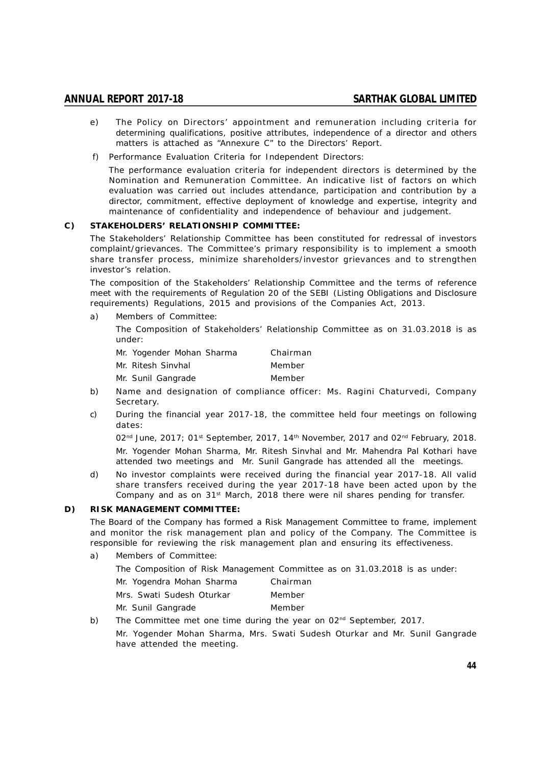- e) The Policy on Directors' appointment and remuneration including criteria for determining qualifications, positive attributes, independence of a director and others matters is attached as "Annexure C" to the Directors' Report.
- f) Performance Evaluation Criteria for Independent Directors:

The performance evaluation criteria for independent directors is determined by the Nomination and Remuneration Committee. An indicative list of factors on which evaluation was carried out includes attendance, participation and contribution by a director, commitment, effective deployment of knowledge and expertise, integrity and maintenance of confidentiality and independence of behaviour and judgement.

# **C) STAKEHOLDERS' RELATIONSHIP COMMITTEE:**

The Stakeholders' Relationship Committee has been constituted for redressal of investors complaint/grievances. The Committee's primary responsibility is to implement a smooth share transfer process, minimize shareholders/investor grievances and to strengthen investor's relation.

The composition of the Stakeholders' Relationship Committee and the terms of reference meet with the requirements of Regulation 20 of the SEBI (Listing Obligations and Disclosure requirements) Regulations, 2015 and provisions of the Companies Act, 2013.

a) Members of Committee:

The Composition of Stakeholders' Relationship Committee as on 31.03.2018 is as under:

|                    | Mr. Yogender Mohan Sharma | Chairman |
|--------------------|---------------------------|----------|
| Mr. Ritesh Sinvhal |                           | Member   |

- Mr. Sunil Gangrade Member
- b) Name and designation of compliance officer: Ms. Ragini Chaturvedi, Company Secretary.
- c) During the financial year 2017-18, the committee held four meetings on following dates:

 $02<sup>nd</sup>$  June, 2017; 01<sup>st</sup> September, 2017, 14<sup>th</sup> November, 2017 and 02<sup>nd</sup> February, 2018.

Mr. Yogender Mohan Sharma, Mr. Ritesh Sinvhal and Mr. Mahendra Pal Kothari have attended two meetings and Mr. Sunil Gangrade has attended all the meetings.

d) No investor complaints were received during the financial year 2017-18. All valid share transfers received during the year 2017-18 have been acted upon by the Company and as on  $31<sup>st</sup>$  March, 2018 there were nil shares pending for transfer.

### **D) RISK MANAGEMENT COMMITTEE:**

The Board of the Company has formed a Risk Management Committee to frame, implement and monitor the risk management plan and policy of the Company. The Committee is responsible for reviewing the risk management plan and ensuring its effectiveness.

a) Members of Committee:

The Composition of Risk Management Committee as on 31.03.2018 is as under:

| Mr. Yogendra Mohan Sharma |  | Chairman |
|---------------------------|--|----------|
| Mrs. Swati Sudesh Oturkar |  | Member   |

- Mr. Sunil Gangrade Member
- b) The Committee met one time during the year on  $02<sup>nd</sup>$  September, 2017.

Mr. Yogender Mohan Sharma, Mrs. Swati Sudesh Oturkar and Mr. Sunil Gangrade have attended the meeting.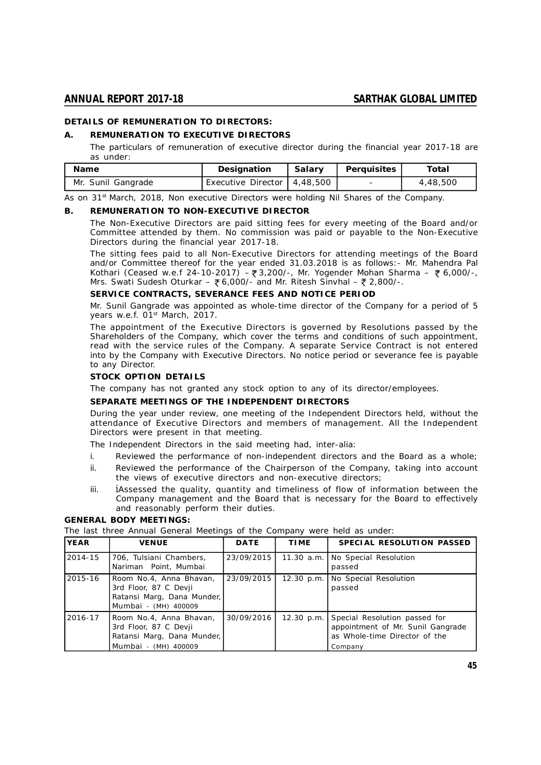#### **DETAILS OF REMUNERATION TO DIRECTORS:**

#### **A. REMUNERATION TO EXECUTIVE DIRECTORS**

The particulars of remuneration of executive director during the financial year 2017-18 are as under:

| <b>Name</b>        | Designation                     | Salary | <b>Perauisites</b> | Total    |
|--------------------|---------------------------------|--------|--------------------|----------|
| Mr. Sunil Gangrade | Executive Director   $4,48,500$ |        |                    | 4,48,500 |

As on  $31<sup>st</sup>$  March, 2018, Non executive Directors were holding Nil Shares of the Company.

#### **B. REMUNERATION TO NON-EXECUTIVE DIRECTOR**

The Non-Executive Directors are paid sitting fees for every meeting of the Board and/or Committee attended by them. No commission was paid or payable to the Non-Executive Directors during the financial year 2017-18.

The sitting fees paid to all Non-Executive Directors for attending meetings of the Board and/or Committee thereof for the year ended 31.03.2018 is as follows:- Mr. Mahendra Pal Kothari (Ceased w.e.f 24-10-2017) –₹3,200/-, Mr. Yogender Mohan Sharma – ₹6,000/-, Mrs. Swati Sudesh Oturkar –  $\overline{\xi}$  6,000/- and Mr. Ritesh Sinvhal –  $\overline{\xi}$  2,800/-.

#### **SERVICE CONTRACTS, SEVERANCE FEES AND NOTICE PERIOD**

Mr. Sunil Gangrade was appointed as whole-time director of the Company for a period of 5 years w.e.f. 01<sup>st</sup> March, 2017.

The appointment of the Executive Directors is governed by Resolutions passed by the Shareholders of the Company, which cover the terms and conditions of such appointment, read with the service rules of the Company. A separate Service Contract is not entered into by the Company with Executive Directors. No notice period or severance fee is payable to any Director.

#### **STOCK OPTION DETAILS**

The company has not granted any stock option to any of its director/employees.

#### **SEPARATE MEETINGS OF THE INDEPENDENT DIRECTORS**

During the year under review, one meeting of the Independent Directors held, without the attendance of Executive Directors and members of management. All the Independent Directors were present in that meeting.

The Independent Directors in the said meeting had, inter-alia:

- i. Reviewed the performance of non-independent directors and the Board as a whole; ii. Reviewed the performance of the Chairperson of the Company, taking into account
- the views of executive directors and non-executive directors;
- iii. iAssessed the quality, quantity and timeliness of flow of information between the Company management and the Board that is necessary for the Board to effectively and reasonably perform their duties.

#### **GENERAL BODY MEETINGS:**

The last three Annual General Meetings of the Company were held as under:

| <b>TYEAR</b> | <b>VENUE</b>                                                                                           | <b>DATE</b> | <b>TIME</b> | SPECIAL RESOLUTION PASSED                                                                                      |
|--------------|--------------------------------------------------------------------------------------------------------|-------------|-------------|----------------------------------------------------------------------------------------------------------------|
| 2014-15      | 706, Tulsiani Chambers,<br>Nariman Point, Mumbai                                                       | 23/09/2015  |             | 11.30 a.m.   No Special Resolution<br>passed                                                                   |
| 2015-16      | Room No.4, Anna Bhavan,<br>3rd Floor, 87 C Devii<br>Ratansi Marg, Dana Munder,<br>Mumbai - (MH) 400009 | 23/09/2015  | 12.30 p.m.  | No Special Resolution<br>passed                                                                                |
| 2016-17      | Room No.4, Anna Bhavan,<br>3rd Floor, 87 C Devji<br>Ratansi Marg, Dana Munder,<br>Mumbai - (MH) 400009 | 30/09/2016  | 12.30 p.m.  | Special Resolution passed for<br>appointment of Mr. Sunil Gangrade<br>as Whole-time Director of the<br>Company |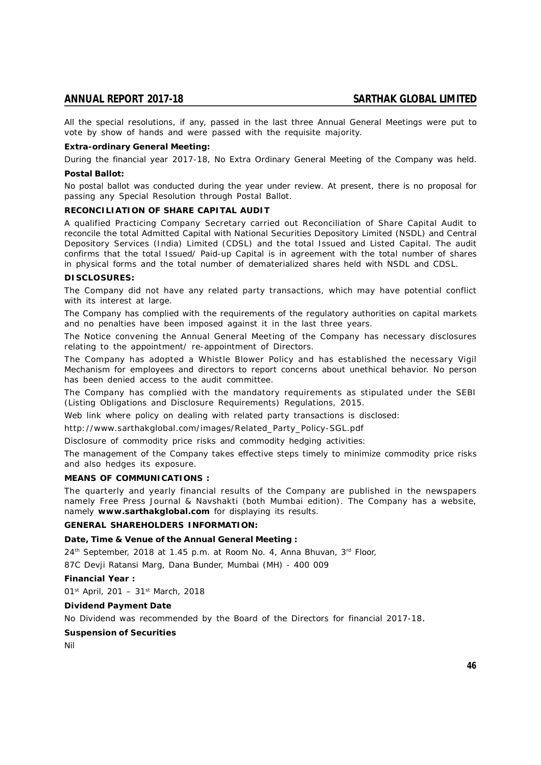All the special resolutions, if any, passed in the last three Annual General Meetings were put to vote by show of hands and were passed with the requisite majority.

#### **Extra-ordinary General Meeting:**

During the financial year 2017-18, No Extra Ordinary General Meeting of the Company was held.

### **Postal Ballot:**

No postal ballot was conducted during the year under review. At present, there is no proposal for passing any Special Resolution through Postal Ballot.

#### **RECONCILIATION OF SHARE CAPITAL AUDIT**

A qualified Practicing Company Secretary carried out Reconciliation of Share Capital Audit to reconcile the total Admitted Capital with National Securities Depository Limited (NSDL) and Central Depository Services (India) Limited (CDSL) and the total Issued and Listed Capital. The audit confirms that the total Issued/ Paid-up Capital is in agreement with the total number of shares in physical forms and the total number of dematerialized shares held with NSDL and CDSL.

#### **DISCLOSURES:**

The Company did not have any related party transactions, which may have potential conflict with its interest at large.

The Company has complied with the requirements of the regulatory authorities on capital markets and no penalties have been imposed against it in the last three years.

The Notice convening the Annual General Meeting of the Company has necessary disclosures relating to the appointment/ re-appointment of Directors.

The Company has adopted a Whistle Blower Policy and has established the necessary Vigil Mechanism for employees and directors to report concerns about unethical behavior. No person has been denied access to the audit committee.

The Company has complied with the mandatory requirements as stipulated under the SEBI (Listing Obligations and Disclosure Requirements) Regulations, 2015.

Web link where policy on dealing with related party transactions is disclosed:

http://www.sarthakglobal.com/images/Related\_Party\_Policy-SGL.pdf

Disclosure of commodity price risks and commodity hedging activities:

The management of the Company takes effective steps timely to minimize commodity price risks and also hedges its exposure.

### **MEANS OF COMMUNICATIONS :**

The quarterly and yearly financial results of the Company are published in the newspapers namely Free Press Journal & Navshakti (both Mumbai edition). The Company has a website, namely **www.sarthakglobal.com** for displaying its results.

### **GENERAL SHAREHOLDERS INFORMATION:**

#### **Date, Time & Venue of the Annual General Meeting :**

24<sup>th</sup> September, 2018 at 1.45 p.m. at Room No. 4, Anna Bhuvan, 3<sup>rd</sup> Floor,

87C Devji Ratansi Marg, Dana Bunder, Mumbai (MH) - 400 009

#### **Financial Year :**

01st April, 201 - 31st March, 2018

#### **Dividend Payment Date**

No Dividend was recommended by the Board of the Directors for financial 2017-18.

#### **Suspension of Securities**

Nil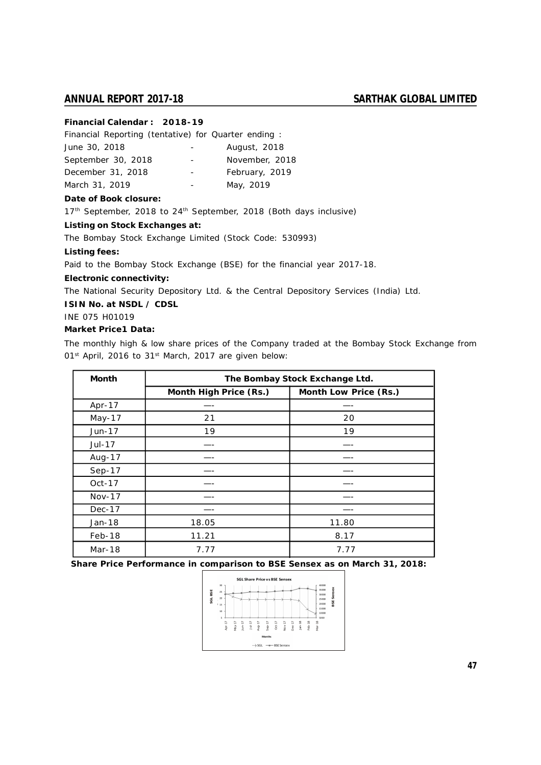#### **Financial Calendar : 2018-19**

| Financial Reporting (tentative) for Quarter ending: |  |                |  |  |
|-----------------------------------------------------|--|----------------|--|--|
| June 30, 2018                                       |  | August, 2018   |  |  |
| September 30, 2018                                  |  | November, 2018 |  |  |
| December 31, 2018                                   |  | February, 2019 |  |  |
| March 31, 2019                                      |  | May, 2019      |  |  |
|                                                     |  |                |  |  |

#### **Date of Book closure:**

17<sup>th</sup> September, 2018 to 24<sup>th</sup> September, 2018 (Both days inclusive)

# **Listing on Stock Exchanges at:**

The Bombay Stock Exchange Limited (Stock Code: 530993)

#### **Listing fees:**

Paid to the Bombay Stock Exchange (BSE) for the financial year 2017-18.

# **Electronic connectivity:**

The National Security Depository Ltd. & the Central Depository Services (India) Ltd.

# **ISIN No. at NSDL / CDSL**

# INE 075 H01019

# **Market Price1 Data:**

The monthly high & low share prices of the Company traded at the Bombay Stock Exchange from 01<sup>st</sup> April, 2016 to 31<sup>st</sup> March, 2017 are given below:

| <b>Month</b>  | The Bombay Stock Exchange Ltd. |                       |  |
|---------------|--------------------------------|-----------------------|--|
|               | Month High Price (Rs.)         | Month Low Price (Rs.) |  |
| Apr-17        |                                |                       |  |
| May-17        | 21                             | 20                    |  |
| Jun-17        | 19                             | 19                    |  |
| Jul-17        |                                |                       |  |
| Aug-17        |                                |                       |  |
| Sep-17        |                                |                       |  |
| $Oct-17$      |                                |                       |  |
| <b>Nov-17</b> |                                |                       |  |
| Dec-17        |                                |                       |  |
| $Jan-18$      | 18.05                          | 11.80                 |  |
| Feb-18        | 11.21                          | 8.17                  |  |
| Mar-18        | 7.77                           | 7.77                  |  |

**Share Price Performance in comparison to BSE Sensex as on March 31, 2018:**

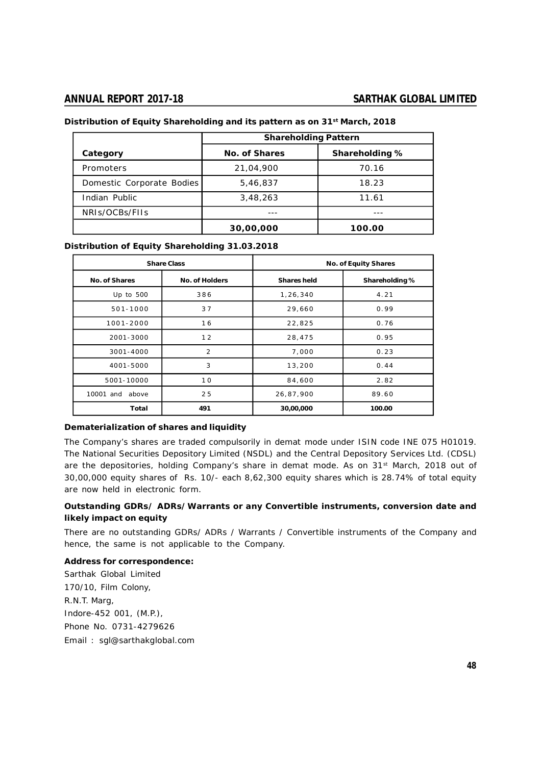#### **SARTHAK GLOBAL LIMITED**

#### **Distribution of Equity Shareholding and its pattern as on 31st March, 2018**

|                           | <b>Shareholding Pattern</b> |                |  |
|---------------------------|-----------------------------|----------------|--|
| Category                  | No. of Shares               | Shareholding % |  |
| Promoters                 | 21,04,900                   | 70.16          |  |
| Domestic Corporate Bodies | 5,46,837                    | 18.23          |  |
| Indian Public             | 3,48,263                    | 11.61          |  |
| NRIS/OCBS/FIIS            |                             |                |  |
|                           | 30,00,000                   | 100.00         |  |

### **Distribution of Equity Shareholding 31.03.2018**

|                    | <b>Share Class</b> | No. of Equity Shares |                |  |
|--------------------|--------------------|----------------------|----------------|--|
| No. of Shares      | No. of Holders     | Shares held          | Shareholding % |  |
| Up to 500          | 386                | 1,26,340             | 4.21           |  |
| 501-1000           | 37                 | 29,660               | 0.99           |  |
| 1001-2000          | 16                 | 22,825               | 0.76           |  |
| 2001-3000          | 12                 | 28,475               | 0.95           |  |
| 3001-4000          | $\mathfrak{D}$     | 7,000                | 0.23           |  |
| 4001-5000          | 3                  | 13,200               | 0.44           |  |
| 5001-10000         | 10                 | 84,600               | 2.82           |  |
| 10001 and<br>above | 25                 | 26,87,900            | 89.60          |  |
| Total              | 491                | 30,00,000            | 100.00         |  |

#### **Dematerialization of shares and liquidity**

The Company's shares are traded compulsorily in demat mode under ISIN code INE 075 H01019. The National Securities Depository Limited (NSDL) and the Central Depository Services Ltd. (CDSL) are the depositories, holding Company's share in demat mode. As on 31<sup>st</sup> March, 2018 out of 30,00,000 equity shares of Rs. 10/- each 8,62,300 equity shares which is 28.74% of total equity are now held in electronic form.

### **Outstanding GDRs/ ADRs/Warrants or any Convertible instruments, conversion date and likely impact on equity**

There are no outstanding GDRs/ ADRs / Warrants / Convertible instruments of the Company and hence, the same is not applicable to the Company.

#### **Address for correspondence:**

Sarthak Global Limited 170/10, Film Colony, R.N.T. Marg, Indore-452 001, (M.P.), Phone No. 0731-4279626 Email : sgl@sarthakglobal.com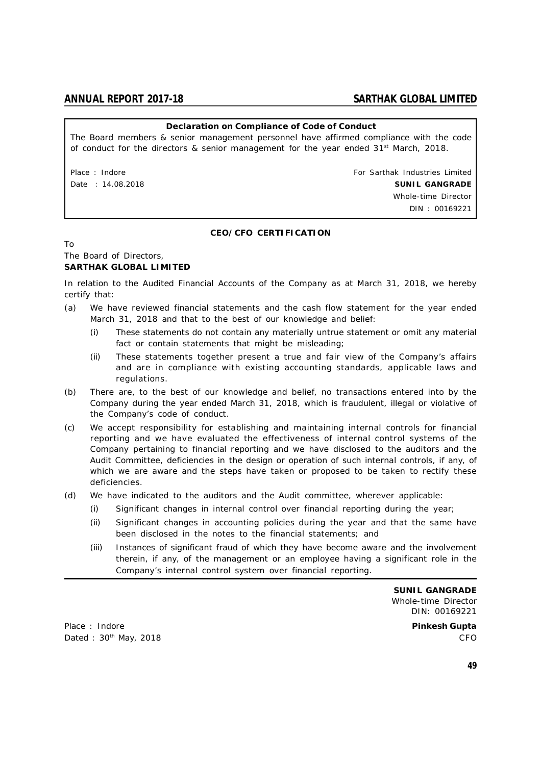# **SARTHAK GLOBAL LIMITED**

#### **Declaration on Compliance of Code of Conduct**

The Board members & senior management personnel have affirmed compliance with the code of conduct for the directors & senior management for the year ended  $31<sup>st</sup>$  March, 2018.

Place : Indore For Sarthak Industries Limited Date : 14.08.2018 **SUNIL GANGRADE** Whole-time Director DIN : 00169221

### **CEO/CFO CERTIFICATION**

#### To The Board of Directors, **SARTHAK GLOBAL LIMITED**

In relation to the Audited Financial Accounts of the Company as at March 31, 2018, we hereby certify that:

- (a) We have reviewed financial statements and the cash flow statement for the year ended March 31, 2018 and that to the best of our knowledge and belief:
	- (i) These statements do not contain any materially untrue statement or omit any material fact or contain statements that might be misleading;
	- (ii) These statements together present a true and fair view of the Company's affairs and are in compliance with existing accounting standards, applicable laws and regulations.
- (b) There are, to the best of our knowledge and belief, no transactions entered into by the Company during the year ended March 31, 2018, which is fraudulent, illegal or violative of the Company's code of conduct.
- (c) We accept responsibility for establishing and maintaining internal controls for financial reporting and we have evaluated the effectiveness of internal control systems of the Company pertaining to financial reporting and we have disclosed to the auditors and the Audit Committee, deficiencies in the design or operation of such internal controls, if any, of which we are aware and the steps have taken or proposed to be taken to rectify these deficiencies.
- (d) We have indicated to the auditors and the Audit committee, wherever applicable:
	- (i) Significant changes in internal control over financial reporting during the year;
	- (ii) Significant changes in accounting policies during the year and that the same have been disclosed in the notes to the financial statements; and
	- (iii) Instances of significant fraud of which they have become aware and the involvement therein, if any, of the management or an employee having a significant role in the Company's internal control system over financial reporting.

**SUNIL GANGRADE** Whole-time Director DIN: 00169221

Place : Indore **Pinkesh Gupta** Dated : 30<sup>th</sup> May, 2018 **CFO**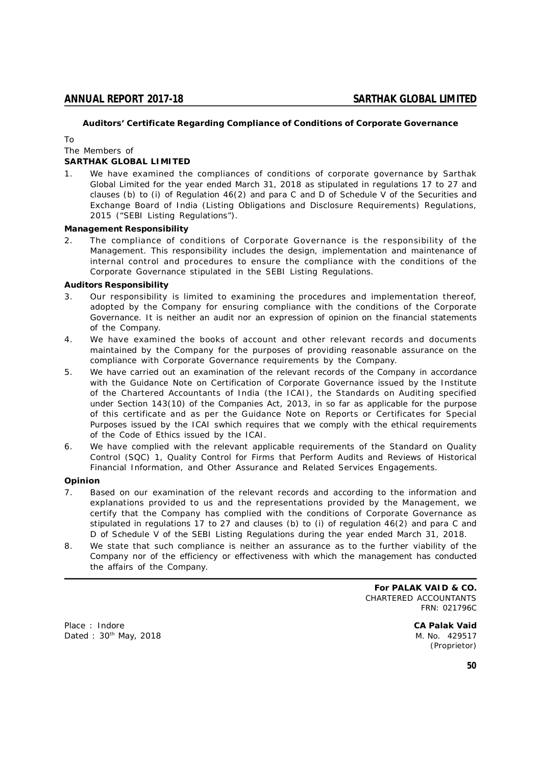#### **Auditors' Certificate Regarding Compliance of Conditions of Corporate Governance**

To

#### The Members of

#### **SARTHAK GLOBAL LIMITED**

We have examined the compliances of conditions of corporate governance by Sarthak Global Limited for the year ended March 31, 2018 as stipulated in regulations 17 to 27 and clauses (b) to (i) of Regulation  $46(2)$  and para C and D of Schedule V of the Securities and Exchange Board of India (Listing Obligations and Disclosure Requirements) Regulations, 2015 ("SEBI Listing Regulations").

#### **Management Responsibility**

2. The compliance of conditions of Corporate Governance is the responsibility of the Management. This responsibility includes the design, implementation and maintenance of internal control and procedures to ensure the compliance with the conditions of the Corporate Governance stipulated in the SEBI Listing Regulations.

#### **Auditors Responsibility**

- 3. Our responsibility is limited to examining the procedures and implementation thereof, adopted by the Company for ensuring compliance with the conditions of the Corporate Governance. It is neither an audit nor an expression of opinion on the financial statements of the Company.
- 4. We have examined the books of account and other relevant records and documents maintained by the Company for the purposes of providing reasonable assurance on the compliance with Corporate Governance requirements by the Company.
- 5. We have carried out an examination of the relevant records of the Company in accordance with the Guidance Note on Certification of Corporate Governance issued by the Institute of the Chartered Accountants of India (the ICAI), the Standards on Auditing specified under Section 143(10) of the Companies Act, 2013, in so far as applicable for the purpose of this certificate and as per the Guidance Note on Reports or Certificates for Special Purposes issued by the ICAI swhich requires that we comply with the ethical requirements of the Code of Ethics issued by the ICAI.
- 6. We have complied with the relevant applicable requirements of the Standard on Quality Control (SQC) 1, Quality Control for Firms that Perform Audits and Reviews of Historical Financial Information, and Other Assurance and Related Services Engagements.

#### **Opinion**

- 7. Based on our examination of the relevant records and according to the information and explanations provided to us and the representations provided by the Management, we certify that the Company has complied with the conditions of Corporate Governance as stipulated in regulations 17 to 27 and clauses (b) to (i) of regulation  $46(2)$  and para C and D of Schedule V of the SEBI Listing Regulations during the year ended March 31, 2018.
- 8. We state that such compliance is neither an assurance as to the further viability of the Company nor of the efficiency or effectiveness with which the management has conducted the affairs of the Company.

**For PALAK VAID & CO.** CHARTERED ACCOUNTANTS FRN: 021796C

Place : Indore **CA Palak Vaid** Dated : 30<sup>th</sup> May, 2018 M. No. 429517

(Proprietor)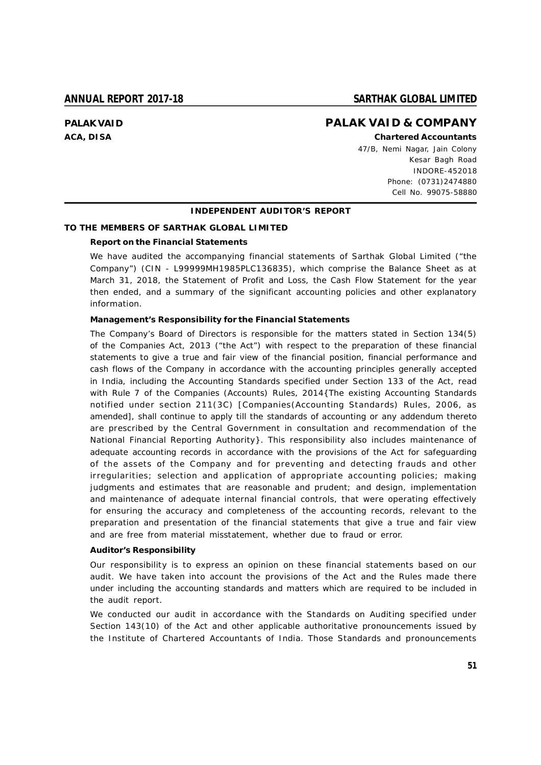# **PALAK VAID PALAK VAID & COMPANY**

**ACA, DISA Chartered Accountants**

47/B, Nemi Nagar, Jain Colony Kesar Bagh Road INDORE-452018 Phone: (0731)2474880 Cell No. 99075-58880

#### **INDEPENDENT AUDITOR'S REPORT**

#### **TO THE MEMBERS OF SARTHAK GLOBAL LIMITED**

#### **Report on the Financial Statements**

We have audited the accompanying financial statements of Sarthak Global Limited ("the Company") (CIN - L99999MH1985PLC136835), which comprise the Balance Sheet as at March 31, 2018, the Statement of Profit and Loss, the Cash Flow Statement for the year then ended, and a summary of the significant accounting policies and other explanatory information.

#### **Management's Responsibility for the Financial Statements**

The Company's Board of Directors is responsible for the matters stated in Section 134(5) of the Companies Act, 2013 ("the Act") with respect to the preparation of these financial statements to give a true and fair view of the financial position, financial performance and cash flows of the Company in accordance with the accounting principles generally accepted in India, including the Accounting Standards specified under Section 133 of the Act, read with Rule 7 of the Companies (Accounts) Rules, 2014{The existing Accounting Standards notified under section 211(3C) [Companies(Accounting Standards) Rules, 2006, as amended], shall continue to apply till the standards of accounting or any addendum thereto are prescribed by the Central Government in consultation and recommendation of the National Financial Reporting Authority}. This responsibility also includes maintenance of adequate accounting records in accordance with the provisions of the Act for safeguarding of the assets of the Company and for preventing and detecting frauds and other irregularities; selection and application of appropriate accounting policies; making judgments and estimates that are reasonable and prudent; and design, implementation and maintenance of adequate internal financial controls, that were operating effectively for ensuring the accuracy and completeness of the accounting records, relevant to the preparation and presentation of the financial statements that give a true and fair view and are free from material misstatement, whether due to fraud or error.

#### **Auditor's Responsibility**

Our responsibility is to express an opinion on these financial statements based on our audit. We have taken into account the provisions of the Act and the Rules made there under including the accounting standards and matters which are required to be included in the audit report.

We conducted our audit in accordance with the Standards on Auditing specified under Section 143(10) of the Act and other applicable authoritative pronouncements issued by the Institute of Chartered Accountants of India. Those Standards and pronouncements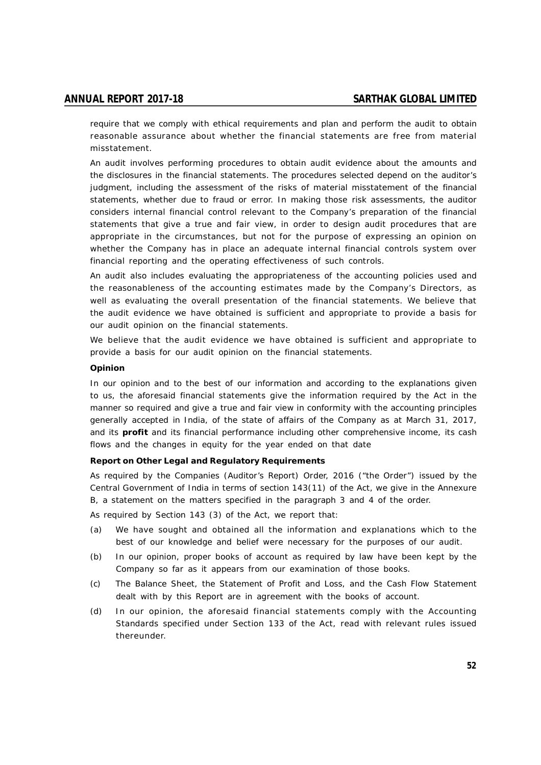require that we comply with ethical requirements and plan and perform the audit to obtain reasonable assurance about whether the financial statements are free from material misstatement.

An audit involves performing procedures to obtain audit evidence about the amounts and the disclosures in the financial statements. The procedures selected depend on the auditor's judgment, including the assessment of the risks of material misstatement of the financial statements, whether due to fraud or error. In making those risk assessments, the auditor considers internal financial control relevant to the Company's preparation of the financial statements that give a true and fair view, in order to design audit procedures that are appropriate in the circumstances, but not for the purpose of expressing an opinion on whether the Company has in place an adequate internal financial controls system over financial reporting and the operating effectiveness of such controls.

An audit also includes evaluating the appropriateness of the accounting policies used and the reasonableness of the accounting estimates made by the Company's Directors, as well as evaluating the overall presentation of the financial statements. We believe that the audit evidence we have obtained is sufficient and appropriate to provide a basis for our audit opinion on the financial statements.

We believe that the audit evidence we have obtained is sufficient and appropriate to provide a basis for our audit opinion on the financial statements.

#### **Opinion**

In our opinion and to the best of our information and according to the explanations given to us, the aforesaid financial statements give the information required by the Act in the manner so required and give a true and fair view in conformity with the accounting principles generally accepted in India, of the state of affairs of the Company as at March 31, 2017, and its **profit** and its financial performance including other comprehensive income, its cash flows and the changes in equity for the year ended on that date

#### **Report on Other Legal and Regulatory Requirements**

As required by the Companies (Auditor's Report) Order, 2016 ("the Order") issued by the Central Government of India in terms of section 143(11) of the Act, we give in the Annexure B, a statement on the matters specified in the paragraph 3 and 4 of the order.

As required by Section 143 (3) of the Act, we report that:

- (a) We have sought and obtained all the information and explanations which to the best of our knowledge and belief were necessary for the purposes of our audit.
- (b) In our opinion, proper books of account as required by law have been kept by the Company so far as it appears from our examination of those books.
- (c) The Balance Sheet, the Statement of Profit and Loss, and the Cash Flow Statement dealt with by this Report are in agreement with the books of account.
- (d) In our opinion, the aforesaid financial statements comply with the Accounting Standards specified under Section 133 of the Act, read with relevant rules issued thereunder.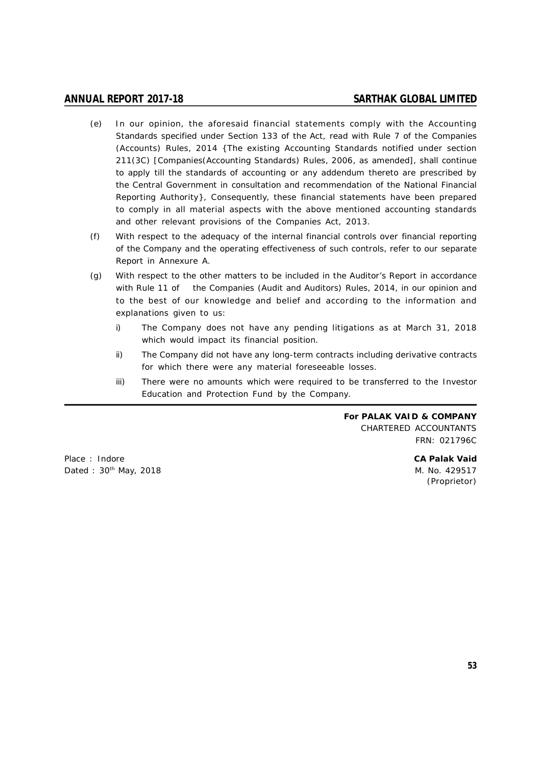- (e) In our opinion, the aforesaid financial statements comply with the Accounting Standards specified under Section 133 of the Act, read with Rule 7 of the Companies (Accounts) Rules, 2014 {The existing Accounting Standards notified under section 211(3C) [Companies(Accounting Standards) Rules, 2006, as amended], shall continue to apply till the standards of accounting or any addendum thereto are prescribed by the Central Government in consultation and recommendation of the National Financial Reporting Authority}, Consequently, these financial statements have been prepared to comply in all material aspects with the above mentioned accounting standards and other relevant provisions of the Companies Act, 2013.
- (f) With respect to the adequacy of the internal financial controls over financial reporting of the Company and the operating effectiveness of such controls, refer to our separate Report in Annexure A.
- (g) With respect to the other matters to be included in the Auditor's Report in accordance with Rule 11 of the Companies (Audit and Auditors) Rules, 2014, in our opinion and to the best of our knowledge and belief and according to the information and explanations given to us:
	- i) The Company does not have any pending litigations as at March 31, 2018 which would impact its financial position.
	- ii) The Company did not have any long-term contracts including derivative contracts for which there were any material foreseeable losses.
	- iii) There were no amounts which were required to be transferred to the Investor Education and Protection Fund by the Company.

**For PALAK VAID & COMPANY** CHARTERED ACCOUNTANTS FRN: 021796C

Place : Indore **CA Palak Vaid** Dated : 30<sup>th</sup> May, 2018 M. No. 429517

(Proprietor)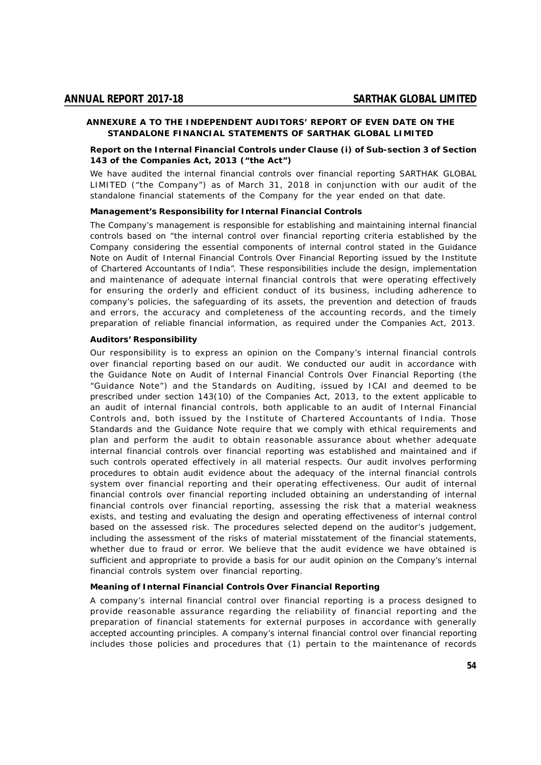#### **ANNEXURE A TO THE INDEPENDENT AUDITORS' REPORT OF EVEN DATE ON THE STANDALONE FINANCIAL STATEMENTS OF SARTHAK GLOBAL LIMITED**

**Report on the Internal Financial Controls under Clause (i) of Sub-section 3 of Section 143 of the Companies Act, 2013 ("the Act")**

We have audited the internal financial controls over financial reporting SARTHAK GLOBAL LIMITED ("the Company") as of March 31, 2018 in conjunction with our audit of the standalone financial statements of the Company for the year ended on that date.

#### **Management's Responsibility for Internal Financial Controls**

The Company's management is responsible for establishing and maintaining internal financial controls based on "the internal control over financial reporting criteria established by the Company considering the essential components of internal control stated in the Guidance Note on Audit of Internal Financial Controls Over Financial Reporting issued by the Institute of Chartered Accountants of India". These responsibilities include the design, implementation and maintenance of adequate internal financial controls that were operating effectively for ensuring the orderly and efficient conduct of its business, including adherence to company's policies, the safeguarding of its assets, the prevention and detection of frauds and errors, the accuracy and completeness of the accounting records, and the timely preparation of reliable financial information, as required under the Companies Act, 2013.

#### **Auditors' Responsibility**

Our responsibility is to express an opinion on the Company's internal financial controls over financial reporting based on our audit. We conducted our audit in accordance with the Guidance Note on Audit of Internal Financial Controls Over Financial Reporting (the "Guidance Note") and the Standards on Auditing, issued by ICAI and deemed to be prescribed under section 143(10) of the Companies Act, 2013, to the extent applicable to an audit of internal financial controls, both applicable to an audit of Internal Financial Controls and, both issued by the Institute of Chartered Accountants of India. Those Standards and the Guidance Note require that we comply with ethical requirements and plan and perform the audit to obtain reasonable assurance about whether adequate internal financial controls over financial reporting was established and maintained and if such controls operated effectively in all material respects. Our audit involves performing procedures to obtain audit evidence about the adequacy of the internal financial controls system over financial reporting and their operating effectiveness. Our audit of internal financial controls over financial reporting included obtaining an understanding of internal financial controls over financial reporting, assessing the risk that a material weakness exists, and testing and evaluating the design and operating effectiveness of internal control based on the assessed risk. The procedures selected depend on the auditor's judgement, including the assessment of the risks of material misstatement of the financial statements, whether due to fraud or error. We believe that the audit evidence we have obtained is sufficient and appropriate to provide a basis for our audit opinion on the Company's internal financial controls system over financial reporting.

#### **Meaning of Internal Financial Controls Over Financial Reporting**

A company's internal financial control over financial reporting is a process designed to provide reasonable assurance regarding the reliability of financial reporting and the preparation of financial statements for external purposes in accordance with generally accepted accounting principles. A company's internal financial control over financial reporting includes those policies and procedures that (1) pertain to the maintenance of records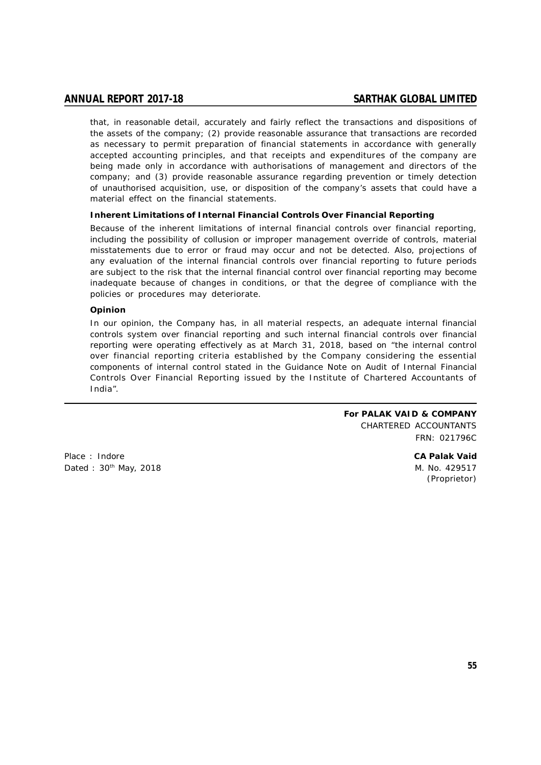that, in reasonable detail, accurately and fairly reflect the transactions and dispositions of the assets of the company; (2) provide reasonable assurance that transactions are recorded as necessary to permit preparation of financial statements in accordance with generally accepted accounting principles, and that receipts and expenditures of the company are being made only in accordance with authorisations of management and directors of the company; and (3) provide reasonable assurance regarding prevention or timely detection of unauthorised acquisition, use, or disposition of the company's assets that could have a material effect on the financial statements.

### **Inherent Limitations of Internal Financial Controls Over Financial Reporting**

Because of the inherent limitations of internal financial controls over financial reporting, including the possibility of collusion or improper management override of controls, material misstatements due to error or fraud may occur and not be detected. Also, projections of any evaluation of the internal financial controls over financial reporting to future periods are subject to the risk that the internal financial control over financial reporting may become inadequate because of changes in conditions, or that the degree of compliance with the policies or procedures may deteriorate.

#### **Opinion**

In our opinion, the Company has, in all material respects, an adequate internal financial controls system over financial reporting and such internal financial controls over financial reporting were operating effectively as at March 31, 2018, based on "the internal control over financial reporting criteria established by the Company considering the essential components of internal control stated in the Guidance Note on Audit of Internal Financial Controls Over Financial Reporting issued by the Institute of Chartered Accountants of India".

> **For PALAK VAID & COMPANY** CHARTERED ACCOUNTANTS FRN: 021796C

Place : Indore **CA Palak Vaid** Dated : 30<sup>th</sup> May, 2018 M. No. 429517

(Proprietor)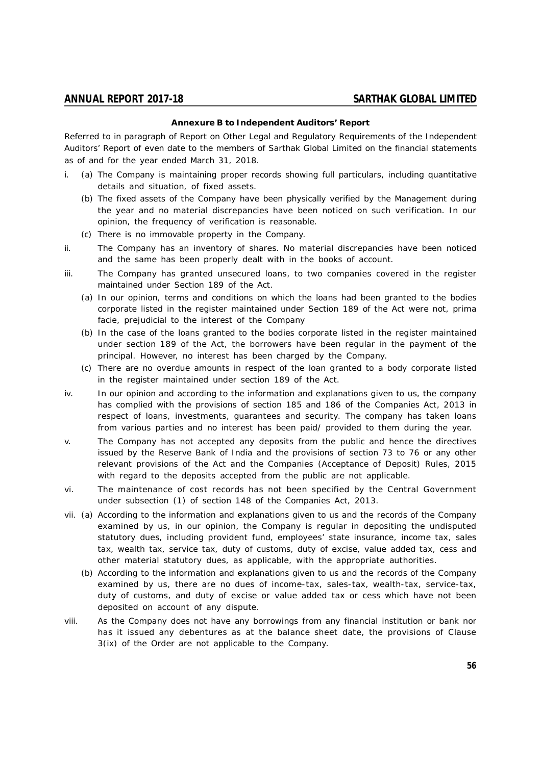#### **SARTHAK GLOBAL LIMITED**

#### **Annexure B to Independent Auditors' Report**

Referred to in paragraph of Report on Other Legal and Regulatory Requirements of the Independent Auditors' Report of even date to the members of Sarthak Global Limited on the financial statements as of and for the year ended March 31, 2018.

- i. (a) The Company is maintaining proper records showing full particulars, including quantitative details and situation, of fixed assets.
	- (b) The fixed assets of the Company have been physically verified by the Management during the year and no material discrepancies have been noticed on such verification. In our opinion, the frequency of verification is reasonable.
	- (c) There is no immovable property in the Company.
- ii. The Company has an inventory of shares. No material discrepancies have been noticed and the same has been properly dealt with in the books of account.
- iii. The Company has granted unsecured loans, to two companies covered in the register maintained under Section 189 of the Act.
	- (a) In our opinion, terms and conditions on which the loans had been granted to the bodies corporate listed in the register maintained under Section 189 of the Act were not, prima facie, prejudicial to the interest of the Company
	- (b) In the case of the loans granted to the bodies corporate listed in the register maintained under section 189 of the Act, the borrowers have been regular in the payment of the principal. However, no interest has been charged by the Company.
	- (c) There are no overdue amounts in respect of the loan granted to a body corporate listed in the register maintained under section 189 of the Act.
- iv. In our opinion and according to the information and explanations given to us, the company has complied with the provisions of section 185 and 186 of the Companies Act, 2013 in respect of loans, investments, guarantees and security. The company has taken loans from various parties and no interest has been paid/ provided to them during the year.
- v. The Company has not accepted any deposits from the public and hence the directives issued by the Reserve Bank of India and the provisions of section 73 to 76 or any other relevant provisions of the Act and the Companies (Acceptance of Deposit) Rules, 2015 with regard to the deposits accepted from the public are not applicable.
- vi. The maintenance of cost records has not been specified by the Central Government under subsection (1) of section 148 of the Companies Act, 2013.
- vii. (a) According to the information and explanations given to us and the records of the Company examined by us, in our opinion, the Company is regular in depositing the undisputed statutory dues, including provident fund, employees' state insurance, income tax, sales tax, wealth tax, service tax, duty of customs, duty of excise, value added tax, cess and other material statutory dues, as applicable, with the appropriate authorities.
	- (b) According to the information and explanations given to us and the records of the Company examined by us, there are no dues of income-tax, sales-tax, wealth-tax, service-tax, duty of customs, and duty of excise or value added tax or cess which have not been deposited on account of any dispute.
- viii. As the Company does not have any borrowings from any financial institution or bank nor has it issued any debentures as at the balance sheet date, the provisions of Clause 3(ix) of the Order are not applicable to the Company.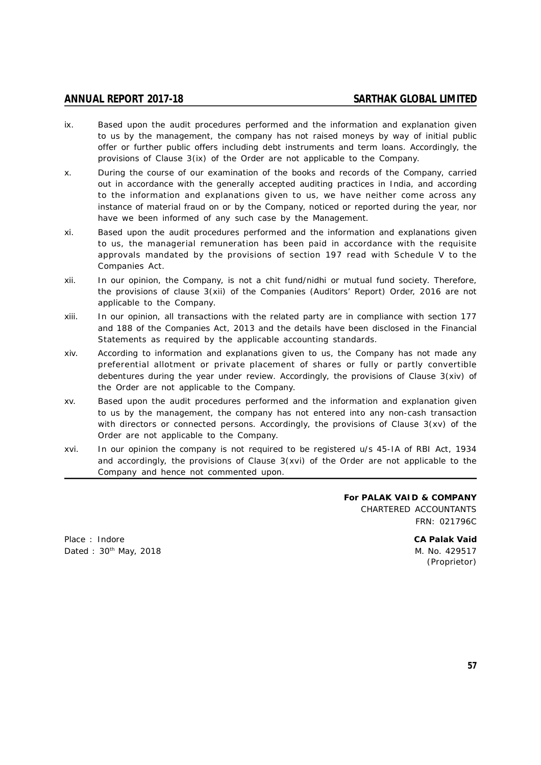- ix. Based upon the audit procedures performed and the information and explanation given to us by the management, the company has not raised moneys by way of initial public offer or further public offers including debt instruments and term loans. Accordingly, the provisions of Clause 3(ix) of the Order are not applicable to the Company.
- x. During the course of our examination of the books and records of the Company, carried out in accordance with the generally accepted auditing practices in India, and according to the information and explanations given to us, we have neither come across any instance of material fraud on or by the Company, noticed or reported during the year, nor have we been informed of any such case by the Management.
- xi. Based upon the audit procedures performed and the information and explanations given to us, the managerial remuneration has been paid in accordance with the requisite approvals mandated by the provisions of section 197 read with Schedule V to the Companies Act.
- xii. In our opinion, the Company, is not a chit fund/nidhi or mutual fund society. Therefore, the provisions of clause 3(xii) of the Companies (Auditors' Report) Order, 2016 are not applicable to the Company.
- xiii. In our opinion, all transactions with the related party are in compliance with section 177 and 188 of the Companies Act, 2013 and the details have been disclosed in the Financial Statements as required by the applicable accounting standards.
- xiv. According to information and explanations given to us, the Company has not made any preferential allotment or private placement of shares or fully or partly convertible debentures during the year under review. Accordingly, the provisions of Clause 3(xiv) of the Order are not applicable to the Company.
- xv. Based upon the audit procedures performed and the information and explanation given to us by the management, the company has not entered into any non-cash transaction with directors or connected persons. Accordingly, the provisions of Clause 3(xv) of the Order are not applicable to the Company.
- xvi. In our opinion the company is not required to be registered u/s 45-IA of RBI Act, 1934 and accordingly, the provisions of Clause  $3(xvi)$  of the Order are not applicable to the Company and hence not commented upon.

**For PALAK VAID & COMPANY** CHARTERED ACCOUNTANTS FRN: 021796C

Place : Indore **CA Palak Vaid** Dated : 30<sup>th</sup> May, 2018 M. No. 429517

(Proprietor)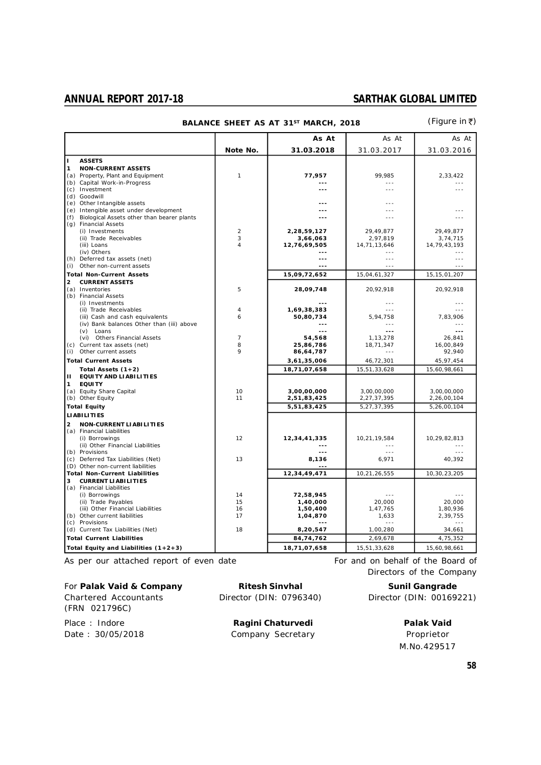# **SARTHAK GLOBAL LIMITED**

|                                                          |                | BALANCE SHEET AS AT 31ST MARCH, 2018 |                                                                                                                                                                                                                                                                                                                                                                                                              | (Figure in ₹)            |
|----------------------------------------------------------|----------------|--------------------------------------|--------------------------------------------------------------------------------------------------------------------------------------------------------------------------------------------------------------------------------------------------------------------------------------------------------------------------------------------------------------------------------------------------------------|--------------------------|
|                                                          |                | As At                                | As At                                                                                                                                                                                                                                                                                                                                                                                                        | As At                    |
|                                                          | Note No.       | 31.03.2018                           | 31.03.2017                                                                                                                                                                                                                                                                                                                                                                                                   | 31.03.2016               |
| П<br><b>ASSETS</b>                                       |                |                                      |                                                                                                                                                                                                                                                                                                                                                                                                              |                          |
| 1<br><b>NON-CURRENT ASSETS</b>                           |                |                                      |                                                                                                                                                                                                                                                                                                                                                                                                              |                          |
| (a) Property, Plant and Equipment                        | 1              | 77,957                               | 99,985                                                                                                                                                                                                                                                                                                                                                                                                       | 2,33,422                 |
| Capital Work-in-Progress<br>(b)                          |                | $- - -$                              | $- - -$                                                                                                                                                                                                                                                                                                                                                                                                      | $\sim$ $\sim$ $\sim$     |
| (c) Investment                                           |                | $---$                                | $- - -$                                                                                                                                                                                                                                                                                                                                                                                                      | $- - -$                  |
| (d) Goodwill<br>(e) Other Intangible assets              |                | $- - -$                              | $- - -$                                                                                                                                                                                                                                                                                                                                                                                                      |                          |
| (e) Intengible asset under development                   |                | ---                                  | $- - -$                                                                                                                                                                                                                                                                                                                                                                                                      | $\sim$ $\sim$ $\sim$     |
| Biological Assets other than bearer plants<br>(f)        |                |                                      |                                                                                                                                                                                                                                                                                                                                                                                                              |                          |
| (g) Financial Assets                                     |                |                                      |                                                                                                                                                                                                                                                                                                                                                                                                              |                          |
| (i) Investments                                          | 2              | 2,28,59,127                          | 29,49,877                                                                                                                                                                                                                                                                                                                                                                                                    | 29,49,877                |
| (ii) Trade Receivables<br>(iii) Loans                    | 3<br>4         | 3,66,063<br>12,76,69,505             | 2,97,819<br>14,71,13,646                                                                                                                                                                                                                                                                                                                                                                                     | 3,74,715<br>14,79,43,193 |
| (iv) Others                                              |                |                                      |                                                                                                                                                                                                                                                                                                                                                                                                              |                          |
| (h) Deferred tax assets (net)                            |                | $- - -$                              | $\sim$ $\sim$ $\sim$                                                                                                                                                                                                                                                                                                                                                                                         | $\sim$ $\sim$ $\sim$     |
| Other non-current assets<br>(i)                          |                | $-$                                  | $\sim$ $\sim$                                                                                                                                                                                                                                                                                                                                                                                                | $\sim$ $\sim$ $\sim$     |
| <b>Total Non-Current Assets</b>                          |                | 15,09,72,652                         | 15,04,61,327                                                                                                                                                                                                                                                                                                                                                                                                 | 15, 15, 01, 207          |
| $\overline{2}$<br><b>CURRENT ASSETS</b>                  |                |                                      |                                                                                                                                                                                                                                                                                                                                                                                                              |                          |
| (a) Inventories                                          | 5              | 28,09,748                            | 20,92,918                                                                                                                                                                                                                                                                                                                                                                                                    | 20,92,918                |
| (b) Financial Assets<br>(i) Investments                  |                | $- - -$                              | $- - -$                                                                                                                                                                                                                                                                                                                                                                                                      | $- - -$                  |
| (ii) Trade Receivables                                   | $\overline{4}$ | 1,69,38,383                          | $\sim$ $\sim$ $\sim$                                                                                                                                                                                                                                                                                                                                                                                         | $- - -$                  |
| (iii) Cash and cash equivalents                          | 6              | 50,80,734                            | 5,94,758                                                                                                                                                                                                                                                                                                                                                                                                     | 7,83,906                 |
| (iv) Bank balances Other than (iii) above                |                | $- - -$                              | $- - -$                                                                                                                                                                                                                                                                                                                                                                                                      | $- - -$                  |
| $(v)$ Loans                                              |                | $- - -$                              | $- - -$                                                                                                                                                                                                                                                                                                                                                                                                      | $ -$                     |
| (vi) Others Financial Assets                             | $\overline{7}$ | 54,568                               | 1,13,278                                                                                                                                                                                                                                                                                                                                                                                                     | 26,841                   |
| (c) Current tax assets (net)<br>(i) Other current assets | 8<br>9         | 25,86,786                            | 18,71,347<br>$- - -$                                                                                                                                                                                                                                                                                                                                                                                         | 16,00,849<br>92,940      |
|                                                          |                | 86,64,787                            |                                                                                                                                                                                                                                                                                                                                                                                                              |                          |
| <b>Total Current Assets</b>                              |                | 3,61,35,006                          | 46,72,301                                                                                                                                                                                                                                                                                                                                                                                                    | 45,97,454                |
| Total Assets $(1+2)$<br>н.<br>EQUITY AND LIABILITIES     |                | 18,71,07,658                         | 15,51,33,628                                                                                                                                                                                                                                                                                                                                                                                                 | 15,60,98,661             |
| 1<br><b>EQUITY</b>                                       |                |                                      |                                                                                                                                                                                                                                                                                                                                                                                                              |                          |
| (a) Equity Share Capital                                 | 10             | 3,00,00,000                          | 3,00,00,000                                                                                                                                                                                                                                                                                                                                                                                                  | 3,00,00,000              |
| (b) Other Equity                                         | 11             | 2,51,83,425                          | 2,27,37,395                                                                                                                                                                                                                                                                                                                                                                                                  | 2,26,00,104              |
| <b>Total Equity</b>                                      |                | 5,51,83,425                          | 5,27,37,395                                                                                                                                                                                                                                                                                                                                                                                                  | 5,26,00,104              |
| <b>LIABILITIES</b>                                       |                |                                      |                                                                                                                                                                                                                                                                                                                                                                                                              |                          |
| NON-CURRENT LI ABILITIES<br>$\overline{2}$               |                |                                      |                                                                                                                                                                                                                                                                                                                                                                                                              |                          |
| (a) Financial Liabilities                                |                |                                      |                                                                                                                                                                                                                                                                                                                                                                                                              |                          |
| (i) Borrowings<br>(ii) Other Financial Liabilities       | 12             | 12,34,41,335<br>$- - -$              | 10,21,19,584<br>$\frac{1}{2} \frac{1}{2} \frac{1}{2} \frac{1}{2} \frac{1}{2} \frac{1}{2} \frac{1}{2} \frac{1}{2} \frac{1}{2} \frac{1}{2} \frac{1}{2} \frac{1}{2} \frac{1}{2} \frac{1}{2} \frac{1}{2} \frac{1}{2} \frac{1}{2} \frac{1}{2} \frac{1}{2} \frac{1}{2} \frac{1}{2} \frac{1}{2} \frac{1}{2} \frac{1}{2} \frac{1}{2} \frac{1}{2} \frac{1}{2} \frac{1}{2} \frac{1}{2} \frac{1}{2} \frac{1}{2} \frac{$ | 10,29,82,813<br>$- - -$  |
| (b) Provisions                                           |                | $- - -$                              | $\frac{1}{2} \frac{1}{2} \frac{1}{2} \frac{1}{2} \frac{1}{2} \frac{1}{2} \frac{1}{2} \frac{1}{2} \frac{1}{2} \frac{1}{2} \frac{1}{2} \frac{1}{2} \frac{1}{2} \frac{1}{2} \frac{1}{2} \frac{1}{2} \frac{1}{2} \frac{1}{2} \frac{1}{2} \frac{1}{2} \frac{1}{2} \frac{1}{2} \frac{1}{2} \frac{1}{2} \frac{1}{2} \frac{1}{2} \frac{1}{2} \frac{1}{2} \frac{1}{2} \frac{1}{2} \frac{1}{2} \frac{$                 | $- - -$                  |
| (c) Deferred Tax Liabilities (Net)                       | 13             | 8,136                                | 6,971                                                                                                                                                                                                                                                                                                                                                                                                        | 40,392                   |
| (D) Other non-current liabilities                        |                |                                      |                                                                                                                                                                                                                                                                                                                                                                                                              |                          |
| <b>Total Non-Current Liabilities</b>                     |                | 12,34,49,471                         | 10,21,26,555                                                                                                                                                                                                                                                                                                                                                                                                 | 10,30,23,205             |
| 3<br><b>CURRENT LI ABILITIES</b>                         |                |                                      |                                                                                                                                                                                                                                                                                                                                                                                                              |                          |
| (a) Financial Liabilities<br>(i) Borrowings              | 14             |                                      |                                                                                                                                                                                                                                                                                                                                                                                                              |                          |
| (ii) Trade Payables                                      | 15             | 72,58,945<br>1,40,000                | 20,000                                                                                                                                                                                                                                                                                                                                                                                                       | 20,000                   |
| (iii) Other Financial Liabilities                        | 16             | 1,50,400                             | 1,47,765                                                                                                                                                                                                                                                                                                                                                                                                     | 1,80,936                 |
| (b) Other current liabilities                            | 17             | 1,04,870                             | 1,633                                                                                                                                                                                                                                                                                                                                                                                                        | 2,39,755                 |
| (c) Provisions                                           |                | $- - -$                              | $\sim$ $\sim$ $\sim$                                                                                                                                                                                                                                                                                                                                                                                         | $\sim$ $\sim$ $\sim$     |
| (d) Current Tax Liabilities (Net)                        | 18             | 8,20,547                             | 1,00,280                                                                                                                                                                                                                                                                                                                                                                                                     | 34,661                   |
| <b>Total Current Liabilities</b>                         |                | 84,74,762                            | 2,69,678                                                                                                                                                                                                                                                                                                                                                                                                     | 4,75,352                 |
| Total Equity and Liabilities $(1+2+3)$                   |                | 18,71,07,658                         | 15,51,33,628                                                                                                                                                                                                                                                                                                                                                                                                 | 15,60,98,661             |

As per our attached report of even date For and on behalf of the Board of

| For Palak Vaid & Company | <b>Ritesh Sinyhal</b>   | <b>Sunil Gangrade</b> |
|--------------------------|-------------------------|-----------------------|
| Chartered Accountants    | Director (DIN: 0796340) | Director (DIN: 0016   |
| (FRN 021796C)            |                         |                       |
| Place: Indore            | Ragini Chaturvedi       | <b>Palak Vaid</b>     |

Date : 30/05/2018 Company Secretary Proprietor

Directors of the Company

Director (DIN: 0796340) Director (DIN: 00169221)

M.No.429517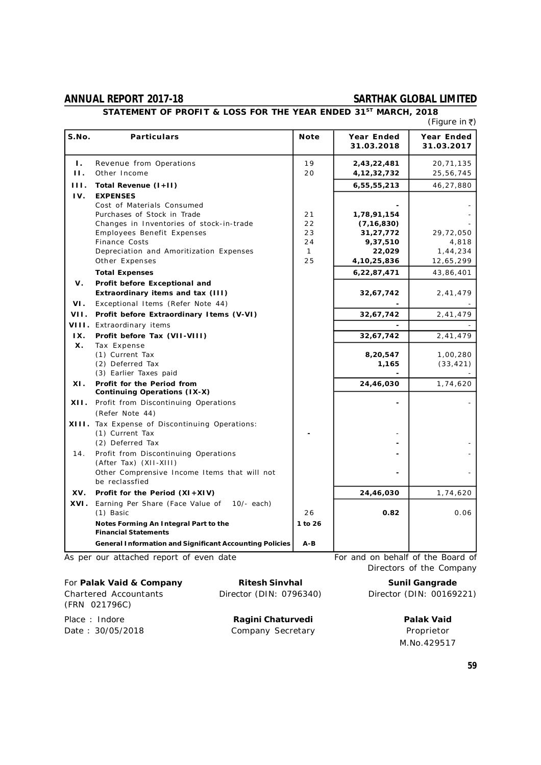# **SARTHAK GLOBAL LIMITED**

|               | STATEMENT OF PROFIT & LOSS FOR THE YEAR ENDED 31ST MARCH, 2018                                                 |                    |                               | (Figure in ₹)            |
|---------------|----------------------------------------------------------------------------------------------------------------|--------------------|-------------------------------|--------------------------|
| S.No.         | <b>Particulars</b>                                                                                             | <b>Note</b>        | Year Ended<br>31.03.2018      | Year Ended<br>31.03.2017 |
| Ι.<br>$\Pi$ . | Revenue from Operations<br>Other Income                                                                        | 19<br>20           | 2,43,22,481<br>4, 12, 32, 732 | 20,71,135<br>25,56,745   |
| HL.           | Total Revenue (I+II)                                                                                           |                    | 6,55,55,213                   | 46,27,880                |
| IV.           | <b>EXPENSES</b>                                                                                                |                    |                               |                          |
|               | Cost of Materials Consumed<br>Purchases of Stock in Trade<br>Changes in Inventories of stock-in-trade          | 21<br>22           | 1,78,91,154<br>(7, 16, 830)   |                          |
|               | Employees Benefit Expenses                                                                                     | 23                 | 31,27,772                     | 29,72,050                |
|               | Finance Costs<br>Depreciation and Amoritization Expenses                                                       | 24<br>$\mathbf{1}$ | 9,37,510                      | 4,818<br>1,44,234        |
|               | Other Expenses                                                                                                 | 25                 | 22,029<br>4,10,25,836         | 12,65,299                |
|               | <b>Total Expenses</b>                                                                                          |                    | 6,22,87,471                   | 43,86,401                |
| V.            | Profit before Exceptional and                                                                                  |                    |                               |                          |
|               | Extraordinary items and tax (III)                                                                              |                    | 32,67,742                     | 2,41,479                 |
| VI.           | Exceptional Items (Refer Note 44)                                                                              |                    |                               |                          |
| VII.          | Profit before Extraordinary Items (V-VI)                                                                       |                    | 32,67,742                     | 2,41,479                 |
|               | VIII. Extraordinary items                                                                                      |                    |                               |                          |
| IX.<br>Х.     | Profit before Tax (VII-VIII)<br>Tax Expense                                                                    |                    | 32,67,742                     | 2,41,479                 |
|               | (1) Current Tax<br>(2) Deferred Tax<br>(3) Earlier Taxes paid                                                  |                    | 8,20,547<br>1,165             | 1,00,280<br>(33, 421)    |
| XI.           | Profit for the Period from<br><b>Continuing Operations (IX-X)</b>                                              |                    | 24,46,030                     | 1,74,620                 |
| XII.          | Profit from Discontinuing Operations                                                                           |                    |                               |                          |
|               | (Refer Note 44)                                                                                                |                    |                               |                          |
|               | XIII. Tax Expense of Discontinuing Operations:<br>(1) Current Tax<br>(2) Deferred Tax                          |                    |                               |                          |
| 14.           | Profit from Discontinuing Operations<br>(After Tax) (XII-XIII)<br>Other Comprensive Income Items that will not |                    |                               |                          |
|               | be reclassfied                                                                                                 |                    |                               |                          |
| XV.           | Profit for the Period $(XI + XIV)$                                                                             |                    | 24,46,030                     | 1,74,620                 |
| XVI.          | Earning Per Share (Face Value of 10/- each)<br>$(1)$ Basic                                                     | 26                 | 0.82                          | 0.06                     |
|               | Notes Forming An Integral Part to the<br><b>Financial Statements</b>                                           | 1 to 26            |                               |                          |
|               | <b>General Information and Significant Accounting Policies</b>                                                 | A-B                |                               |                          |

As per our attached report of even date For and on behalf of the Board of Directors of the Company

For **Palak Vaid & Company Ritesh Sinvhal Sunil Gangrade** Chartered Accountants Director (DIN: 0796340) Director (DIN: 00169221) (FRN 021796C) Place : Indore **Ragini Chaturvedi Palak Vaid** Date : 30/05/2018 Company Secretary Proprietor

M.No.429517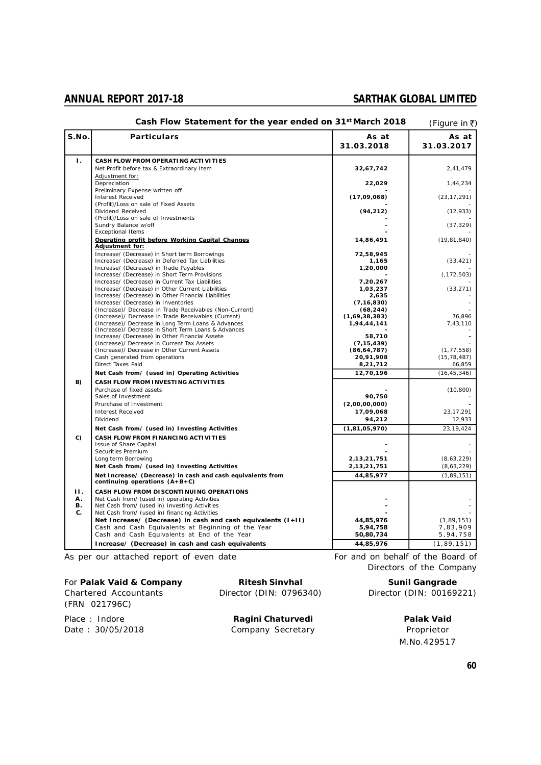# **SARTHAK GLOBAL LIMITED**

|                      | Cash Flow Statement for the year ended on 31 <sup>st</sup> March 2018                                                                                                                                                                                                                                                                                                                                                                                                                                                                                                                                                                                                                                  |                                                                                                                                        | (Figure in ₹)                                             |
|----------------------|--------------------------------------------------------------------------------------------------------------------------------------------------------------------------------------------------------------------------------------------------------------------------------------------------------------------------------------------------------------------------------------------------------------------------------------------------------------------------------------------------------------------------------------------------------------------------------------------------------------------------------------------------------------------------------------------------------|----------------------------------------------------------------------------------------------------------------------------------------|-----------------------------------------------------------|
| S.No.                | <b>Particulars</b>                                                                                                                                                                                                                                                                                                                                                                                                                                                                                                                                                                                                                                                                                     | As at<br>31.03.2018                                                                                                                    | As at<br>31.03.2017                                       |
| $\mathbf{L}$         | CASH FLOW FROM OPERATING ACTIVITIES<br>Net Profit before tax & Extraordinary Item                                                                                                                                                                                                                                                                                                                                                                                                                                                                                                                                                                                                                      | 32,67,742                                                                                                                              | 2.41.479                                                  |
|                      | Adjustment for:<br>Depreciation<br>Preliminary Expense written off                                                                                                                                                                                                                                                                                                                                                                                                                                                                                                                                                                                                                                     | 22,029                                                                                                                                 | 1,44,234                                                  |
|                      | <b>Interest Received</b><br>(Profit)/Loss on sale of Fixed Assets                                                                                                                                                                                                                                                                                                                                                                                                                                                                                                                                                                                                                                      | (17,09,068)                                                                                                                            | (23, 17, 291)                                             |
|                      | Dividend Received<br>(Profit)/Loss on sale of Investments<br>Sundry Balance w/off                                                                                                                                                                                                                                                                                                                                                                                                                                                                                                                                                                                                                      | (94, 212)                                                                                                                              | (12, 933)<br>(37, 329)                                    |
|                      | <b>Exceptional Items</b><br>Operating profit before Working Capital Changes                                                                                                                                                                                                                                                                                                                                                                                                                                                                                                                                                                                                                            | 14,86,491                                                                                                                              | (19, 81, 840)                                             |
|                      | Adjustment for:<br>Increase/ (Decrease) in Short term Borrowings<br>Increase/ (Decrease) in Deferred Tax Liabilities<br>Increase/ (Decrease) in Trade Payables<br>Increase/ (Decrease) in Short Term Provisions<br>Increase/ (Decrease) in Current Tax Liabilities<br>Increase/ (Decrease) in Other Current Liabilities<br>Increase/ (Decrease) in Other Financial Liabilities<br>Increase/ (Decrease) in Inventories<br>(Increase)/ Decrease in Trade Receivables (Non-Current)<br>(Increase)/ Decrease in Trade Receivables (Current)<br>(Increase)/ Decrease in Long Term Loans & Advances<br>(Increase)/ Decrease in Short Term Loans & Advances<br>Increase/ (Decrease) in Other Financial Assete | 72,58,945<br>1,165<br>1,20,000<br>7,20,267<br>1,03,237<br>2,635<br>(7, 16, 830)<br>(68, 244)<br>(1,69,38,383)<br>1,94,44,141<br>58,710 | (33, 421)<br>(772,503)<br>(33, 271)<br>76,896<br>7,43,110 |
|                      | (Increase)/ Decrease in Current Tax Assets<br>(Increase)/ Decrease in Other Current Assets<br>Cash generated from operations<br>Direct Taxes Paid                                                                                                                                                                                                                                                                                                                                                                                                                                                                                                                                                      | (7, 15, 439)<br>(86, 64, 787)<br>20,91,908<br>8,21,712                                                                                 | (1, 77, 558)<br>(15, 78, 487)<br>66,859                   |
|                      | Net Cash from/ (used in) Operating Activities                                                                                                                                                                                                                                                                                                                                                                                                                                                                                                                                                                                                                                                          | 12,70,196                                                                                                                              | (16, 45, 346)                                             |
| B)                   | CASH FLOW FROM INVESTING ACTIVITIES<br>Purchase of fixed assets<br>Sales of Investment<br>Prurchase of Investment<br>Interest Received<br>Dividend                                                                                                                                                                                                                                                                                                                                                                                                                                                                                                                                                     | 90,750<br>(2,00,00,000)<br>17,09,068<br>94,212                                                                                         | (10, 800)<br>23, 17, 291<br>12,933                        |
|                      | Net Cash from/ (used in) Investing Activities                                                                                                                                                                                                                                                                                                                                                                                                                                                                                                                                                                                                                                                          | (1, 81, 05, 970)                                                                                                                       | 23, 19, 424                                               |
| C)                   | CASH FLOW FROM FINANCING ACTIVITIES<br>Issue of Share Capital<br>Securities Premium<br>Long term Borrowing<br>Net Cash from/ (used in) Investing Activities                                                                                                                                                                                                                                                                                                                                                                                                                                                                                                                                            | 2,13,21,751<br>2, 13, 21, 751                                                                                                          | (8,63,229)<br>(8,63,229)                                  |
|                      | Net Increase/ (Decrease) in cash and cash equivalents from<br>continuing operations $(A+B+C)$                                                                                                                                                                                                                                                                                                                                                                                                                                                                                                                                                                                                          | 44,85,977                                                                                                                              | (1, 89, 151)                                              |
| н.<br>Α.<br>В.<br>C. | CASH FLOW FROM DISCONTINUING OPERATIONS<br>Net Cash from/ (used in) operating Activities<br>Net Cash from/ (used in) Investing Activities<br>Net Cash from/ (used in) financing Activities                                                                                                                                                                                                                                                                                                                                                                                                                                                                                                             |                                                                                                                                        |                                                           |
|                      | Net Increase/ (Decrease) in cash and cash equivalents (I+II)<br>Cash and Cash Equivalents at Beginning of the Year<br>Cash and Cash Equivalents at End of the Year                                                                                                                                                                                                                                                                                                                                                                                                                                                                                                                                     | 44,85,976<br>5,94,758<br>50,80,734                                                                                                     | (1, 89, 151)<br>7,83,909<br>5,94,758                      |
|                      | Increase/ (Decrease) in cash and cash equivalents                                                                                                                                                                                                                                                                                                                                                                                                                                                                                                                                                                                                                                                      | 44,85,976                                                                                                                              | (1, 89, 151)                                              |

As per our attached report of even date For and on behalf of the Board of

For **Palak Vaid & Company Ritesh Sinvhal Ritesh Sinville Sunil Gangrade**<br>
Chartered Accountants **Sunil Chartered Accountants Director (DIN: 0796340) Director (DIN: 00169221)** Chartered Accountants Director (DIN: 0796340) (FRN 021796C) Place : Indore **Ragini Chaturvedi Place : Indore Palak Vaid** 

Date : 30/05/2018 Company Secretary Proprietor

Directors of the Company

M.No.429517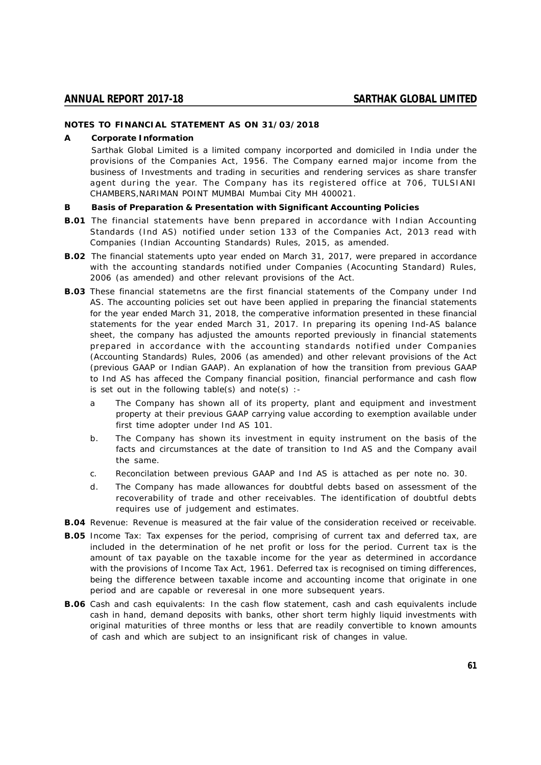### **NOTES TO FINANCIAL STATEMENT AS ON 31/03/2018**

#### **A Corporate Information**

Sarthak Global Limited is a limited company incorported and domiciled in India under the provisions of the Companies Act, 1956. The Company earned major income from the business of Investments and trading in securities and rendering services as share transfer agent during the year. The Company has its registered office at 706, TULSIANI CHAMBERS,NARIMAN POINT MUMBAI Mumbai City MH 400021.

#### **B Basis of Preparation & Presentation with Significant Accounting Policies**

- **B.01** The financial statements have benn prepared in accordance with Indian Accounting Standards (Ind AS) notified under setion 133 of the Companies Act, 2013 read with Companies (Indian Accounting Standards) Rules, 2015, as amended.
- **B.02** The financial statements upto year ended on March 31, 2017, were prepared in accordance with the accounting standards notified under Companies (Acocunting Standard) Rules, 2006 (as amended) and other relevant provisions of the Act.
- **B.03** These financial statemetns are the first financial statements of the Company under Ind AS. The accounting policies set out have been applied in preparing the financial statements for the year ended March 31, 2018, the comperative information presented in these financial statements for the year ended March 31, 2017. In preparing its opening Ind-AS balance sheet, the company has adjusted the amounts reported previously in financial statements prepared in accordance with the accounting standards notified under Companies (Accounting Standards) Rules, 2006 (as amended) and other relevant provisions of the Act (previous GAAP or Indian GAAP). An explanation of how the transition from previous GAAP to Ind AS has affeced the Company financial position, financial performance and cash flow is set out in the following table(s) and note(s)  $:$ 
	- a The Company has shown all of its property, plant and equipment and investment property at their previous GAAP carrying value according to exemption available under first time adopter under Ind AS 101.
	- b. The Company has shown its investment in equity instrument on the basis of the facts and circumstances at the date of transition to Ind AS and the Company avail the same.
	- c. Reconcilation between previous GAAP and Ind AS is attached as per note no. 30.
	- d. The Company has made allowances for doubtful debts based on assessment of the recoverability of trade and other receivables. The identification of doubtful debts requires use of judgement and estimates.
- **B.04** Revenue: Revenue is measured at the fair value of the consideration received or receivable.
- **B.05** Income Tax: Tax expenses for the period, comprising of current tax and deferred tax, are included in the determination of he net profit or loss for the period. Current tax is the amount of tax payable on the taxable income for the year as determined in accordance with the provisions of Income Tax Act, 1961. Deferred tax is recognised on timing differences, being the difference between taxable income and accounting income that originate in one period and are capable or reveresal in one more subsequent years.
- **B.06** Cash and cash equivalents: In the cash flow statement, cash and cash equivalents include cash in hand, demand deposits with banks, other short term highly liquid investments with original maturities of three months or less that are readily convertible to known amounts of cash and which are subject to an insignificant risk of changes in value.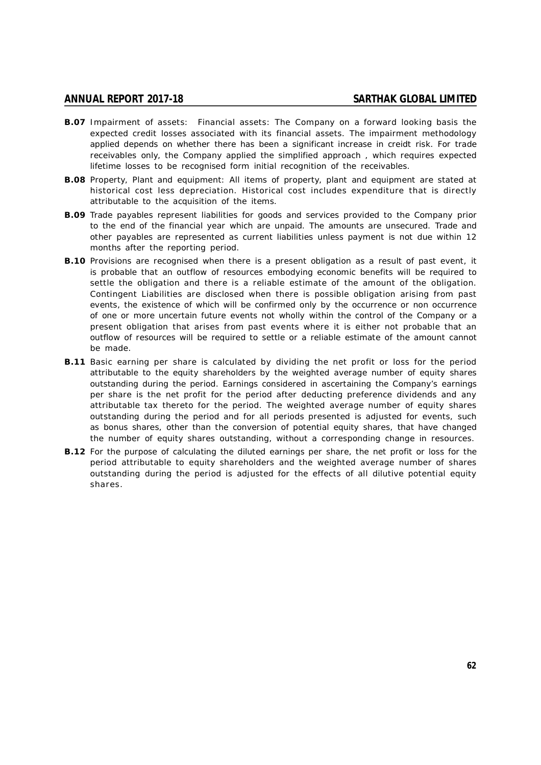- **B.07** Impairment of assets: Financial assets: The Company on a forward looking basis the expected credit losses associated with its financial assets. The impairment methodology applied depends on whether there has been a significant increase in creidt risk. For trade receivables only, the Company applied the simplified approach , which requires expected lifetime losses to be recognised form initial recognition of the receivables.
- **B.08** Property, Plant and equipment: All items of property, plant and equipment are stated at historical cost less depreciation. Historical cost includes expenditure that is directly attributable to the acquisition of the items.
- **B.09** Trade payables represent liabilities for goods and services provided to the Company prior to the end of the financial year which are unpaid. The amounts are unsecured. Trade and other payables are represented as current liabilities unless payment is not due within 12 months after the reporting period.
- **B.10** Provisions are recognised when there is a present obligation as a result of past event, it is probable that an outflow of resources embodying economic benefits will be required to settle the obligation and there is a reliable estimate of the amount of the obligation. Contingent Liabilities are disclosed when there is possible obligation arising from past events, the existence of which will be confirmed only by the occurrence or non occurrence of one or more uncertain future events not wholly within the control of the Company or a present obligation that arises from past events where it is either not probable that an outflow of resources will be required to settle or a reliable estimate of the amount cannot be made.
- **B.11** Basic earning per share is calculated by dividing the net profit or loss for the period attributable to the equity shareholders by the weighted average number of equity shares outstanding during the period. Earnings considered in ascertaining the Company's earnings per share is the net profit for the period after deducting preference dividends and any attributable tax thereto for the period. The weighted average number of equity shares outstanding during the period and for all periods presented is adjusted for events, such as bonus shares, other than the conversion of potential equity shares, that have changed the number of equity shares outstanding, without a corresponding change in resources.
- **B.12** For the purpose of calculating the diluted earnings per share, the net profit or loss for the period attributable to equity shareholders and the weighted average number of shares outstanding during the period is adjusted for the effects of all dilutive potential equity shares.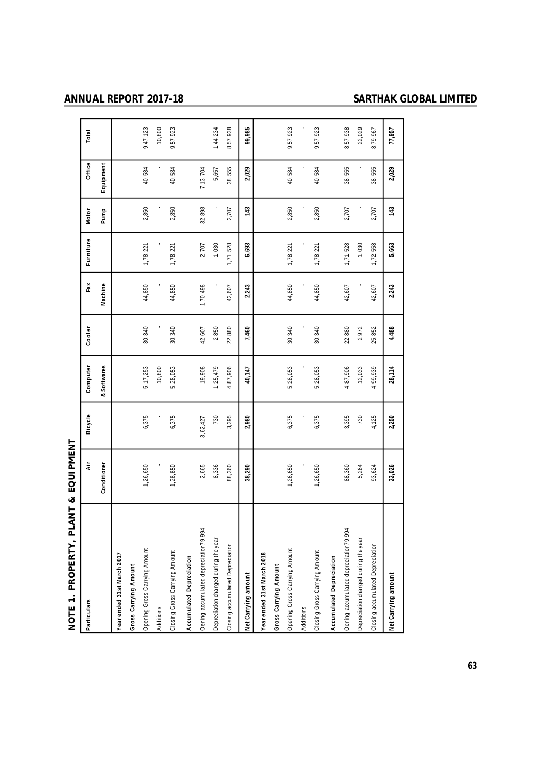# **SARTHAK GLOBAL LIMITED**

| Ę<br>NOTE 1. PROPERTY, PL             | & EQUIPMENT |          |             |        |          |           |              |           |          |
|---------------------------------------|-------------|----------|-------------|--------|----------|-----------|--------------|-----------|----------|
| Particulars                           | ä           | Bicycle  | Computer    | Cooler | Fax      | Furniture | <b>Motor</b> | Office    | Total    |
|                                       | Conditioner |          | & Softwares |        | Machine  |           | Pump         | Equipment |          |
| Year ended 31st March 2017            |             |          |             |        |          |           |              |           |          |
| Gross Carrying Amount                 |             |          |             |        |          |           |              |           |          |
| Opening Gross Carrying Amount         | 1,26,650    | 6,375    | 5,17,253    | 30,340 | 44,850   | 1,78,221  | 2,850        | 40,584    | 9,47,123 |
| Additions                             |             |          | 10,800      |        |          |           |              |           | 10,800   |
| Closing Gross Carrying Amount         | 1,26,650    | 6,375    | 5,28,053    | 30,340 | 44,850   | 1,78,221  | 2,850        | 40,584    | 9,57,923 |
| Accumulated Depreciation              |             |          |             |        |          |           |              |           |          |
| Oening accumulated depreciation79,994 | 2,665       | 3,62,427 | 19,908      | 42,607 | 1,70,498 | 2,707     | 32,898       | 7,13,704  |          |
| Depreciation charged during the year  | 8,336       | 730      | 1,25,479    | 2,850  |          | 1,030     |              | 5,657     | 1,44,234 |
| Closing accumulated Depreciation      | 88,360      | 3,395    | 4,87,906    | 22,880 | 42,607   | 1,71,528  | 2,707        | 38,555    | 8,57,938 |
| Net Carrying amount                   | 38,290      | 2,980    | 40,147      | 7,460  | 2,243    | 6,693     | 143          | 2,029     | 99,985   |
| Year ended 31st March 2018            |             |          |             |        |          |           |              |           |          |
| Gross Carrying Amount                 |             |          |             |        |          |           |              |           |          |
| Opening Gross Carrying Amount         | 1,26,650    | 6,375    | 5,28,053    | 30,340 | 44,850   | 1,78,221  | 2,850        | 40,584    | 9,57,923 |
| Additions                             |             |          |             |        |          |           |              |           |          |
| Closing Gross Carrying Amount         | 1,26,650    | 6,375    | 5,28,053    | 30,340 | 44,850   | 1,78,221  | 2,850        | 40,584    | 9,57,923 |
| Accumulated Depreciation              |             |          |             |        |          |           |              |           |          |
| Oening accumulated depreciation79,994 | 88,360      | 3,395    | 4,87,906    | 22,880 | 42,607   | 1,71,528  | 2,707        | 38,555    | 8,57,938 |
| Depreciation charged during the year  | 5,264       | 730      | 12,033      | 2,972  |          | 1,030     |              |           | 22,029   |
| Closing accumulated Depreciation      | 93,624      | 4,125    | 4,99,939    | 25,852 | 42,607   | 1,72,558  | 2,707        | 38,555    | 8,79,967 |
| Net Carrying amount                   | 33,026      | 2,250    | 28,114      | 4,488  | 2,243    | 5,663     | 143          | 2,029     | 77,957   |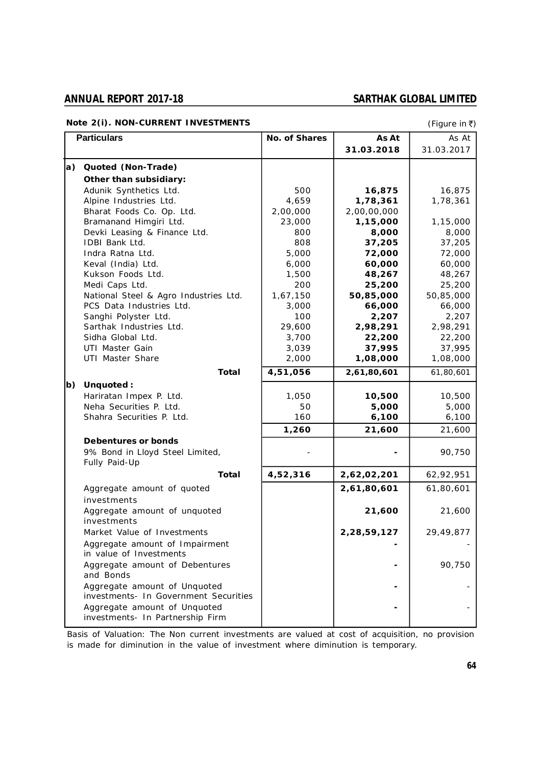# **SARTHAK GLOBAL LIMITED**

# **Note 2(i). NON-CURRENT INVESTMENTS**

# (Figure in )

|    | <b>Particulars</b>                                                    | No. of Shares      | As At                   | As At           |
|----|-----------------------------------------------------------------------|--------------------|-------------------------|-----------------|
|    |                                                                       |                    | 31.03.2018              | 31.03.2017      |
|    |                                                                       |                    |                         |                 |
| a) | Quoted (Non-Trade)                                                    |                    |                         |                 |
|    | Other than subsidiary:                                                |                    |                         |                 |
|    | Adunik Synthetics Ltd.<br>Alpine Industries Ltd.                      | 500<br>4,659       | 16,875                  | 16,875          |
|    | Bharat Foods Co. Op. Ltd.                                             |                    | 1,78,361<br>2,00,00,000 | 1,78,361        |
|    | Bramanand Himgiri Ltd.                                                | 2,00,000<br>23,000 | 1,15,000                | 1,15,000        |
|    | Devki Leasing & Finance Ltd.                                          | 800                | 8,000                   | 8,000           |
|    | IDBI Bank Ltd.                                                        | 808                | 37,205                  | 37,205          |
|    | Indra Ratna Ltd.                                                      | 5,000              | 72,000                  | 72,000          |
|    | Keval (India) Ltd.                                                    | 6,000              | 60,000                  | 60,000          |
|    | Kukson Foods Ltd.                                                     | 1,500              | 48,267                  | 48,267          |
|    | Medi Caps Ltd.                                                        | 200                | 25,200                  | 25,200          |
|    | National Steel & Agro Industries Ltd.                                 | 1,67,150           | 50,85,000               | 50,85,000       |
|    | PCS Data Industries Ltd.                                              | 3,000              | 66,000                  | 66,000          |
|    | Sanghi Polyster Ltd.                                                  | 100                | 2,207                   | 2,207           |
|    | Sarthak Industries Ltd.                                               | 29,600             | 2,98,291                | 2,98,291        |
|    | Sidha Global Ltd.                                                     | 3,700              | 22,200                  | 22,200          |
|    | UTI Master Gain                                                       | 3,039              | 37,995                  | 37,995          |
|    | UTI Master Share                                                      | 2,000              | 1,08,000                | 1,08,000        |
|    | Total                                                                 | 4,51,056           | 2,61,80,601             | 61,80,601       |
| b) | Unquoted:                                                             |                    |                         |                 |
|    | Hariratan Impex P. Ltd.                                               | 1,050              |                         |                 |
|    | Neha Securities P. Ltd.                                               | 50                 | 10,500<br>5,000         | 10,500<br>5,000 |
|    | Shahra Securities P. Ltd.                                             | 160                | 6,100                   | 6,100           |
|    |                                                                       | 1,260              | 21,600                  | 21,600          |
|    | Debentures or bonds                                                   |                    |                         |                 |
|    | 9% Bond in Lloyd Steel Limited,                                       |                    |                         | 90,750          |
|    | Fully Paid-Up                                                         |                    |                         |                 |
|    | <b>Total</b>                                                          | 4,52,316           | 2,62,02,201             | 62,92,951       |
|    | Aggregate amount of quoted                                            |                    | 2,61,80,601             | 61,80,601       |
|    | investments                                                           |                    |                         |                 |
|    | Aggregate amount of unquoted                                          |                    | 21,600                  | 21,600          |
|    | investments                                                           |                    |                         |                 |
|    | Market Value of Investments                                           |                    | 2,28,59,127             | 29,49,877       |
|    | Aggregate amount of Impairment<br>in value of Investments             |                    |                         |                 |
|    | Aggregate amount of Debentures<br>and Bonds                           |                    |                         | 90,750          |
|    | Aggregate amount of Unquoted<br>investments- In Government Securities |                    |                         |                 |
|    | Aggregate amount of Unquoted<br>investments- In Partnership Firm      |                    |                         |                 |

Basis of Valuation: The Non current investments are valued at cost of acquisition, no provision is made for diminution in the value of investment where diminution is temporary.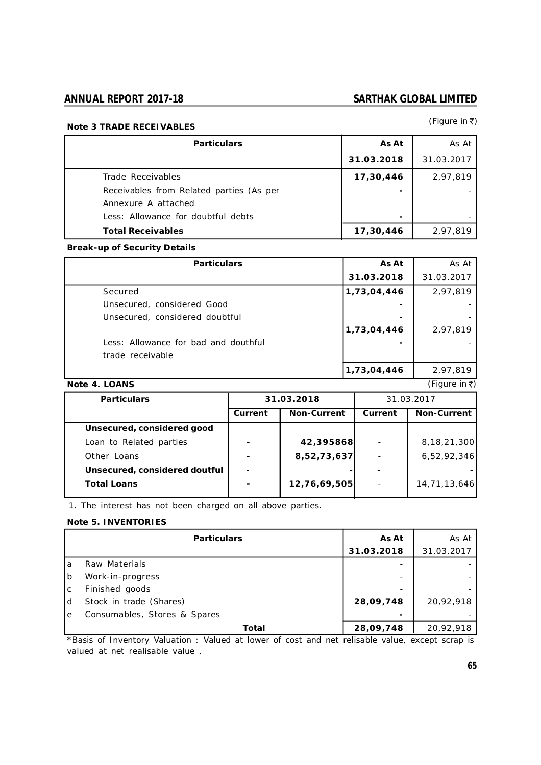# **SARTHAK GLOBAL LIMITED**

(Figure in )

# **Note 3 TRADE RECEIVABLES**

# **Particulars As At** As At As At As At As At As At As At As At As At As At As At As At As At As At As At As At As At As At As At As At As At As At As At As At As At As At As At As At As At As At As At As At As At As At As **31.03.2018** 31.03.2017 Trade Receivables **17,30,446** 2,97,819 Receivables from Related parties (As per **-** - Annexure A attached Less: Allowance for doubtful debts **-** - **Total Receivables 17,30,446** 2,97,819

#### **Break-up of Security Details**

| <b>Particulars</b>                   | As At       | As At      |
|--------------------------------------|-------------|------------|
|                                      | 31.03.2018  | 31.03.2017 |
| Secured                              | 1,73,04,446 | 2,97,819   |
| Unsecured, considered Good           |             |            |
| Unsecured, considered doubtful       | -           |            |
|                                      | 1,73,04,446 | 2,97,819   |
| Less: Allowance for bad and douthful |             |            |
| trade receivable                     |             |            |
|                                      | 1,73,04,446 | 2,97,819   |

### **Note 4. LOANS**

(Figure in )

| <b>Particulars</b>            | 31.03.2018 |                    | 31.03.2017 |                    |
|-------------------------------|------------|--------------------|------------|--------------------|
|                               | Current    | <b>Non-Current</b> | Current    | <b>Non-Current</b> |
| Unsecured, considered good    |            |                    |            |                    |
| Loan to Related parties       |            | 42,395868          |            | 8,18,21,300        |
| Other Loans                   |            | 8,52,73,637        |            | 6,52,92,346        |
| Unsecured, considered doutful |            |                    |            |                    |
| <b>Total Loans</b>            |            | 12,76,69,505       |            | 14,71,13,646       |

1. The interest has not been charged on all above parties.

# **Note 5. INVENTORIES**

|     | <b>Particulars</b>           | As At      | As At      |
|-----|------------------------------|------------|------------|
|     |                              | 31.03.2018 | 31.03.2017 |
| a   | Raw Materials                |            |            |
| b   | Work-in-progress             | -          |            |
| C   | Finished goods               | -          |            |
| l d | Stock in trade (Shares)      | 28,09,748  | 20,92,918  |
| e   | Consumables, Stores & Spares |            |            |
|     | Total                        | 28,09,748  | 20,92,918  |

\*Basis of Inventory Valuation : Valued at lower of cost and net relisable value, except scrap is valued at net realisable value .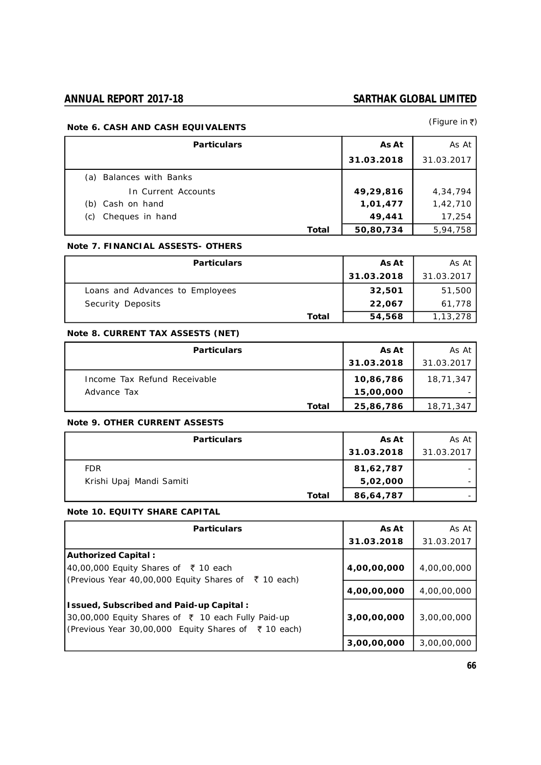# **SARTHAK GLOBAL LIMITED**

(Figure in )

# **Note 6. CASH AND CASH EQUIVALENTS**

| <b>Particulars</b>         | As At      | As At      |
|----------------------------|------------|------------|
|                            | 31.03.2018 | 31.03.2017 |
| Balances with Banks<br>(a) |            |            |
| In Current Accounts        | 49,29,816  | 4,34,794   |
| (b) Cash on hand           | 1,01,477   | 1,42,710   |
| Cheques in hand<br>(C)     | 49,441     | 17,254     |
| Total                      | 50,80,734  | 5,94,758   |

# **Note 7. FINANCIAL ASSESTS- OTHERS**

| <b>Particulars</b>              |       | As At      | As At      |
|---------------------------------|-------|------------|------------|
|                                 |       | 31.03.2018 | 31.03.2017 |
| Loans and Advances to Employees |       | 32,501     | 51,500     |
| Security Deposits               |       | 22,067     | 61,778     |
|                                 | Total | 54,568     | 1,13,278   |

# **Note 8. CURRENT TAX ASSESTS (NET)**

| <b>Particulars</b>           |       | As At      | As At      |
|------------------------------|-------|------------|------------|
|                              |       | 31.03.2018 | 31.03.2017 |
| Income Tax Refund Receivable |       | 10,86,786  | 18,71,347  |
| Advance Tax                  |       | 15,00,000  |            |
|                              | Total | 25,86,786  | 18,71,347  |

# **Note 9. OTHER CURRENT ASSESTS**

| <b>Particulars</b>       | As At      | As At      |
|--------------------------|------------|------------|
|                          | 31.03.2018 | 31.03.2017 |
| <b>FDR</b>               | 81,62,787  |            |
| Krishi Upaj Mandi Samiti | 5,02,000   | -          |
| Total                    | 86,64,787  |            |

# **Note 10. EQUITY SHARE CAPITAL**

| <b>Particulars</b>                                   | As At       | As At       |
|------------------------------------------------------|-------------|-------------|
|                                                      | 31.03.2018  | 31.03.2017  |
| <b>Authorized Capital:</b>                           |             |             |
| 40,00,000 Equity Shares of ₹10 each                  | 4,00,00,000 | 4,00,00,000 |
| (Previous Year 40,00,000 Equity Shares of ₹ 10 each) |             |             |
|                                                      | 4,00,00,000 | 4,00,00,000 |
| Issued, Subscribed and Paid-up Capital:              |             |             |
| 30,00,000 Equity Shares of ₹ 10 each Fully Paid-up   | 3,00,00,000 | 3,00,00,000 |
| (Previous Year 30,00,000 Equity Shares of ₹10 each)  |             |             |
|                                                      | 3,00,00,000 | 3,00,00,000 |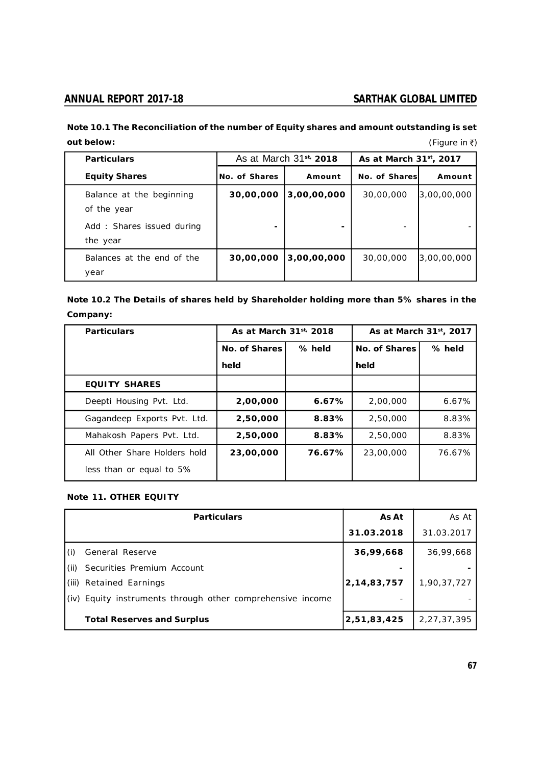# **SARTHAK GLOBAL LIMITED**

#### **Note 10.1 The Reconciliation of the number of Equity shares and amount outstanding is set out below:** (Figure in )

| <b>Particulars</b>         | As at March $31$ <sup>st,</sup> 2018 |                | As at March 31 <sup>st</sup> , 2017 |             |
|----------------------------|--------------------------------------|----------------|-------------------------------------|-------------|
| <b>Equity Shares</b>       | No. of Shares                        | Amount         | No. of Shares                       | Amount      |
| Balance at the beginning   | 30,00,000                            | 3,00,00,000    | 30,00,000                           | 3,00,00,000 |
| of the year                |                                      |                |                                     |             |
| Add: Shares issued during  | -                                    | $\blacksquare$ |                                     |             |
| the year                   |                                      |                |                                     |             |
| Balances at the end of the | 30,00,000                            | 3,00,00,000    | 30,00,000                           | 3,00,00,000 |
| year                       |                                      |                |                                     |             |

# **Note 10.2 The Details of shares held by Shareholder holding more than 5% shares in the Company:**

| <b>Particulars</b>           | As at March $31^{st}$ , 2018 |        |               | As at March 31 <sup>st</sup> , 2017 |
|------------------------------|------------------------------|--------|---------------|-------------------------------------|
|                              | No. of Shares                | % held | No. of Shares | % held                              |
|                              | held                         |        | held          |                                     |
| <b>EQUITY SHARES</b>         |                              |        |               |                                     |
| Deepti Housing Pvt. Ltd.     | 2,00,000                     | 6.67%  | 2,00,000      | 6.67%                               |
| Gagandeep Exports Pvt. Ltd.  | 2,50,000                     | 8.83%  | 2,50,000      | 8.83%                               |
| Mahakosh Papers Pvt. Ltd.    | 2,50,000                     | 8.83%  | 2,50,000      | 8.83%                               |
| All Other Share Holders hold | 23,00,000                    | 76.67% | 23,00,000     | 76.67%                              |
| less than or equal to 5%     |                              |        |               |                                     |

### **Note 11. OTHER EQUITY**

|       | <b>Particulars</b>                                         | As At          | As At          |
|-------|------------------------------------------------------------|----------------|----------------|
|       |                                                            | 31.03.2018     | 31.03.2017     |
| (i)   | General Reserve                                            | 36,99,668      | 36,99,668      |
| (ii)  | Securities Premium Account                                 |                |                |
| (iii) | Retained Earnings                                          | 2, 14, 83, 757 | 1,90,37,727    |
|       | (iv) Equity instruments through other comprehensive income |                |                |
|       | <b>Total Reserves and Surplus</b>                          | 2,51,83,425    | 2, 27, 37, 395 |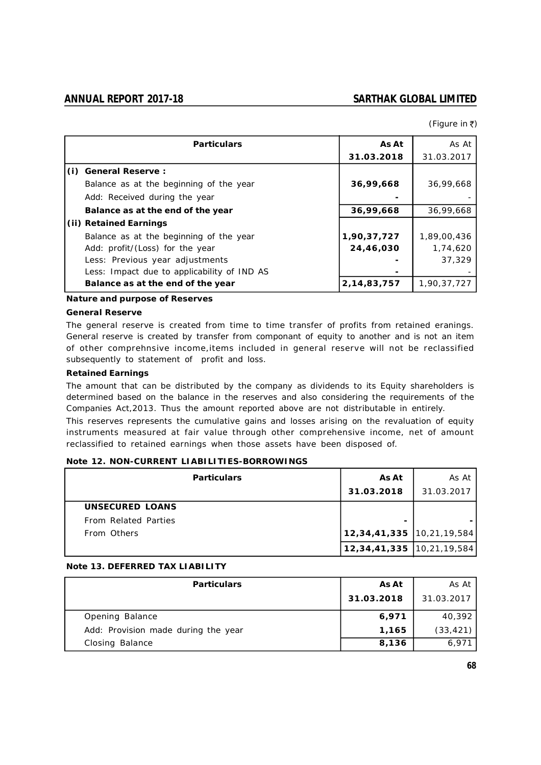# **SARTHAK GLOBAL LIMITED**

| (Figure in ₹) |  |  |
|---------------|--|--|
|---------------|--|--|

| <b>Particulars</b>                          | As At          | As At       |
|---------------------------------------------|----------------|-------------|
|                                             | 31.03.2018     | 31.03.2017  |
| (i) General Reserve :                       |                |             |
| Balance as at the beginning of the year     | 36,99,668      | 36,99,668   |
| Add: Received during the year               |                |             |
| Balance as at the end of the year           | 36,99,668      | 36,99,668   |
| (ii) Retained Earnings                      |                |             |
| Balance as at the beginning of the year     | 1,90,37,727    | 1,89,00,436 |
| Add: profit/(Loss) for the year             | 24,46,030      | 1,74,620    |
| Less: Previous year adjustments             |                | 37.329      |
| Less: Impact due to applicability of IND AS |                |             |
| Balance as at the end of the year           | 2, 14, 83, 757 | 1,90,37,727 |

**Nature and purpose of Reserves**

#### **General Reserve**

The general reserve is created from time to time transfer of profits from retained eranings. General reserve is created by transfer from componant of equity to another and is not an item of other comprehnsive income,items included in general reserve will not be reclassified subsequently to statement of profit and loss.

#### **Retained Earnings**

The amount that can be distributed by the company as dividends to its Equity shareholders is determined based on the balance in the reserves and also considering the requirements of the Companies Act,2013. Thus the amount reported above are not distributable in entirely.

This reserves represents the cumulative gains and losses arising on the revaluation of equity instruments measured at fair value through other comprehensive income, net of amount reclassified to retained earnings when those assets have been disposed of.

# **Note 12. NON-CURRENT LIABILITIES-BORROWINGS**

| <b>Particulars</b>     | As At                                   | As At      |
|------------------------|-----------------------------------------|------------|
|                        | 31.03.2018                              | 31.03.2017 |
| <b>UNSECURED LOANS</b> |                                         |            |
| From Related Parties   |                                         |            |
| From Others            | $12,34,41,335$ $10,21,19,584$           |            |
|                        | $\mid$ 12,34,41,335 $\mid$ 10,21,19,584 |            |

### **Note 13. DEFERRED TAX LIABILITY**

| <b>Particulars</b>                  | As At      | As At      |
|-------------------------------------|------------|------------|
|                                     | 31.03.2018 | 31.03.2017 |
| Opening Balance                     | 6,971      | 40,392     |
| Add: Provision made during the year | 1,165      | (33, 421)  |
| Closing Balance                     | 8,136      | 6.971      |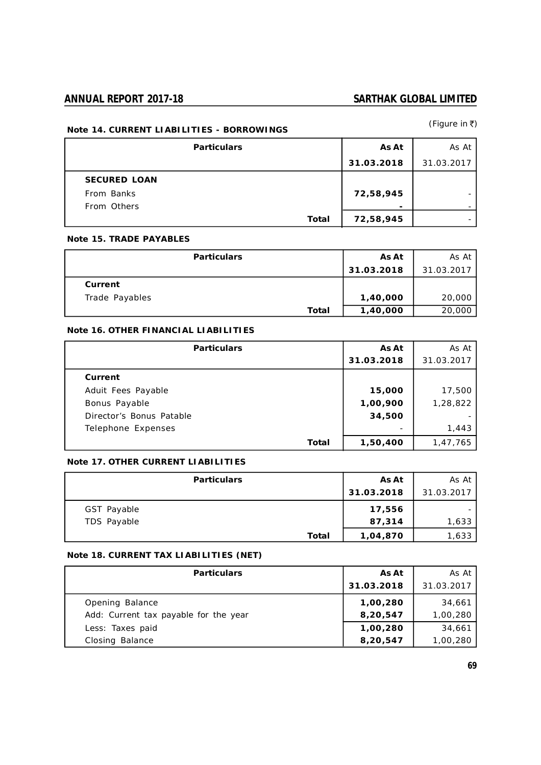# **SARTHAK GLOBAL LIMITED**

(Figure in )

# **Note 14. CURRENT LIABILITIES - BORROWINGS**

| <b>Particulars</b>  | As At      | As At      |
|---------------------|------------|------------|
|                     | 31.03.2018 | 31.03.2017 |
| <b>SECURED LOAN</b> |            |            |
| From Banks          | 72,58,945  |            |
| From Others         |            |            |
| <b>Total</b>        | 72,58,945  |            |

# **Note 15. TRADE PAYABLES**

| <b>Particulars</b> |              | As At      | As At      |
|--------------------|--------------|------------|------------|
|                    |              | 31.03.2018 | 31.03.2017 |
| Current            |              |            |            |
| Trade Payables     |              | 1,40,000   | 20,000     |
|                    | <b>Total</b> | 1,40,000   | 20,000     |

# **Note 16. OTHER FINANCIAL LIABILITIES**

| <b>Particulars</b>       | As At      | As At      |
|--------------------------|------------|------------|
|                          | 31.03.2018 | 31.03.2017 |
| Current                  |            |            |
| Aduit Fees Payable       | 15,000     | 17,500     |
| Bonus Payable            | 1,00,900   | 1,28,822   |
| Director's Bonus Patable | 34,500     |            |
| Telephone Expenses       | -          | 1,443      |
| Total                    | 1,50,400   | 1,47,765   |

### **Note 17. OTHER CURRENT LIABILITIES**

| <b>Particulars</b> |              | As At      | As At      |
|--------------------|--------------|------------|------------|
|                    |              | 31.03.2018 | 31.03.2017 |
| GST Payable        |              | 17,556     |            |
| TDS Payable        |              | 87,314     | 1,633      |
|                    | <b>Total</b> | 1,04,870   | 1,633      |

# **Note 18. CURRENT TAX LIABILITIES (NET)**

| <b>Particulars</b>                    | As At      | As At      |
|---------------------------------------|------------|------------|
|                                       | 31.03.2018 | 31.03.2017 |
| Opening Balance                       | 1,00,280   | 34,661     |
| Add: Current tax payable for the year | 8,20,547   | 1,00,280   |
| Less: Taxes paid                      | 1,00,280   | 34,661     |
| Closing Balance                       | 8,20,547   | 1,00,280   |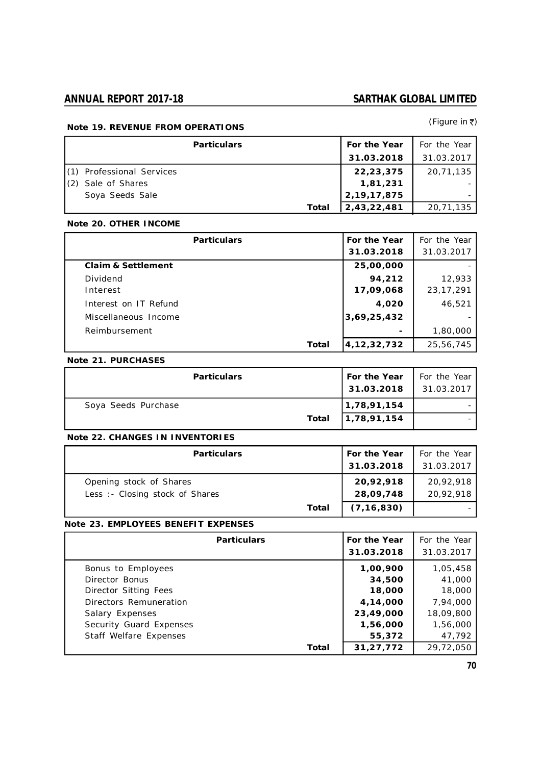# **SARTHAK GLOBAL LIMITED**

(Figure in )

#### **Note 19. REVENUE FROM OPERATIONS**

|     |                           | <b>Particulars</b> | For the Year   | For the Year |
|-----|---------------------------|--------------------|----------------|--------------|
|     |                           |                    | 31.03.2018     | 31.03.2017   |
|     | (1) Professional Services |                    | 22, 23, 375    | 20,71,135    |
| (2) | Sale of Shares            |                    | 1,81,231       |              |
|     | Soya Seeds Sale           |                    | 2, 19, 17, 875 |              |
|     |                           | Total              | 2,43,22,481    | 20,71,135    |

# **Note 20. OTHER INCOME**

| <b>Particulars</b>    | For the Year   | For the Year |
|-----------------------|----------------|--------------|
|                       | 31.03.2018     | 31.03.2017   |
| Claim & Settlement    | 25,00,000      |              |
| Dividend              | 94,212         | 12,933       |
| Interest              | 17,09,068      | 23, 17, 291  |
| Interest on IT Refund | 4,020          | 46,521       |
| Miscellaneous Income  | 3,69,25,432    |              |
| Reimbursement         |                | 1,80,000     |
| Total                 | 4, 12, 32, 732 | 25,56,745    |

#### **Note 21. PURCHASES**

| <b>Particulars</b>  | For the Year<br>31.03.2018 | For the Year<br>31.03.2017 |
|---------------------|----------------------------|----------------------------|
| Soya Seeds Purchase | 1,78,91,154                |                            |
| Total               | 1,78,91,154                |                            |

# **Note 22. CHANGES IN INVENTORIES**

| <b>Particulars</b>              |       | For the Year | For the Year |
|---------------------------------|-------|--------------|--------------|
|                                 |       | 31.03.2018   | 31.03.2017   |
| Opening stock of Shares         |       | 20,92,918    | 20,92,918    |
| Less :- Closing stock of Shares |       | 28,09,748    | 20,92,918    |
|                                 | Total | (7, 16, 830) |              |

# **Note 23. EMPLOYEES BENEFIT EXPENSES**

| <b>Particulars</b>      | For the Year | For the Year |
|-------------------------|--------------|--------------|
|                         | 31.03.2018   | 31.03.2017   |
| Bonus to Employees      | 1,00,900     | 1,05,458     |
| Director Bonus          | 34,500       | 41,000       |
| Director Sitting Fees   | 18,000       | 18,000       |
| Directors Remuneration  | 4,14,000     | 7,94,000     |
| Salary Expenses         | 23,49,000    | 18,09,800    |
| Security Guard Expenses | 1,56,000     | 1,56,000     |
| Staff Welfare Expenses  | 55,372       | 47,792       |
| Total                   | 31,27,772    | 29.72.050    |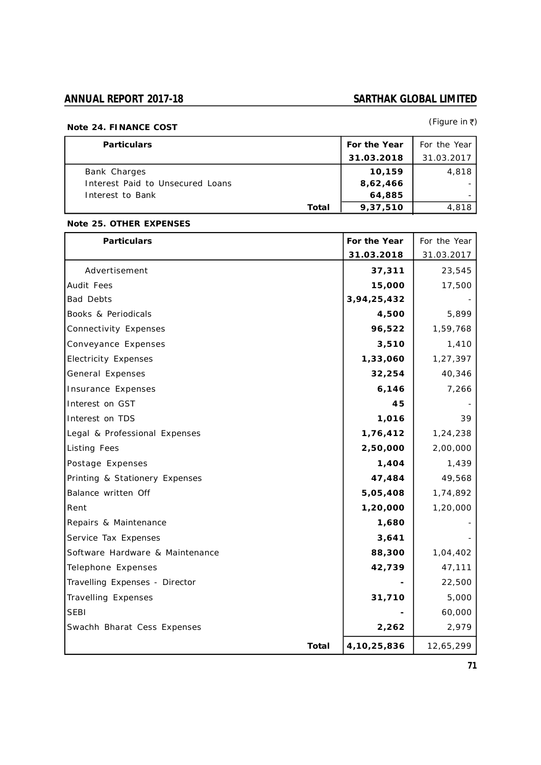# **SARTHAK GLOBAL LIMITED**

(Figure in )

# **Note 24. FINANCE COST**

| <b>Particulars</b>               | For the Year | For the Year |
|----------------------------------|--------------|--------------|
|                                  | 31.03.2018   | 31.03.2017   |
| Bank Charges                     | 10,159       | 4,818        |
| Interest Paid to Unsecured Loans | 8,62,466     |              |
| Interest to Bank                 | 64,885       |              |
| Total                            | 9,37,510     | 4,818        |

# **Note 25. OTHER EXPENSES**

| <b>Particulars</b>              | For the Year   | For the Year |
|---------------------------------|----------------|--------------|
|                                 | 31.03.2018     | 31.03.2017   |
| Advertisement                   | 37,311         | 23,545       |
| Audit Fees                      | 15,000         | 17,500       |
| <b>Bad Debts</b>                | 3,94,25,432    |              |
| Books & Periodicals             | 4,500          | 5,899        |
| Connectivity Expenses           | 96,522         | 1,59,768     |
| Conveyance Expenses             | 3,510          | 1,410        |
| <b>Electricity Expenses</b>     | 1,33,060       | 1,27,397     |
| General Expenses                | 32,254         | 40,346       |
| Insurance Expenses              | 6,146          | 7,266        |
| Interest on GST                 | 45             |              |
| Interest on TDS                 | 1,016          | 39           |
| Legal & Professional Expenses   | 1,76,412       | 1,24,238     |
| <b>Listing Fees</b>             | 2,50,000       | 2,00,000     |
| Postage Expenses                | 1,404          | 1,439        |
| Printing & Stationery Expenses  | 47,484         | 49,568       |
| Balance written Off             | 5,05,408       | 1,74,892     |
| Rent                            | 1,20,000       | 1,20,000     |
| Repairs & Maintenance           | 1,680          |              |
| Service Tax Expenses            | 3,641          |              |
| Software Hardware & Maintenance | 88,300         | 1,04,402     |
| Telephone Expenses              | 42,739         | 47,111       |
| Travelling Expenses - Director  |                | 22,500       |
| Travelling Expenses             | 31,710         | 5,000        |
| <b>SEBI</b>                     |                | 60,000       |
| Swachh Bharat Cess Expenses     | 2,262          | 2,979        |
| <b>Total</b>                    | 4, 10, 25, 836 | 12,65,299    |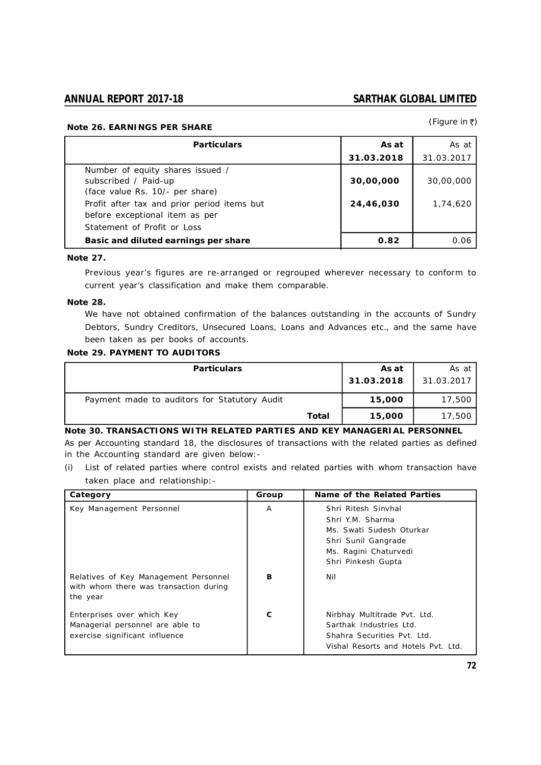# **SARTHAK GLOBAL LIMITED**

#### **Note 26. EARNINGS PER SHARE**

| <b>Particulars</b>                                                                                                                                                                                          | As at                  | As at                 |
|-------------------------------------------------------------------------------------------------------------------------------------------------------------------------------------------------------------|------------------------|-----------------------|
|                                                                                                                                                                                                             | 31.03.2018             | 31.03.2017            |
| Number of equity shares issued /<br>subscribed / Paid-up<br>(face value Rs. 10/- per share)<br>Profit after tax and prior period items but<br>before exceptional item as per<br>Statement of Profit or Loss | 30,00,000<br>24,46,030 | 30,00,000<br>1,74,620 |
| Basic and diluted earnings per share                                                                                                                                                                        | 0.82                   |                       |

#### **Note 27.**

Previous year's figures are re-arranged or regrouped wherever necessary to conform to current year's classification and make them comparable.

#### **Note 28.**

We have not obtained confirmation of the balances outstanding in the accounts of Sundry Debtors, Sundry Creditors, Unsecured Loans, Loans and Advances etc., and the same have been taken as per books of accounts.

# **Note 29. PAYMENT TO AUDITORS**

| <b>Particulars</b>                           |       | As at      | As at      |
|----------------------------------------------|-------|------------|------------|
|                                              |       | 31.03.2018 | 31.03.2017 |
| Payment made to auditors for Statutory Audit |       | 15,000     | 17,500     |
|                                              | Total | 15,000     | 17,500     |

# **Note 30. TRANSACTIONS WITH RELATED PARTIES AND KEY MANAGERIAL PERSONNEL**

As per Accounting standard 18, the disclosures of transactions with the related parties as defined in the Accounting standard are given below:-

(i) List of related parties where control exists and related parties with whom transaction have taken place and relationship:-

| Category                                                                                         | Group | Name of the Related Parties                                                                                                               |
|--------------------------------------------------------------------------------------------------|-------|-------------------------------------------------------------------------------------------------------------------------------------------|
| Key Management Personnel                                                                         | A     | Shri Ritesh Sinyhal<br>Shri Y.M. Sharma<br>Ms. Swati Sudesh Oturkar<br>Shri Sunil Gangrade<br>Ms. Ragini Chaturvedi<br>Shri Pinkesh Gupta |
| Relatives of Key Management Personnel<br>with whom there was transaction during<br>the year      | B     | Nil                                                                                                                                       |
| Enterprises over which Key<br>Managerial personnel are able to<br>exercise significant influence | C     | Nirbhay Multitrade Pvt. Ltd.<br>Sarthak Industries Ltd.<br>Shahra Securities Pyt. Ltd.<br>Vishal Resorts and Hotels Pyt. Ltd.             |

# (Figure in )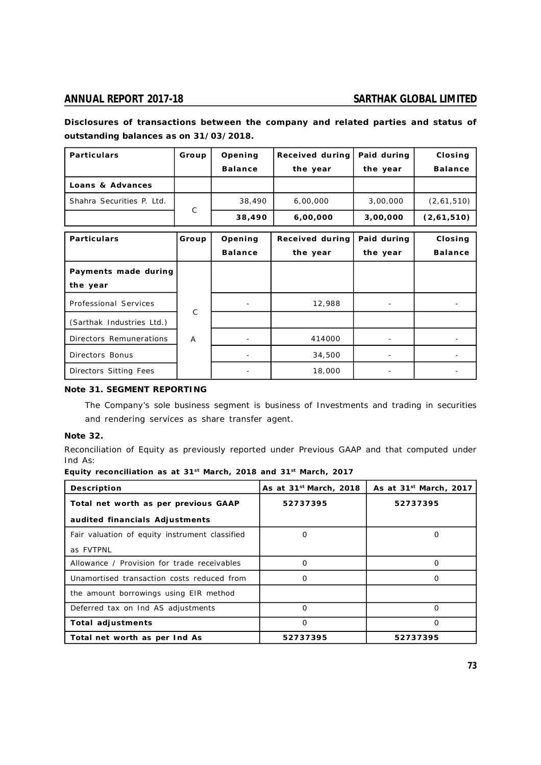# **SARTHAK GLOBAL LIMITED**

**Disclosures of transactions between the company and related parties and status of outstanding balances as on 31/03/2018.**

| <b>Particulars</b>        | Group        | Opening        | <b>Received during</b> | Paid during | Closing        |
|---------------------------|--------------|----------------|------------------------|-------------|----------------|
|                           |              | <b>Balance</b> | the year               | the year    | <b>Balance</b> |
| Loans & Advances          |              |                |                        |             |                |
| Shahra Securities P. Ltd. |              | 38,490         | 6,00,000               | 3,00,000    | (2,61,510)     |
|                           | $\mathsf{C}$ | 38,490         | 6,00,000               | 3,00,000    | (2,61,510)     |
| <b>Particulars</b>        | Group        | Opening        | <b>Received during</b> | Paid during | Closing        |
|                           |              | <b>Balance</b> | the year               | the year    | <b>Balance</b> |
| Payments made during      |              |                |                        |             |                |
| the year                  |              |                |                        |             |                |
| Professional Services     |              |                | 12,988                 |             |                |
| (Sarthak Industries Ltd.) | $\mathsf{C}$ |                |                        |             |                |
| Directors Remunerations   | A            |                | 414000                 |             |                |
| Directors Bonus           |              |                | 34,500                 |             |                |
| Directors Sitting Fees    |              |                | 18,000                 |             |                |

## **Note 31. SEGMENT REPORTING**

The Company's sole business segment is business of Investments and trading in securities and rendering services as share transfer agent.

### **Note 32.**

Reconciliation of Equity as previously reported under Previous GAAP and that computed under Ind As:

**Equity reconciliation as at 31st March, 2018 and 31st March, 2017**

| <b>Description</b>                             | As at 31 <sup>st</sup> March, 2018 | As at 31 <sup>st</sup> March, 2017 |
|------------------------------------------------|------------------------------------|------------------------------------|
| Total net worth as per previous GAAP           | 52737395                           | 52737395                           |
| audited financials Adjustments                 |                                    |                                    |
| Fair valuation of equity instrument classified | Ω                                  | O                                  |
| as FVTPNL                                      |                                    |                                    |
| Allowance / Provision for trade receivables    | O                                  | O                                  |
| Unamortised transaction costs reduced from     | O                                  |                                    |
| the amount borrowings using EIR method         |                                    |                                    |
| Deferred tax on Ind AS adjustments             | $\Omega$                           | O                                  |
| Total adjustments                              | $\Omega$                           | O                                  |
| Total net worth as per Ind As                  | 52737395                           | 52737395                           |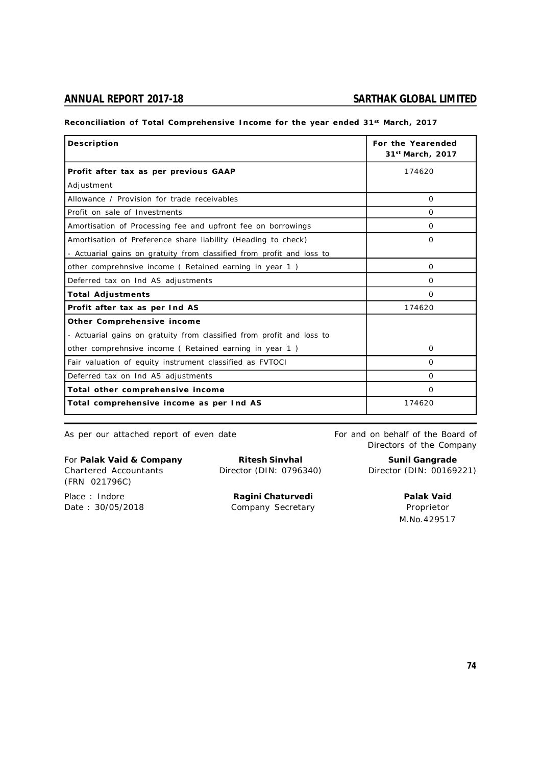# **SARTHAK GLOBAL LIMITED**

#### **Reconciliation of Total Comprehensive Income for the year ended 31st March, 2017**

| Description                                                           | For the Yearended<br>31 <sup>st</sup> March, 2017 |
|-----------------------------------------------------------------------|---------------------------------------------------|
| Profit after tax as per previous GAAP                                 | 174620                                            |
| Adjustment                                                            |                                                   |
| Allowance / Provision for trade receivables                           | $\Omega$                                          |
| Profit on sale of Investments                                         | $\Omega$                                          |
| Amortisation of Processing fee and upfront fee on borrowings          | $\Omega$                                          |
| Amortisation of Preference share liability (Heading to check)         | $\Omega$                                          |
| - Actuarial gains on gratuity from classified from profit and loss to |                                                   |
| other comprehnsive income (Retained earning in year 1)                | $\Omega$                                          |
| Deferred tax on Ind AS adjustments                                    | $\Omega$                                          |
| <b>Total Adjustments</b>                                              | $\Omega$                                          |
| Profit after tax as per Ind AS                                        | 174620                                            |
| Other Comprehensive income                                            |                                                   |
| - Actuarial gains on gratuity from classified from profit and loss to |                                                   |
| other comprehnsive income (Retained earning in year 1)                | $\Omega$                                          |
| Fair valuation of equity instrument classified as FVTOCI              | $\Omega$                                          |
| Deferred tax on Ind AS adjustments                                    | $\Omega$                                          |
| Total other comprehensive income                                      | $\Omega$                                          |
| Total comprehensive income as per Ind AS                              | 174620                                            |

As per our attached report of even date For and on behalf of the Board of

For **Palak Vaid & Company Ritesh Sinvhal Sunil Gangrade**

Chartered Accountants Director (DIN: 0796340) Director (DIN: 00169221) (FRN 021796C)

Place : Indore **Ragini Chaturvedi Place : Indore Palak Vaid** Date : 30/05/2018 Company Secretary Proprietor

Directors of the Company

M.No.429517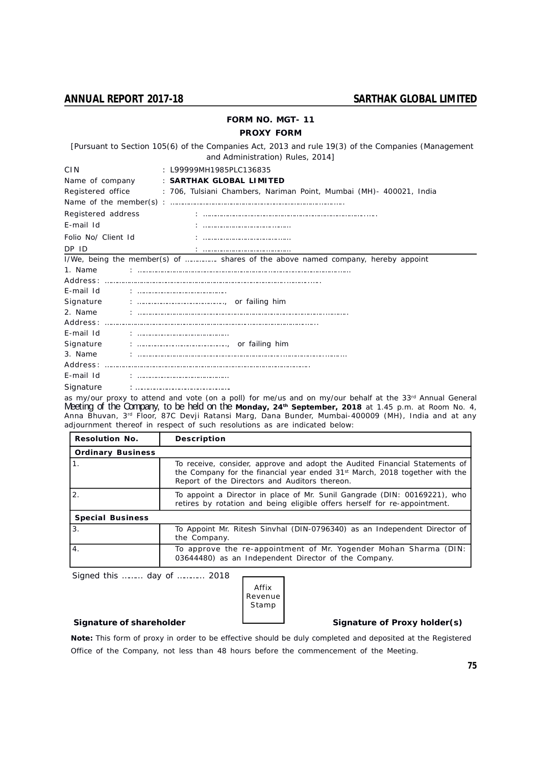# **SARTHAK GLOBAL LIMITED**

#### **FORM NO. MGT- 11**

#### **PROXY FORM**

 *[Pursuant to Section 105(6) of the Companies Act, 2013 and rule 19(3) of the Companies (Management and Administration) Rules, 2014]*

| <b>CIN</b>          | : L99999MH1985PLC136835                                                         |
|---------------------|---------------------------------------------------------------------------------|
| Name of company     | : SARTHAK GLOBAL LIMITED                                                        |
| Registered office   | : 706, Tulsiani Chambers, Nariman Point, Mumbai (MH)- 400021, India             |
|                     |                                                                                 |
| Registered address  |                                                                                 |
| E-mail Id           |                                                                                 |
| Folio No/ Client Id |                                                                                 |
| DP ID               |                                                                                 |
|                     | I/We, being the member(s) of  shares of the above named company, hereby appoint |
| 1. Name             |                                                                                 |
|                     |                                                                                 |
| E-mail Id           |                                                                                 |
| Signature           |                                                                                 |
| 2. Name             |                                                                                 |
|                     |                                                                                 |
| E-mail Id           |                                                                                 |
| Signature           |                                                                                 |
| 3. Name             |                                                                                 |
|                     |                                                                                 |
| E-mail Id           |                                                                                 |
| Signature           |                                                                                 |

as my/our proxy to attend and vote (on a poll) for me/us and on my/our behalf at the 33<sup>rd</sup> Annual General<br>**Meeting of the Company, to be held on the Monday, 24<sup>th</sup> September, 2018** at 1.45 p.m. at Room No. 4, Anna Bhuvan, 3rd Floor, 87C Devji Ratansi Marg, Dana Bunder, Mumbai-400009 (MH), India and at any adjournment thereof in respect of such resolutions as are indicated below:

| <b>Resolution No.</b>    | <b>Description</b>                                                                                                                                                                                                      |  |
|--------------------------|-------------------------------------------------------------------------------------------------------------------------------------------------------------------------------------------------------------------------|--|
| <b>Ordinary Business</b> |                                                                                                                                                                                                                         |  |
|                          | To receive, consider, approve and adopt the Audited Financial Statements of<br>the Company for the financial year ended 31 <sup>st</sup> March, 2018 together with the<br>Report of the Directors and Auditors thereon. |  |
|                          | To appoint a Director in place of Mr. Sunil Gangrade (DIN: 00169221), who<br>retires by rotation and being eligible offers herself for re-appointment.                                                                  |  |
| <b>Special Business</b>  |                                                                                                                                                                                                                         |  |
| 3.                       | To Appoint Mr. Ritesh Sinvhal (DIN-0796340) as an Independent Director of<br>the Company.                                                                                                                               |  |
| $\overline{4}$ .         | To approve the re-appointment of Mr. Yogender Mohan Sharma (DIN:<br>03644480) as an Independent Director of the Company.                                                                                                |  |

Signed this ……... day of ………... 2018

| Affix   |
|---------|
| Revenue |
| Stamp   |
|         |

 $\blacksquare$ 

**Signature of shareholder Signature of Proxy holder(s)**

**Note:** This form of proxy in order to be effective should be duly completed and deposited at the Registered Office of the Company, not less than 48 hours before the commencement of the Meeting.

 $\overline{\phantom{0}}$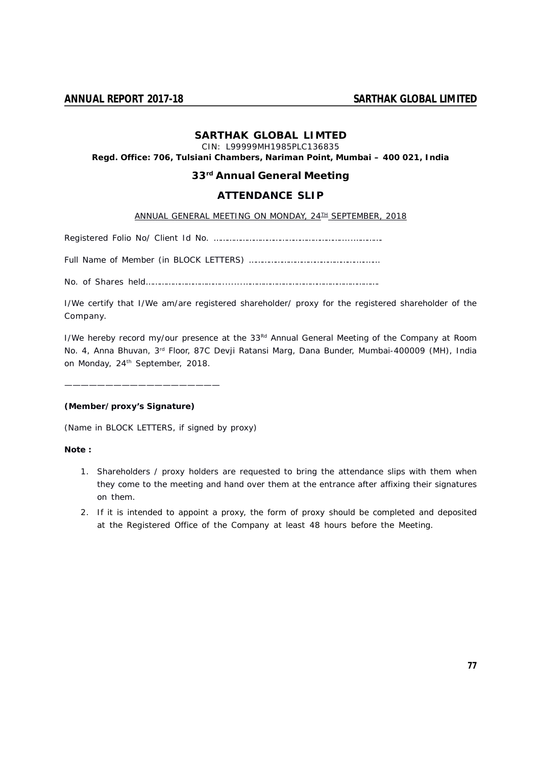# **SARTHAK GLOBAL LIMTED**

CIN: L99999MH1985PLC136835

**Regd. Office: 706, Tulsiani Chambers, Nariman Point, Mumbai – 400 021, India**

# **33rd Annual General Meeting**

# **ATTENDANCE SLIP**

ANNUAL GENERAL MEETING ON MONDAY, 24TH SEPTEMBER, 2018

Registered Folio No/ Client Id No. ………………………………………………….....………….

Full Name of Member (in BLOCK LETTERS) ………………………………………….….……

No. of Shares held……………………………........…………………………………………………….

I/We certify that I/We am/are registered shareholder/ proxy for the registered shareholder of the Company.

I/We hereby record my/our presence at the 33<sup>Rd</sup> Annual General Meeting of the Company at Room No. 4, Anna Bhuvan, 3rd Floor, 87C Devji Ratansi Marg, Dana Bunder, Mumbai-400009 (MH), India on Monday, 24<sup>th</sup> September, 2018.

———————————————————

#### **(Member/proxy's Signature)**

(Name in BLOCK LETTERS, if signed by proxy)

**Note :**

- 1. Shareholders / proxy holders are requested to bring the attendance slips with them when they come to the meeting and hand over them at the entrance after affixing their signatures on them.
- 2. If it is intended to appoint a proxy, the form of proxy should be completed and deposited at the Registered Office of the Company at least 48 hours before the Meeting.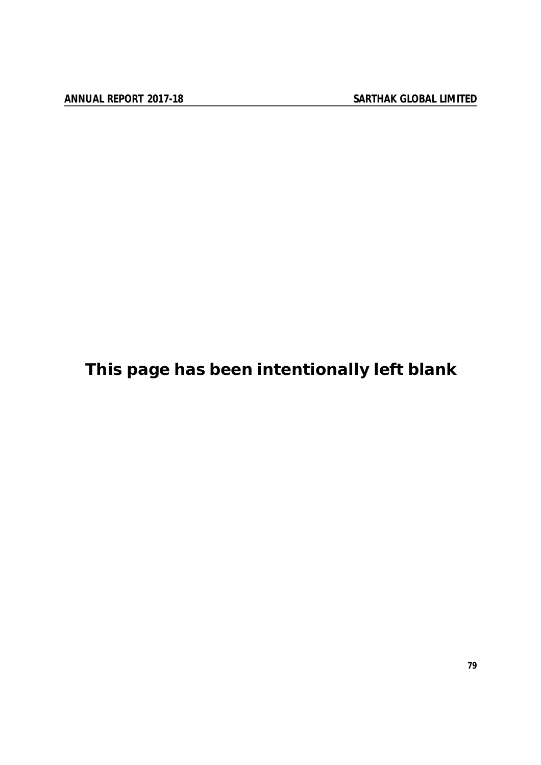# **This page has been intentionally left blank**